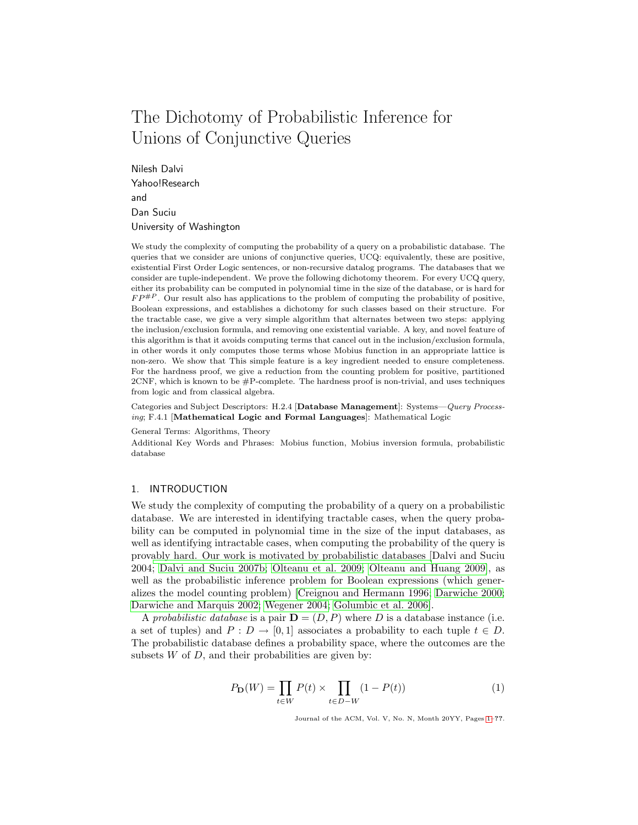# The Dichotomy of Probabilistic Inference for Unions of Conjunctive Queries

Nilesh Dalvi Yahoo!Research and Dan Suciu University of Washington

We study the complexity of computing the probability of a query on a probabilistic database. The queries that we consider are unions of conjunctive queries, UCQ: equivalently, these are positive, existential First Order Logic sentences, or non-recursive datalog programs. The databases that we consider are tuple-independent. We prove the following dichotomy theorem. For every UCQ query, either its probability can be computed in polynomial time in the size of the database, or is hard for  $FP^{\#P}$ . Our result also has applications to the problem of computing the probability of positive, Boolean expressions, and establishes a dichotomy for such classes based on their structure. For the tractable case, we give a very simple algorithm that alternates between two steps: applying the inclusion/exclusion formula, and removing one existential variable. A key, and novel feature of this algorithm is that it avoids computing terms that cancel out in the inclusion/exclusion formula, in other words it only computes those terms whose Mobius function in an appropriate lattice is non-zero. We show that This simple feature is a key ingredient needed to ensure completeness. For the hardness proof, we give a reduction from the counting problem for positive, partitioned  $2CNF$ , which is known to be  $\#P$ -complete. The hardness proof is non-trivial, and uses techniques from logic and from classical algebra.

Categories and Subject Descriptors: H.2.4 [Database Management]: Systems—Query Processing; F.4.1 [Mathematical Logic and Formal Languages]: Mathematical Logic

General Terms: Algorithms, Theory

Additional Key Words and Phrases: Mobius function, Mobius inversion formula, probabilistic database

# 1. INTRODUCTION

We study the complexity of computing the probability of a query on a probabilistic database. We are interested in identifying tractable cases, when the query probability can be computed in polynomial time in the size of the input databases, as well as identifying intractable cases, when computing the probability of the query is prov[ably hard. Our work is motivated by probabilistic databases \[](#page-66-0)Dalvi and Suciu 2004; [Dalvi and Suciu 2007b;](#page-66-1) [Olteanu et al. 2009;](#page-67-0) [Olteanu and Huang 2009\]](#page-67-1), as well as the probabilistic inference problem for Boolean expressions (which generalizes the model counting problem) [\[Creignou and Hermann 1996;](#page-66-2) [Darwiche 2000;](#page-66-3) [Darwiche and Marquis 2002;](#page-67-2) [Wegener 2004;](#page-67-3) [Golumbic et al. 2006\]](#page-67-4).

A probabilistic database is a pair  $\mathbf{D} = (D, P)$  where D is a database instance (i.e. a set of tuples) and  $P: D \to [0,1]$  associates a probability to each tuple  $t \in D$ . The probabilistic database defines a probability space, where the outcomes are the subsets  $W$  of  $D$ , and their probabilities are given by:

$$
P_{\mathbf{D}}(W) = \prod_{t \in W} P(t) \times \prod_{t \in D - W} (1 - P(t))
$$
 (1)

<span id="page-0-0"></span>Journal of the ACM, Vol. V, No. N, Month 20YY, Pages 1–??.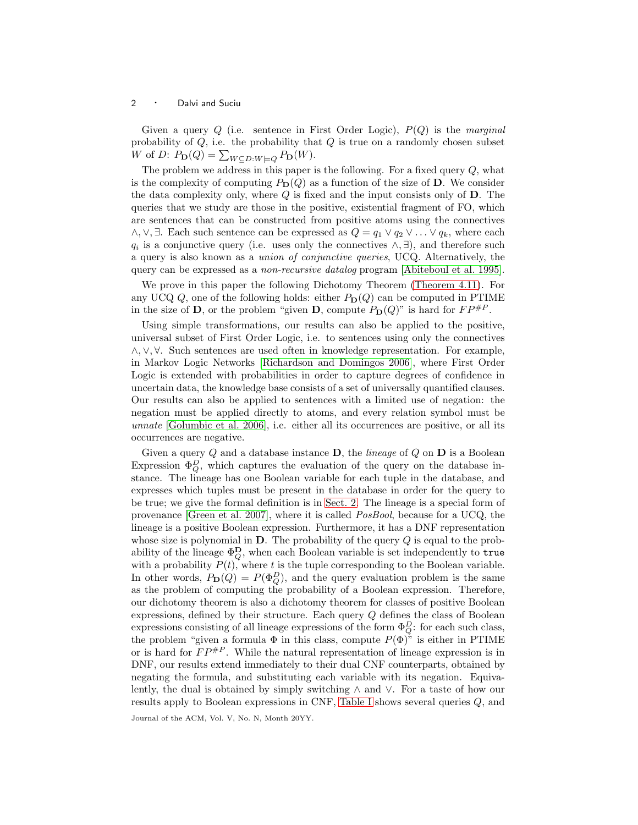Given a query  $Q$  (i.e. sentence in First Order Logic),  $P(Q)$  is the marginal probability of  $Q$ , i.e. the probability that  $Q$  is true on a randomly chosen subset W of D:  $P_{\mathbf{D}}(Q) = \sum_{W \subseteq D: W \models Q} P_{\mathbf{D}}(W)$ .

The problem we address in this paper is the following. For a fixed query  $Q$ , what is the complexity of computing  $P_D(Q)$  as a function of the size of D. We consider the data complexity only, where  $Q$  is fixed and the input consists only of  $D$ . The queries that we study are those in the positive, existential fragment of FO, which are sentences that can be constructed from positive atoms using the connectives  $\wedge$ ,  $\vee$ ,  $\exists$ . Each such sentence can be expressed as  $Q = q_1 \vee q_2 \vee \ldots \vee q_k$ , where each  $q_i$  is a conjunctive query (i.e. uses only the connectives  $\wedge$ ,  $\exists$ ), and therefore such a query is also known as a union of conjunctive queries, UCQ. Alternatively, the query can be expressed as a non-recursive datalog program [\[Abiteboul et al. 1995\]](#page-66-4).

We prove in this paper the following Dichotomy Theorem [\(Theorem 4.11\)](#page-20-0). For any UCQ  $Q$ , one of the following holds: either  $P_D(Q)$  can be computed in PTIME in the size of **D**, or the problem "given **D**, compute  $P_D(Q)$ " is hard for  $FP^{\#P}$ .

Using simple transformations, our results can also be applied to the positive, universal subset of First Order Logic, i.e. to sentences using only the connectives ∧,∨, ∀. Such sentences are used often in knowledge representation. For example, in Markov Logic Networks [\[Richardson and Domingos 2006\]](#page-67-5), where First Order Logic is extended with probabilities in order to capture degrees of confidence in uncertain data, the knowledge base consists of a set of universally quantified clauses. Our results can also be applied to sentences with a limited use of negation: the negation must be applied directly to atoms, and every relation symbol must be unnate [\[Golumbic et al. 2006\]](#page-67-4), i.e. either all its occurrences are positive, or all its occurrences are negative.

Given a query  $Q$  and a database instance  $D$ , the *lineage* of  $Q$  on  $D$  is a Boolean Expression  $\Phi_Q^D$ , which captures the evaluation of the query on the database instance. The lineage has one Boolean variable for each tuple in the database, and expresses which tuples must be present in the database in order for the query to be true; we give the formal definition is in [Sect. 2.](#page-5-0) The lineage is a special form of provenance [\[Green et al. 2007\]](#page-67-6), where it is called PosBool, because for a UCQ, the lineage is a positive Boolean expression. Furthermore, it has a DNF representation whose size is polynomial in  $D$ . The probability of the query  $Q$  is equal to the probability of the lineage  $\Phi_Q^{\mathbf{D}}$ , when each Boolean variable is set independently to true with a probability  $P(t)$ , where t is the tuple corresponding to the Boolean variable. In other words,  $P_D(Q) = P(\Phi_Q^D)$ , and the query evaluation problem is the same as the problem of computing the probability of a Boolean expression. Therefore, our dichotomy theorem is also a dichotomy theorem for classes of positive Boolean expressions, defined by their structure. Each query Q defines the class of Boolean expressions consisting of all lineage expressions of the form  $\Phi_Q^D$ : for each such class, the problem "given a formula  $\Phi$  in this class, compute  $P(\Phi)$ " is either in PTIME or is hard for  $FP^{\#P}$ . While the natural representation of lineage expression is in DNF, our results extend immediately to their dual CNF counterparts, obtained by negating the formula, and substituting each variable with its negation. Equivalently, the dual is obtained by simply switching ∧ and ∨. For a taste of how our results apply to Boolean expressions in CNF, [Table I](#page-2-0) shows several queries Q, and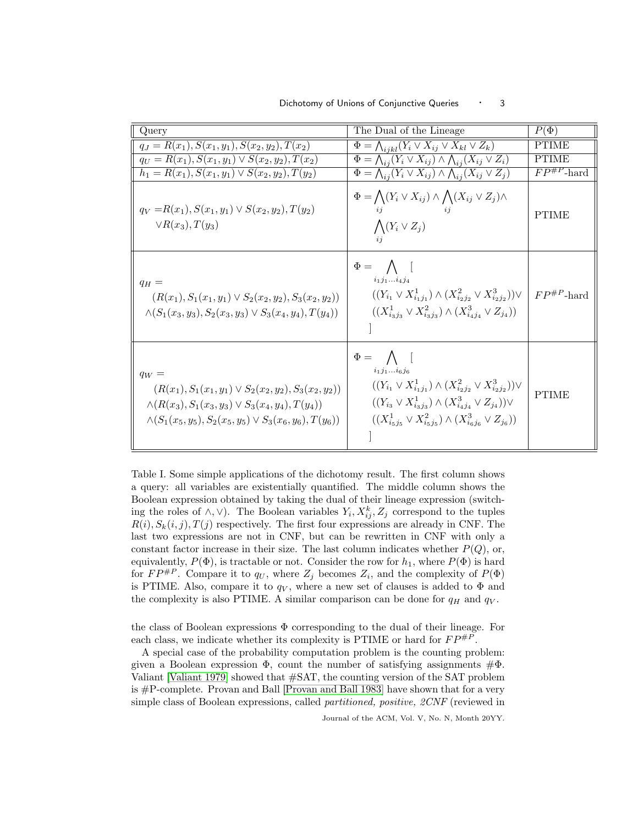| Query                                                                                                                                                                                                       | The Dual of the Lineage                                                                                                                                                                                                                                                                | $P(\Phi)$                   |
|-------------------------------------------------------------------------------------------------------------------------------------------------------------------------------------------------------------|----------------------------------------------------------------------------------------------------------------------------------------------------------------------------------------------------------------------------------------------------------------------------------------|-----------------------------|
| $q_J = R(x_1), S(x_1, y_1), S(x_2, y_2), T(x_2)$                                                                                                                                                            | $\Phi = \bigwedge_{i \, j \, k \, l} (Y_i \vee X_{ij} \vee X_{kl} \vee Z_k)$                                                                                                                                                                                                           | <b>PTIME</b>                |
| $q_U = R(x_1), S(x_1, y_1) \vee S(x_2, y_2), T(x_2)$                                                                                                                                                        | $\Phi = \bigwedge_{ij} (Y_i \vee X_{ij}) \wedge \bigwedge_{ij} (X_{ij} \vee Z_i)$                                                                                                                                                                                                      | <b>PTIME</b>                |
| $h_1 = R(x_1), S(x_1, y_1) \vee S(x_2, y_2), T(y_2)$                                                                                                                                                        | $\Phi = \bigwedge_{i} (Y_i \vee X_{ij}) \wedge \bigwedge_{i} (X_{ij} \vee Z_j)$                                                                                                                                                                                                        | $\overline{FP^{\#P}}$ -hard |
| $q_V = R(x_1), S(x_1, y_1) \vee S(x_2, y_2), T(y_2)$<br>$\vee R(x_3), T(y_3)$                                                                                                                               | $\Phi = \bigwedge (Y_i \vee X_{ij}) \wedge \bigwedge (X_{ij} \vee Z_j) \wedge$<br>ii<br>$\bigwedge (Y_i \vee Z_j)$<br>ij                                                                                                                                                               | <b>PTIME</b>                |
| $q_H =$<br>$(R(x_1), S_1(x_1, y_1) \vee S_2(x_2, y_2), S_3(x_2, y_2))$<br>$\wedge (S_1(x_3,y_3), S_2(x_3,y_3) \vee S_3(x_4,y_4), T(y_4))$                                                                   | $\Phi = \bigwedge$ [<br>$i_1 j_1  i_4 j_4$<br>$((Y_{i_1} \vee X_{i_1i_1}^1) \wedge (X_{i_2i_2}^2 \vee X_{i_2i_2}^3)) \vee$<br>$((X_{i_3i_3}^1 \vee X_{i_3i_3}^2) \wedge (X_{i_4i_4}^3 \vee Z_{j_4}))$                                                                                  | $FP^{\#P}$ -hard            |
| $q_W =$<br>$(R(x_1), S_1(x_1, y_1) \vee S_2(x_2, y_2), S_3(x_2, y_2))$<br>$\wedge (R(x_3), S_1(x_3, y_3) \vee S_3(x_4, y_4), T(y_4))$<br>$\wedge (S_1(x_5, y_5), S_2(x_5, y_5) \vee S_3(x_6, y_6), T(y_6))$ | $\Phi = \bigwedge$ [<br>$i_1 j_1  i_6 j_6$<br>$((Y_{i_1} \vee X_{i_1j_1}^1) \wedge (X_{i_2j_2}^2 \vee X_{i_2j_2}^3)) \vee$<br>$((Y_{i_3} \vee X_{i_3i_3}^1) \wedge (X_{i_4i_4}^3 \vee Z_{j_4})) \vee$<br>$((X^1_{i\in j_5} \vee X^2_{i\in j_5}) \wedge (X^3_{i\in j_6} \vee Z_{j_6}))$ | <b>PTIME</b>                |

Dichotomy of Unions of Conjunctive Queries • 3

<span id="page-2-0"></span>Table I. Some simple applications of the dichotomy result. The first column shows a query: all variables are existentially quantified. The middle column shows the Boolean expression obtained by taking the dual of their lineage expression (switching the roles of  $\wedge$ ,  $\vee$ ). The Boolean variables  $Y_i, X_{ij}^k, Z_j$  correspond to the tuples  $R(i), S_k(i,j), T(j)$  respectively. The first four expressions are already in CNF. The last two expressions are not in CNF, but can be rewritten in CNF with only a constant factor increase in their size. The last column indicates whether  $P(Q)$ , or, equivalently,  $P(\Phi)$ , is tractable or not. Consider the row for  $h_1$ , where  $P(\Phi)$  is hard for  $FP^{\#P}$ . Compare it to  $q_U$ , where  $Z_j$  becomes  $Z_i$ , and the complexity of  $P(\Phi)$ is PTIME. Also, compare it to  $q_V$ , where a new set of clauses is added to  $\Phi$  and the complexity is also PTIME. A similar comparison can be done for  $q_H$  and  $q_V$ .

the class of Boolean expressions  $\Phi$  corresponding to the dual of their lineage. For each class, we indicate whether its complexity is PTIME or hard for  $FP^{\#P}$ .

A special case of the probability computation problem is the counting problem: given a Boolean expression  $\Phi$ , count the number of satisfying assignments  $\#\Phi$ . Valiant [\[Valiant 1979\]](#page-67-7) showed that #SAT, the counting version of the SAT problem is #P-complete. Provan and Ball [\[Provan and Ball 1983\]](#page-67-8) have shown that for a very simple class of Boolean expressions, called partitioned, positive, 2CNF (reviewed in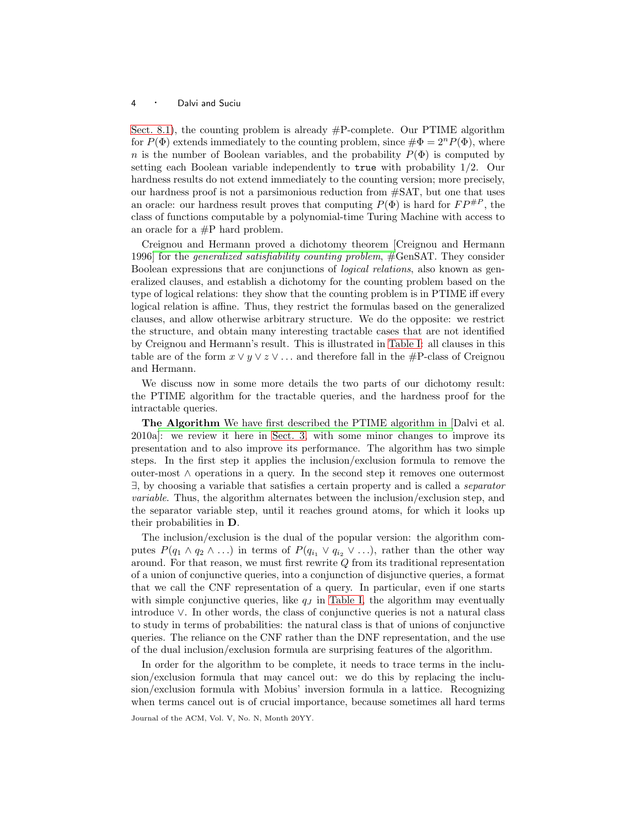[Sect. 8.1\)](#page-38-0), the counting problem is already  $#P$ -complete. Our PTIME algorithm for  $P(\Phi)$  extends immediately to the counting problem, since  $\#\Phi = 2^n P(\Phi)$ , where n is the number of Boolean variables, and the probability  $P(\Phi)$  is computed by setting each Boolean variable independently to true with probability 1/2. Our hardness results do not extend immediately to the counting version; more precisely, our hardness proof is not a parsimonious reduction from #SAT, but one that uses an oracle: our hardness result proves that computing  $P(\Phi)$  is hard for  $FP^{\#P}$ , the class of functions computable by a polynomial-time Turing Machine with access to an oracle for a #P hard problem.

Creignou and Hermann proved a dichotomy theorem [Creignou and Hermann 1996] for the generalized satisfiability counting problem, #GenSAT. They consider Boolean expressions that are conjunctions of logical relations, also known as generalized clauses, and establish a dichotomy for the counting problem based on the type of logical relations: they show that the counting problem is in PTIME iff every logical relation is affine. Thus, they restrict the formulas based on the generalized clauses, and allow otherwise arbitrary structure. We do the opposite: we restrict the structure, and obtain many interesting tractable cases that are not identified by Creignou and Hermann's result. This is illustrated in [Table I:](#page-2-0) all clauses in this table are of the form  $x \vee y \vee z \vee \dots$  and therefore fall in the #P-class of Creignou and Hermann.

We discuss now in some more details the two parts of our dichotomy result: the PTIME algorithm for the tractable queries, and the hardness proof for the intractable queries.

The Algorithm [We have first described the PTIME algorithm in \[](#page-66-5)Dalvi et al. 2010a]: we review it here in [Sect. 3,](#page-9-0) with some minor changes to improve its presentation and to also improve its performance. The algorithm has two simple steps. In the first step it applies the inclusion/exclusion formula to remove the outer-most ∧ operations in a query. In the second step it removes one outermost ∃, by choosing a variable that satisfies a certain property and is called a separator variable. Thus, the algorithm alternates between the inclusion/exclusion step, and the separator variable step, until it reaches ground atoms, for which it looks up their probabilities in D.

The inclusion/exclusion is the dual of the popular version: the algorithm computes  $P(q_1 \wedge q_2 \wedge ...)$  in terms of  $P(q_{i_1} \vee q_{i_2} \vee ...)$ , rather than the other way around. For that reason, we must first rewrite  $Q$  from its traditional representation of a union of conjunctive queries, into a conjunction of disjunctive queries, a format that we call the CNF representation of a query. In particular, even if one starts with simple conjunctive queries, like  $q_J$  in [Table I,](#page-2-0) the algorithm may eventually introduce ∨. In other words, the class of conjunctive queries is not a natural class to study in terms of probabilities: the natural class is that of unions of conjunctive queries. The reliance on the CNF rather than the DNF representation, and the use of the dual inclusion/exclusion formula are surprising features of the algorithm.

In order for the algorithm to be complete, it needs to trace terms in the inclusion/exclusion formula that may cancel out: we do this by replacing the inclusion/exclusion formula with Mobius' inversion formula in a lattice. Recognizing when terms cancel out is of crucial importance, because sometimes all hard terms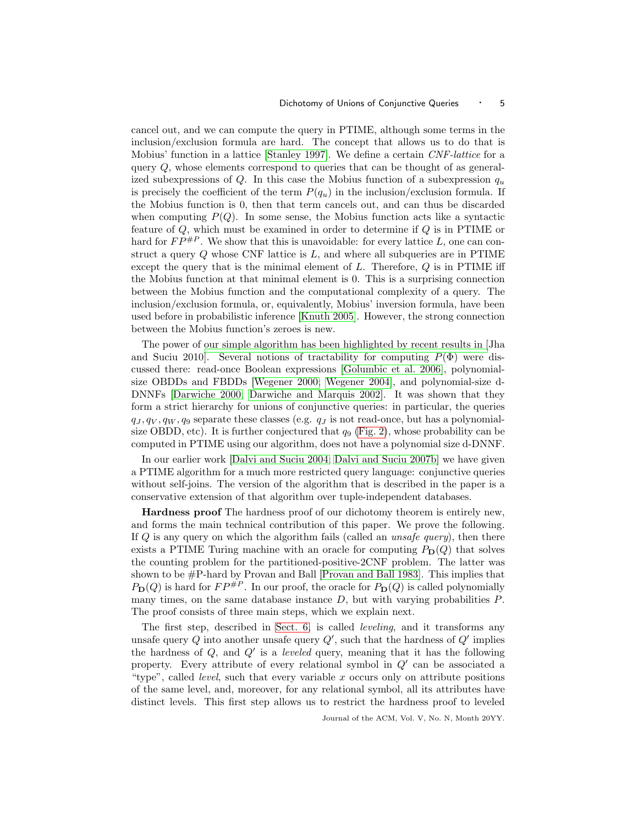cancel out, and we can compute the query in PTIME, although some terms in the inclusion/exclusion formula are hard. The concept that allows us to do that is Mobius' function in a lattice [\[Stanley 1997\]](#page-67-9). We define a certain CNF-lattice for a query Q, whose elements correspond to queries that can be thought of as generalized subexpressions of Q. In this case the Mobius function of a subexpression  $q_u$ is precisely the coefficient of the term  $P(q_u)$  in the inclusion/exclusion formula. If the Mobius function is 0, then that term cancels out, and can thus be discarded when computing  $P(Q)$ . In some sense, the Mobius function acts like a syntactic feature of  $Q$ , which must be examined in order to determine if  $Q$  is in PTIME or hard for  $FP^{\#P}$ . We show that this is unavoidable: for every lattice L, one can construct a query  $Q$  whose CNF lattice is  $L$ , and where all subqueries are in PTIME except the query that is the minimal element of  $L$ . Therefore,  $Q$  is in PTIME iff the Mobius function at that minimal element is 0. This is a surprising connection between the Mobius function and the computational complexity of a query. The inclusion/exclusion formula, or, equivalently, Mobius' inversion formula, have been used before in probabilistic inference [\[Knuth 2005\]](#page-67-10). However, the strong connection between the Mobius function's zeroes is new.

The power of [our simple algorithm has been highlighted by recent results in \[](#page-67-11)Jha and Suciu 2010. Several notions of tractability for computing  $P(\Phi)$  were discussed there: read-once Boolean expressions [\[Golumbic et al. 2006\]](#page-67-4), polynomialsize OBDDs and FBDDs [\[Wegener 2000;](#page-67-12) [Wegener 2004\]](#page-67-3), and polynomial-size d-DNNFs [\[Darwiche 2000;](#page-66-3) [Darwiche and Marquis 2002\]](#page-67-2). It was shown that they form a strict hierarchy for unions of conjunctive queries: in particular, the queries  $q_J, q_V, q_W, q_9$  separate these classes (e.g.  $q_J$  is not read-once, but has a polynomialsize OBDD, etc). It is further conjectured that  $q_9$  [\(Fig. 2\)](#page-19-0), whose probability can be computed in PTIME using our algorithm, does not have a polynomial size d-DNNF.

In our earlier work [\[Dalvi and Suciu 2004;](#page-66-0) [Dalvi and Suciu 2007b\]](#page-66-1) we have given a PTIME algorithm for a much more restricted query language: conjunctive queries without self-joins. The version of the algorithm that is described in the paper is a conservative extension of that algorithm over tuple-independent databases.

Hardness proof The hardness proof of our dichotomy theorem is entirely new, and forms the main technical contribution of this paper. We prove the following. If  $Q$  is any query on which the algorithm fails (called an *unsafe query*), then there exists a PTIME Turing machine with an oracle for computing  $P_D(Q)$  that solves the counting problem for the partitioned-positive-2CNF problem. The latter was shown to be #P-hard by Provan and Ball [\[Provan and Ball 1983\]](#page-67-8). This implies that  $P_{\mathbf{D}}(Q)$  is hard for  $FP^{\#P}$ . In our proof, the oracle for  $P_{\mathbf{D}}(Q)$  is called polynomially many times, on the same database instance  $D$ , but with varying probabilities  $P$ . The proof consists of three main steps, which we explain next.

The first step, described in [Sect. 6,](#page-24-0) is called leveling, and it transforms any unsafe query  $Q$  into another unsafe query  $Q'$ , such that the hardness of  $Q'$  implies the hardness of  $Q$ , and  $Q'$  is a *leveled* query, meaning that it has the following property. Every attribute of every relational symbol in Q′ can be associated a "type", called level, such that every variable x occurs only on attribute positions of the same level, and, moreover, for any relational symbol, all its attributes have distinct levels. This first step allows us to restrict the hardness proof to leveled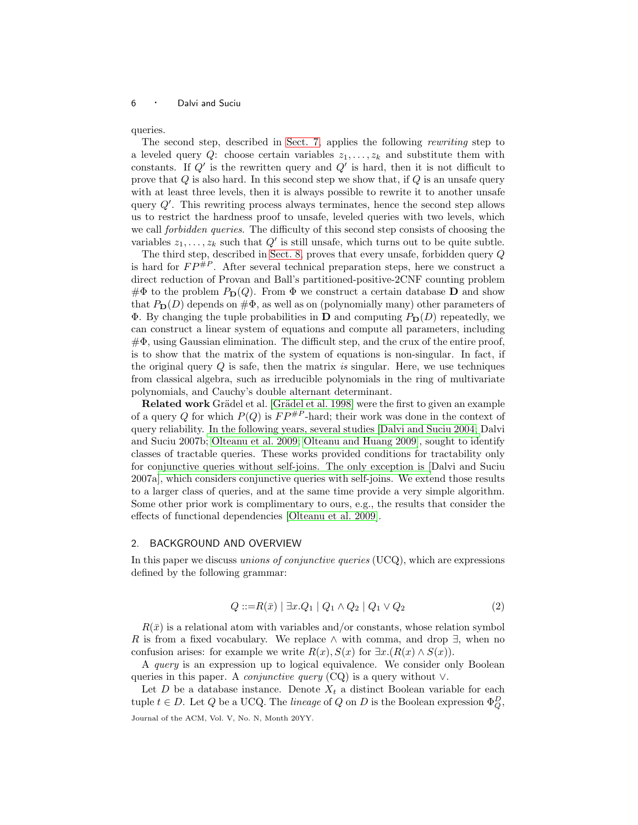queries.

The second step, described in [Sect. 7,](#page-27-0) applies the following rewriting step to a leveled query Q: choose certain variables  $z_1, \ldots, z_k$  and substitute them with constants. If  $Q'$  is the rewritten query and  $Q'$  is hard, then it is not difficult to prove that  $Q$  is also hard. In this second step we show that, if  $Q$  is an unsafe query with at least three levels, then it is always possible to rewrite it to another unsafe query  $Q'$ . This rewriting process always terminates, hence the second step allows us to restrict the hardness proof to unsafe, leveled queries with two levels, which we call *forbidden queries*. The difficulty of this second step consists of choosing the variables  $z_1, \ldots, z_k$  such that  $Q'$  is still unsafe, which turns out to be quite subtle.

The third step, described in [Sect. 8,](#page-38-1) proves that every unsafe, forbidden query Q is hard for  $FP^{\#P}$ . After several technical preparation steps, here we construct a direct reduction of Provan and Ball's partitioned-positive-2CNF counting problem  $\#\Phi$  to the problem  $P_D(Q)$ . From  $\Phi$  we construct a certain database D and show that  $P_{\text{D}}(D)$  depends on  $\#\Phi$ , as well as on (polynomially many) other parameters of  $\Phi$ . By changing the tuple probabilities in **D** and computing  $P_{\mathbf{D}}(D)$  repeatedly, we can construct a linear system of equations and compute all parameters, including  $\#\Phi$ , using Gaussian elimination. The difficult step, and the crux of the entire proof, is to show that the matrix of the system of equations is non-singular. In fact, if the original query  $Q$  is safe, then the matrix is singular. Here, we use techniques from classical algebra, such as irreducible polynomials in the ring of multivariate polynomials, and Cauchy's double alternant determinant.

Related work Grädel et al. [Grädel et al. 1998] were the first to given an example of a query Q for which  $P(Q)$  is  $FP^{HP}$ -hard; their work was done in the context of query reliability. [In the following years, several studies](#page-66-1) [\[Dalvi and Suciu 2004;](#page-66-0) Dalvi and Suciu 2007b; [Olteanu et al. 2009;](#page-67-0) [Olteanu and Huang 2009\]](#page-67-1), sought to identify classes of tractable queries. These works provided conditions for tractability only for co[njunctive queries without self-joins. The only exception is \[](#page-66-6)Dalvi and Suciu 2007a], which considers conjunctive queries with self-joins. We extend those results to a larger class of queries, and at the same time provide a very simple algorithm. Some other prior work is complimentary to ours, e.g., the results that consider the effects of functional dependencies [\[Olteanu et al. 2009\]](#page-67-0).

# <span id="page-5-0"></span>2. BACKGROUND AND OVERVIEW

In this paper we discuss *unions of conjunctive queries*  $(UCQ)$ , which are expressions defined by the following grammar:

<span id="page-5-1"></span>
$$
Q ::= R(\bar{x}) | \exists x . Q_1 | Q_1 \land Q_2 | Q_1 \lor Q_2 \tag{2}
$$

 $R(\bar{x})$  is a relational atom with variables and/or constants, whose relation symbol R is from a fixed vocabulary. We replace  $\wedge$  with comma, and drop  $\exists$ , when no confusion arises: for example we write  $R(x)$ ,  $S(x)$  for  $\exists x \cdot (R(x) \wedge S(x))$ .

A *query* is an expression up to logical equivalence. We consider only Boolean queries in this paper. A *conjunctive query* (CQ) is a query without  $\vee$ .

Let D be a database instance. Denote  $X_t$  a distinct Boolean variable for each tuple  $t \in D$ . Let Q be a UCQ. The *lineage* of Q on D is the Boolean expression  $\Phi_Q^D$ , Journal of the ACM, Vol. V, No. N, Month 20YY.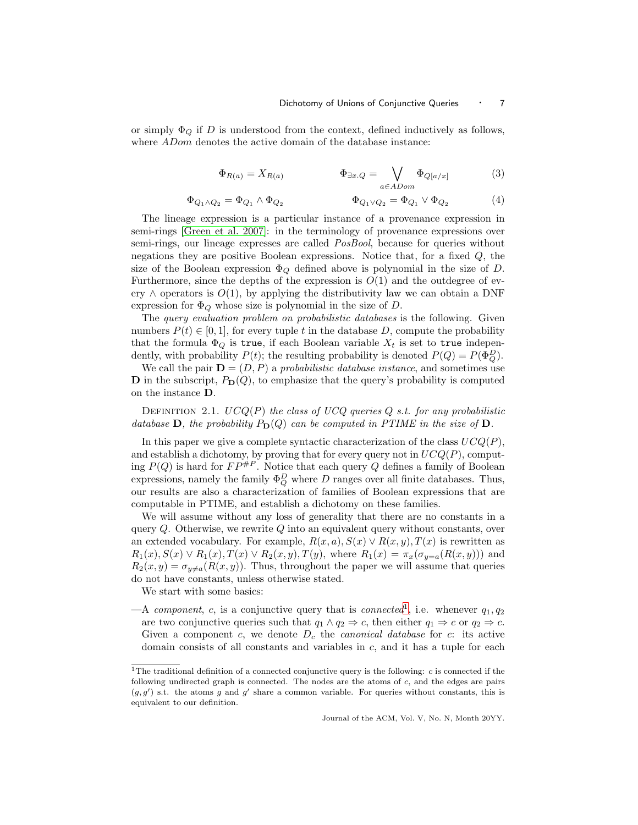or simply  $\Phi_Q$  if D is understood from the context, defined inductively as follows, where *ADom* denotes the active domain of the database instance:

<span id="page-6-1"></span>
$$
\Phi_{R(\bar{a})} = X_{R(\bar{a})} \qquad \qquad \Phi_{\exists x.Q} = \bigvee_{a \in ADom} \Phi_{Q[a/x]} \qquad (3)
$$

$$
\Phi_{Q_1 \wedge Q_2} = \Phi_{Q_1} \wedge \Phi_{Q_2} \qquad \Phi_{Q_1 \vee Q_2} = \Phi_{Q_1} \vee \Phi_{Q_2} \qquad (4)
$$

The lineage expression is a particular instance of a provenance expression in semi-rings [\[Green et al. 2007\]](#page-67-6): in the terminology of provenance expressions over semi-rings, our lineage expresses are called PosBool, because for queries without negations they are positive Boolean expressions. Notice that, for a fixed Q, the size of the Boolean expression  $\Phi_Q$  defined above is polynomial in the size of D. Furthermore, since the depths of the expression is  $O(1)$  and the outdegree of every  $\wedge$  operators is  $O(1)$ , by applying the distributivity law we can obtain a DNF expression for  $\Phi_Q$  whose size is polynomial in the size of  $D$ .

The query evaluation problem on probabilistic databases is the following. Given numbers  $P(t) \in [0, 1]$ , for every tuple t in the database D, compute the probability that the formula  $\Phi_Q$  is true, if each Boolean variable  $X_t$  is set to true independently, with probability  $P(t)$ ; the resulting probability is denoted  $P(Q) = P(\Phi_Q^D)$ .

We call the pair  $\mathbf{D} = (D, P)$  a probabilistic database instance, and sometimes use **D** in the subscript,  $P_D(Q)$ , to emphasize that the query's probability is computed on the instance D.

DEFINITION 2.1.  $UCQ(P)$  the class of UCQ queries Q s.t. for any probabilistic database **D**, the probability  $P_D(Q)$  can be computed in PTIME in the size of **D**.

In this paper we give a complete syntactic characterization of the class  $UCQ(P)$ , and establish a dichotomy, by proving that for every query not in  $UCQ(P)$ , computing  $P(Q)$  is hard for  $FP^{\#P}$ . Notice that each query Q defines a family of Boolean expressions, namely the family  $\Phi_Q^D$  where  $D$  ranges over all finite databases. Thus, our results are also a characterization of families of Boolean expressions that are computable in PTIME, and establish a dichotomy on these families.

We will assume without any loss of generality that there are no constants in a query  $Q$ . Otherwise, we rewrite  $Q$  into an equivalent query without constants, over an extended vocabulary. For example,  $R(x, a), S(x) \vee R(x, y), T(x)$  is rewritten as  $R_1(x), S(x) \vee R_1(x), T(x) \vee R_2(x, y), T(y)$ , where  $R_1(x) = \pi_x(\sigma_{y=a}(R(x, y)))$  and  $R_2(x,y) = \sigma_{y \neq a}(R(x,y))$ . Thus, throughout the paper we will assume that queries do not have constants, unless otherwise stated.

We start with some basics:

 $-A$  component, c, is a conjunctive query that is connected<sup>[1](#page-6-0)</sup>, i.e. whenever  $q_1, q_2$ are two conjunctive queries such that  $q_1 \wedge q_2 \Rightarrow c$ , then either  $q_1 \Rightarrow c$  or  $q_2 \Rightarrow c$ . Given a component c, we denote  $D_c$  the *canonical database* for c: its active domain consists of all constants and variables in  $c$ , and it has a tuple for each

<span id="page-6-0"></span><sup>&</sup>lt;sup>1</sup>The traditional definition of a connected conjunctive query is the following:  $c$  is connected if the following undirected graph is connected. The nodes are the atoms of c, and the edges are pairs  $(g, g')$  s.t. the atoms g and g' share a common variable. For queries without constants, this is equivalent to our definition.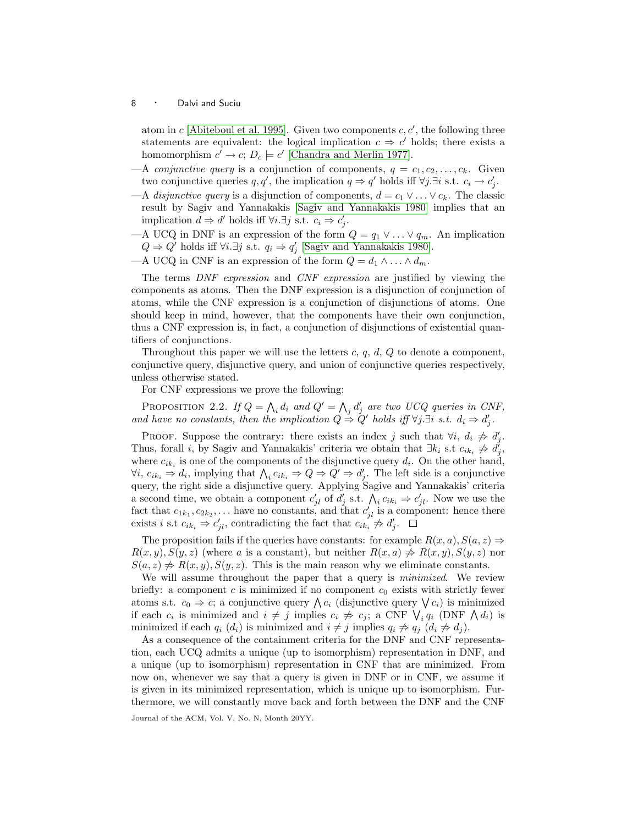atom in  $c$  [\[Abiteboul et al. 1995\]](#page-66-4). Given two components  $c, c'$ , the following three statements are equivalent: the logical implication  $c \Rightarrow c'$  holds; there exists a homomorphism  $c' \to c$ ;  $D_c \models c'$  [\[Chandra and Merlin 1977\]](#page-66-7).

- —A *conjunctive query* is a conjunction of components,  $q = c_1, c_2, \ldots, c_k$ . Given two conjunctive queries q, q', the implication  $q \Rightarrow q'$  holds iff  $\forall j.\exists i$  s.t.  $c_i \rightarrow c'_j$ .
- —A disjunctive query is a disjunction of components,  $d = c_1 \vee \ldots \vee c_k$ . The classic result by Sagiv and Yannakakis [\[Sagiv and Yannakakis 1980\]](#page-67-14) implies that an implication  $d \Rightarrow d'$  holds iff  $\forall i.\exists j$  s.t.  $c_i \Rightarrow c'_j$ .
- —A UCQ in DNF is an expression of the form  $Q = q_1 \vee \ldots \vee q_m$ . An implication  $Q \Rightarrow Q'$  holds iff  $\forall i.\exists j$  s.t.  $q_i \Rightarrow q'_j$  [\[Sagiv and Yannakakis 1980\]](#page-67-14).
- —A UCQ in CNF is an expression of the form  $Q = d_1 \wedge \ldots \wedge d_m$ .

The terms DNF expression and CNF expression are justified by viewing the components as atoms. Then the DNF expression is a disjunction of conjunction of atoms, while the CNF expression is a conjunction of disjunctions of atoms. One should keep in mind, however, that the components have their own conjunction, thus a CNF expression is, in fact, a conjunction of disjunctions of existential quantifiers of conjunctions.

Throughout this paper we will use the letters c, q, d, Q to denote a component, conjunctive query, disjunctive query, and union of conjunctive queries respectively, unless otherwise stated.

For CNF expressions we prove the following:

<span id="page-7-0"></span>PROPOSITION 2.2. If  $Q = \bigwedge_i d_i$  and  $Q' = \bigwedge_j d'_j$  are two UCQ queries in CNF, and have no constants, then the implication  $Q \stackrel{\sim}{\Rightarrow} Q'$  holds iff  $\forall j \exists i$  s.t.  $d_i \Rightarrow d'_j$ .

PROOF. Suppose the contrary: there exists an index j such that  $\forall i, d_i \neq d'_j$ . Thus, forall *i*, by Sagiv and Yannakakis' criteria we obtain that  $\exists k_i$  s.t  $c_{ik_i} \not\Rightarrow d_j^j$ , where  $c_{ik_i}$  is one of the components of the disjunctive query  $d_i$ . On the other hand,  $\forall i, c_{ik_i} \Rightarrow d_i$ , implying that  $\bigwedge_i c_{ik_i} \Rightarrow Q \Rightarrow Q' \Rightarrow d'_j$ . The left side is a conjunctive query, the right side a disjunctive query. Applying Sagive and Yannakakis' criteria a second time, we obtain a component  $c'_{jl}$  of  $d'_j$  s.t.  $\bigwedge_i c_{ik_i} \Rightarrow c'_{jl}$ . Now we use the fact that  $c_{1k_1}, c_{2k_2}, \ldots$  have no constants, and that  $c'_{jl}$  is a component: hence there exists i s.t  $c_{ik_i} \Rightarrow c'_{jl}$ , contradicting the fact that  $c_{ik_i} \not\Rightarrow d'_{j}$ .

The proposition fails if the queries have constants: for example  $R(x, a)$ ,  $S(a, z) \Rightarrow$  $R(x,y),S(y,z)$  (where a is a constant), but neither  $R(x,a) \neq R(x,y),S(y,z)$  nor  $S(a, z) \nless R(x, y), S(y, z)$ . This is the main reason why we eliminate constants.

We will assume throughout the paper that a query is *minimized*. We review briefly: a component  $c$  is minimized if no component  $c_0$  exists with strictly fewer atoms s.t.  $c_0 \Rightarrow c$ ; a conjunctive query  $\bigwedge c_i$  (disjunctive query  $\bigvee c_i$ ) is minimized if each  $c_i$  is minimized and  $i \neq j$  implies  $c_i \neq c_j$ ; a CNF  $\bigvee_i q_i$  (DNF  $\bigwedge d_i$ ) is minimized if each  $q_i$   $(d_i)$  is minimized and  $i \neq j$  implies  $q_i \neq q_j$   $(d_i \neq d_j)$ .

As a consequence of the containment criteria for the DNF and CNF representation, each UCQ admits a unique (up to isomorphism) representation in DNF, and a unique (up to isomorphism) representation in CNF that are minimized. From now on, whenever we say that a query is given in DNF or in CNF, we assume it is given in its minimized representation, which is unique up to isomorphism. Furthermore, we will constantly move back and forth between the DNF and the CNF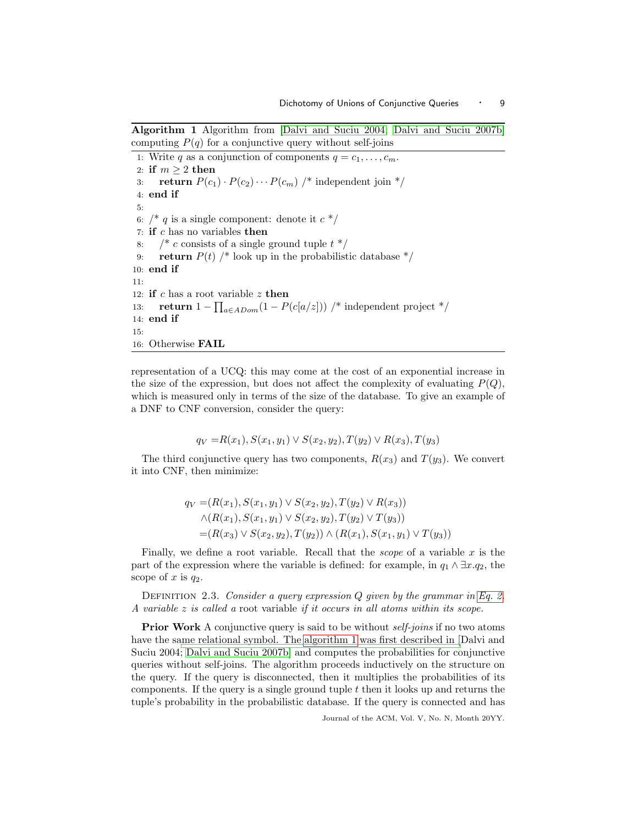Algorithm 1 Algorithm from [\[Dalvi and Suciu 2004;](#page-66-0) [Dalvi and Suciu 2007b\]](#page-66-1) computing  $P(q)$  for a conjunctive query without self-joins

<span id="page-8-0"></span>1: Write q as a conjunction of components  $q = c_1, \ldots, c_m$ . 2: if  $m > 2$  then 3: return  $P(c_1) \cdot P(c_2) \cdots P(c_m)$  /\* independent join \*/ 4: end if 5: 6:  $/* q$  is a single component: denote it  $c*/$ 7: if  $c$  has no variables then 8:  $\frac{1}{2}$  c consists of a single ground tuple  $t \frac{1}{2}$ 9: return  $P(t)$  /\* look up in the probabilistic database  $\frac{*}{t}$ 10: end if 11: 12: if c has a root variable  $z$  then 13: **return**  $1 - \prod_{a \in ADom}(1 - P(c[a/z]))$  /\* independent project \*/ 14: end if 15: 16: Otherwise FAIL

representation of a UCQ: this may come at the cost of an exponential increase in the size of the expression, but does not affect the complexity of evaluating  $P(Q)$ , which is measured only in terms of the size of the database. To give an example of a DNF to CNF conversion, consider the query:

$$
q_V = R(x_1), S(x_1, y_1) \lor S(x_2, y_2), T(y_2) \lor R(x_3), T(y_3)
$$

The third conjunctive query has two components,  $R(x_3)$  and  $T(y_3)$ . We convert it into CNF, then minimize:

$$
q_V = (R(x_1), S(x_1, y_1) \vee S(x_2, y_2), T(y_2) \vee R(x_3))
$$
  
 
$$
\wedge (R(x_1), S(x_1, y_1) \vee S(x_2, y_2), T(y_2) \vee T(y_3))
$$
  

$$
= (R(x_3) \vee S(x_2, y_2), T(y_2)) \wedge (R(x_1), S(x_1, y_1) \vee T(y_3))
$$

Finally, we define a root variable. Recall that the *scope* of a variable x is the part of the expression where the variable is defined: for example, in  $q_1 \wedge \exists x . q_2$ , the scope of x is  $q_2$ .

DEFINITION 2.3. Consider a query expression  $Q$  given by the grammar in [Eq. 2.](#page-5-1) A variable z is called a root variable if it occurs in all atoms within its scope.

**Prior Work** A conjunctive query is said to be without *self-joins* if no two atoms have the s[ame relational symbol. The](#page-66-0) [algorithm 1](#page-8-0) [was first described in \[](#page-66-0)Dalvi and Suciu 2004; [Dalvi and Suciu 2007b\]](#page-66-1) and computes the probabilities for conjunctive queries without self-joins. The algorithm proceeds inductively on the structure on the query. If the query is disconnected, then it multiplies the probabilities of its components. If the query is a single ground tuple  $t$  then it looks up and returns the tuple's probability in the probabilistic database. If the query is connected and has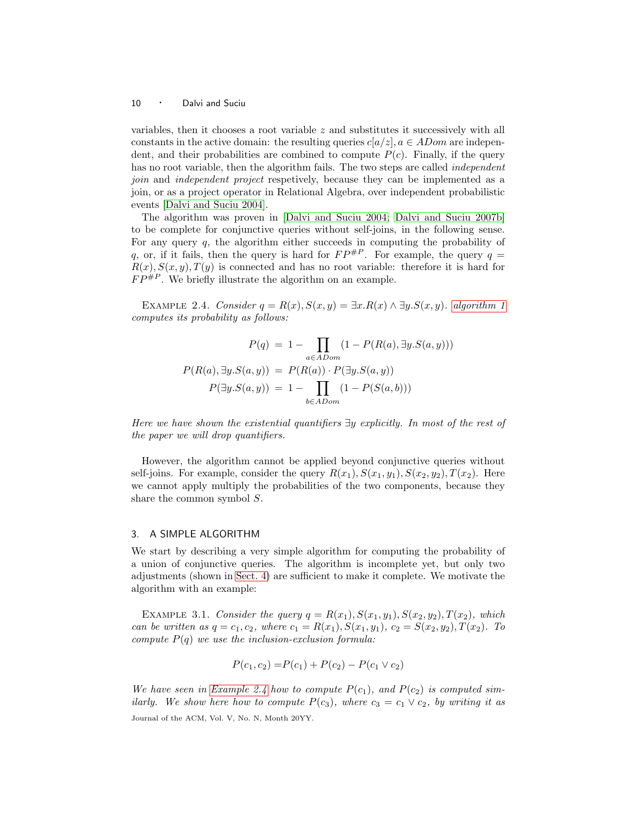variables, then it chooses a root variable z and substitutes it successively with all constants in the active domain: the resulting queries  $c[a/z]$ ,  $a \in AD$  are independent, and their probabilities are combined to compute  $P(c)$ . Finally, if the query has no root variable, then the algorithm fails. The two steps are called *independent* join and independent project respetively, because they can be implemented as a join, or as a project operator in Relational Algebra, over independent probabilistic events [\[Dalvi and Suciu 2004\]](#page-66-0).

The algorithm was proven in [\[Dalvi and Suciu 2004;](#page-66-0) [Dalvi and Suciu 2007b\]](#page-66-1) to be complete for conjunctive queries without self-joins, in the following sense. For any query  $q$ , the algorithm either succeeds in computing the probability of q, or, if it fails, then the query is hard for  $FP^{p}$ . For example, the query  $q =$  $R(x), S(x, y), T(y)$  is connected and has no root variable: therefore it is hard for  $FP^{\#P}$ . We briefly illustrate the algorithm on an example.

<span id="page-9-1"></span>EXAMPLE 2.4. Consider  $q = R(x), S(x, y) = \exists x. R(x) \wedge \exists y. S(x, y)$ . [algorithm 1](#page-8-0) computes its probability as follows:

$$
P(q) = 1 - \prod_{a \in ADom} (1 - P(R(a), \exists y.S(a, y)))
$$

$$
P(R(a), \exists y.S(a, y)) = P(R(a)) \cdot P(\exists y.S(a, y))
$$

$$
P(\exists y.S(a, y)) = 1 - \prod_{b \in ADom} (1 - P(S(a, b)))
$$

Here we have shown the existential quantifiers  $\exists y$  explicitly. In most of the rest of the paper we will drop quantifiers.

However, the algorithm cannot be applied beyond conjunctive queries without self-joins. For example, consider the query  $R(x_1), S(x_1,y_1), S(x_2,y_2), T(x_2)$ . Here we cannot apply multiply the probabilities of the two components, because they share the common symbol S.

# <span id="page-9-0"></span>3. A SIMPLE ALGORITHM

We start by describing a very simple algorithm for computing the probability of a union of conjunctive queries. The algorithm is incomplete yet, but only two adjustments (shown in [Sect. 4\)](#page-13-0) are sufficient to make it complete. We motivate the algorithm with an example:

EXAMPLE 3.1. Consider the query  $q = R(x_1), S(x_1, y_1), S(x_2, y_2), T(x_2),$  which can be written as  $q = c_1, c_2$ , where  $c_1 = R(x_1), S(x_1, y_1), c_2 = S(x_2, y_2), T(x_2)$ . To compute  $P(q)$  we use the inclusion-exclusion formula:

$$
P(c_1, c_2) = P(c_1) + P(c_2) - P(c_1 \vee c_2)
$$

We have seen in [Example 2.4](#page-9-1) how to compute  $P(c_1)$ , and  $P(c_2)$  is computed similarly. We show here how to compute  $P(c_3)$ , where  $c_3 = c_1 \vee c_2$ , by writing it as Journal of the ACM, Vol. V, No. N, Month 20YY.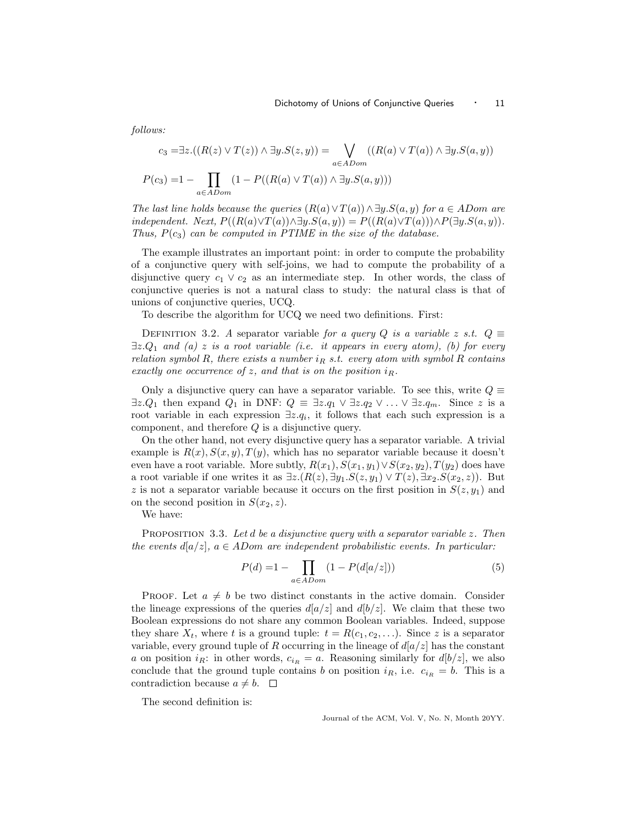$$
c_3 = \exists z. ((R(z) \lor T(z)) \land \exists y. S(z, y)) = \bigvee_{a \in ADom} ((R(a) \lor T(a)) \land \exists y. S(a, y))
$$

$$
P(c_3) = 1 - \prod_{a \in ADom} (1 - P((R(a) \lor T(a)) \land \exists y. S(a, y)))
$$

The last line holds because the queries  $(R(a) \vee T(a)) \wedge \exists y . S(a, y)$  for  $a \in ADom$  are independent. Next,  $P((R(a)\vee T(a))\wedge \exists y.S(a,y)) = P((R(a)\vee T(a)))\wedge P(\exists y.S(a,y)).$ Thus,  $P(c_3)$  can be computed in PTIME in the size of the database.

The example illustrates an important point: in order to compute the probability of a conjunctive query with self-joins, we had to compute the probability of a disjunctive query  $c_1 \vee c_2$  as an intermediate step. In other words, the class of conjunctive queries is not a natural class to study: the natural class is that of unions of conjunctive queries, UCQ.

To describe the algorithm for UCQ we need two definitions. First:

<span id="page-10-2"></span>DEFINITION 3.2. A separator variable for a query Q is a variable z s.t.  $Q \equiv$  $\exists z.Q_1$  and (a) z is a root variable (i.e. it appears in every atom), (b) for every relation symbol R, there exists a number  $i_R$  s.t. every atom with symbol R contains exactly one occurrence of z, and that is on the position  $i_R$ .

Only a disjunctive query can have a separator variable. To see this, write  $Q \equiv$  $\exists z.Q_1$  then expand  $Q_1$  in DNF:  $Q \equiv \exists z.q_1 \vee \exists z.q_2 \vee \ldots \vee \exists z.q_m$ . Since z is a root variable in each expression  $\exists z \, q_i$ , it follows that each such expression is a component, and therefore Q is a disjunctive query.

On the other hand, not every disjunctive query has a separator variable. A trivial example is  $R(x)$ ,  $S(x, y)$ ,  $T(y)$ , which has no separator variable because it doesn't even have a root variable. More subtly,  $R(x_1), S(x_1,y_1) \vee S(x_2,y_2), T(y_2)$  does have a root variable if one writes it as  $\exists z.(R(z), \exists y_1.S(z,y_1) \vee T(z), \exists x_2.S(x_2,z))$ . But z is not a separator variable because it occurs on the first position in  $S(z, y_1)$  and on the second position in  $S(x_2, z)$ .

We have:

follows:

PROPOSITION 3.3. Let  $d$  be a disjunctive query with a separator variable  $z$ . Then the events  $d[a/z]$ ,  $a \in$  ADom are independent probabilistic events. In particular:

<span id="page-10-0"></span>
$$
P(d) = 1 - \prod_{a \in ADom} (1 - P(d[a/z])) \tag{5}
$$

**PROOF.** Let  $a \neq b$  be two distinct constants in the active domain. Consider the lineage expressions of the queries  $d[a/z]$  and  $d[b/z]$ . We claim that these two Boolean expressions do not share any common Boolean variables. Indeed, suppose they share  $X_t$ , where t is a ground tuple:  $t = R(c_1, c_2,...)$ . Since z is a separator variable, every ground tuple of R occurring in the lineage of  $d[a/z]$  has the constant a on position  $i_R$ : in other words,  $c_{i_R} = a$ . Reasoning similarly for  $d[b/z]$ , we also conclude that the ground tuple contains b on position  $i_R$ , i.e.  $c_{i_R} = b$ . This is a contradiction because  $a \neq b$ .  $\Box$ 

<span id="page-10-1"></span>The second definition is: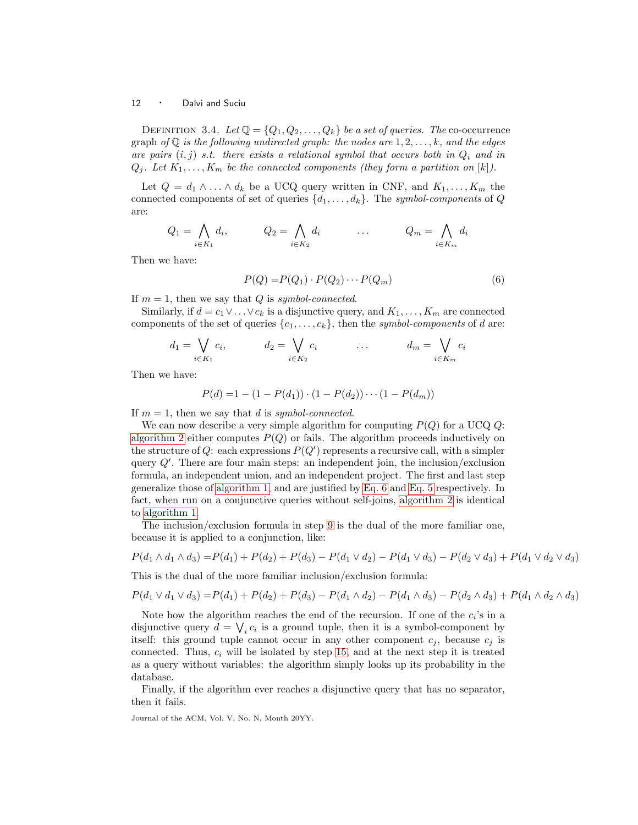DEFINITION 3.4. Let  $\mathbb{Q} = \{Q_1, Q_2, \ldots, Q_k\}$  be a set of queries. The co-occurrence graph of  $\mathbb Q$  is the following undirected graph: the nodes are  $1, 2, \ldots, k$ , and the edges are pairs  $(i, j)$  s.t. there exists a relational symbol that occurs both in  $Q_i$  and in  $Q_i$ . Let  $K_1,\ldots,K_m$  be the connected components (they form a partition on  $[k]$ ).

Let  $Q = d_1 \wedge \ldots \wedge d_k$  be a UCQ query written in CNF, and  $K_1, \ldots, K_m$  the connected components of set of queries  $\{d_1, \ldots, d_k\}$ . The symbol-components of Q are:

$$
Q_1 = \bigwedge_{i \in K_1} d_i, \qquad Q_2 = \bigwedge_{i \in K_2} d_i \qquad \qquad Q_m = \bigwedge_{i \in K_m} d_i
$$

Then we have:

<span id="page-11-0"></span>
$$
P(Q) = P(Q_1) \cdot P(Q_2) \cdots P(Q_m)
$$
\n
$$
(6)
$$

If  $m = 1$ , then we say that Q is symbol-connected.

Similarly, if  $d = c_1 \vee \ldots \vee c_k$  is a disjunctive query, and  $K_1, \ldots, K_m$  are connected components of the set of queries  $\{c_1,\ldots,c_k\}$ , then the symbol-components of d are:

$$
d_1 = \bigvee_{i \in K_1} c_i, \qquad d_2 = \bigvee_{i \in K_2} c_i \qquad \dots \qquad d_m = \bigvee_{i \in K_m} c_i
$$

Then we have:

$$
P(d) = 1 - (1 - P(d_1)) \cdot (1 - P(d_2)) \cdots (1 - P(d_m))
$$

If  $m = 1$ , then we say that d is symbol-connected.

We can now describe a very simple algorithm for computing  $P(Q)$  for a UCQ Q: [algorithm 2](#page-12-0) either computes  $P(Q)$  or fails. The algorithm proceeds inductively on the structure of Q: each expressions  $P(Q')$  represents a recursive call, with a simpler query Q′ . There are four main steps: an independent join, the inclusion/exclusion formula, an independent union, and an independent project. The first and last step generalize those of [algorithm 1,](#page-8-0) and are justified by [Eq. 6](#page-11-0) and [Eq. 5](#page-10-0) respectively. In fact, when run on a conjunctive queries without self-joins, [algorithm 2](#page-12-0) is identical to [algorithm 1.](#page-8-0)

The inclusion/exclusion formula in step [9](#page-12-1) is the dual of the more familiar one, because it is applied to a conjunction, like:

$$
P(d_1 \wedge d_1 \wedge d_3) = P(d_1) + P(d_2) + P(d_3) - P(d_1 \vee d_2) - P(d_1 \vee d_3) - P(d_2 \vee d_3) + P(d_1 \vee d_2 \vee d_3)
$$

This is the dual of the more familiar inclusion/exclusion formula:

$$
P(d_1 \vee d_1 \vee d_3) = P(d_1) + P(d_2) + P(d_3) - P(d_1 \wedge d_2) - P(d_1 \wedge d_3) - P(d_2 \wedge d_3) + P(d_1 \wedge d_2 \wedge d_3)
$$

Note how the algorithm reaches the end of the recursion. If one of the  $c_i$ 's in a disjunctive query  $d = \bigvee_i c_i$  is a ground tuple, then it is a symbol-component by itself: this ground tuple cannot occur in any other component  $c_j$ , because  $c_j$  is connected. Thus,  $c_i$  will be isolated by step [15,](#page-12-2) and at the next step it is treated as a query without variables: the algorithm simply looks up its probability in the database.

Finally, if the algorithm ever reaches a disjunctive query that has no separator, then it fails.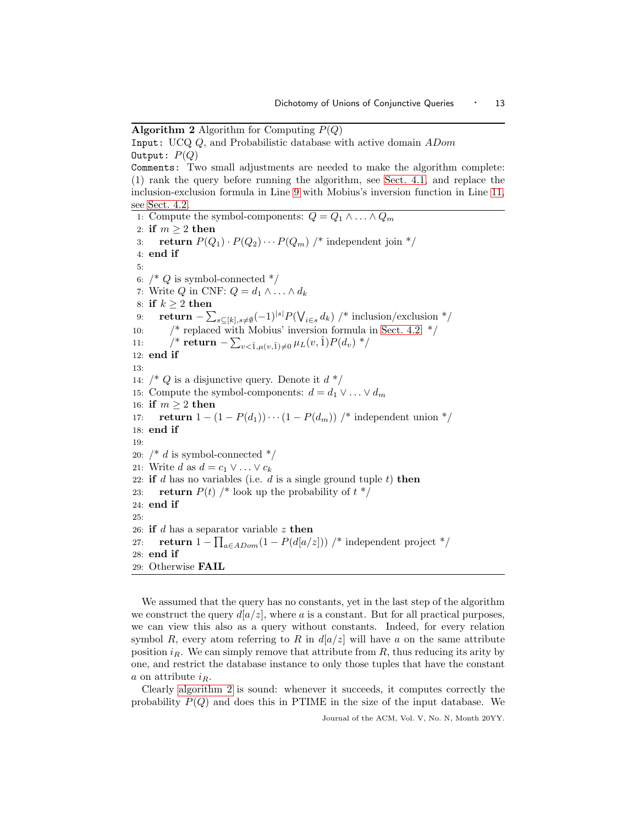**Algorithm 2** Algorithm for Computing  $P(Q)$ 

```
Input: UCQ Q, and Probabilistic database with active domain ADom
Output: P(Q)Comments: Two small adjustments are needed to make the algorithm complete:
(1) rank the query before running the algorithm, see Sect. 4.1, and replace the
inclusion-exclusion formula in Line 9 with Mobius's inversion function in Line 11,
see Sect. 4.2.
 1: Compute the symbol-components: Q = Q_1 \wedge \ldots \wedge Q_m2: if m \geq 2 then
 3: return P(Q_1) \cdot P(Q_2) \cdots P(Q_m) /* independent join */
 4: end if
 5:
 6: /* Q is symbol-connected */7: Write Q in CNF: Q = d_1 \wedge \ldots \wedge d_k8: if k \geq 2 then
 9: return -\sum_{s\subseteq[k],s\neq\emptyset}(-1)^{|s|}P(\bigvee_{i\in s}d_k) /* inclusion/exclusion */
10: \frac{1}{2} Sect. 4.2: */
11: ⁄* return − \sum_{v < \hat{1}, \mu(v,\hat{1}) \neq 0} \mu_L(v,\hat{1}) P(d_v) */
12: end if
13:
14: \frac{1}{2} (* Q is a disjunctive query. Denote it d \frac{1}{2}15: Compute the symbol-components: d = d_1 \vee \ldots \vee d_m16: if m \geq 2 then
17: return 1 - (1 - P(d_1)) \cdots (1 - P(d_m)) /* independent union */
18: end if
19:
20: /* d is symbol-connected */21: Write d as d = c_1 \vee \ldots \vee c_k22: if d has no variables (i.e. d is a single ground tuple t) then
23: return P(t) /* look up the probability of t^*/24: end if
25:
26: if d has a separator variable z then
27: return 1 - \prod_{a \in ADom} (1 - P(d[a/z])) /* independent project */
28: end if
29: Otherwise FAIL
```
<span id="page-12-5"></span><span id="page-12-2"></span>We assumed that the query has no constants, yet in the last step of the algorithm we construct the query  $d[a/z]$ , where a is a constant. But for all practical purposes, we can view this also as a query without constants. Indeed, for every relation symbol R, every atom referring to R in  $d|a/z|$  will have a on the same attribute position  $i_R$ . We can simply remove that attribute from  $R$ , thus reducing its arity by one, and restrict the database instance to only those tuples that have the constant a on attribute  $i_R$ .

Clearly [algorithm 2](#page-12-0) is sound: whenever it succeeds, it computes correctly the probability  $P(Q)$  and does this in PTIME in the size of the input database. We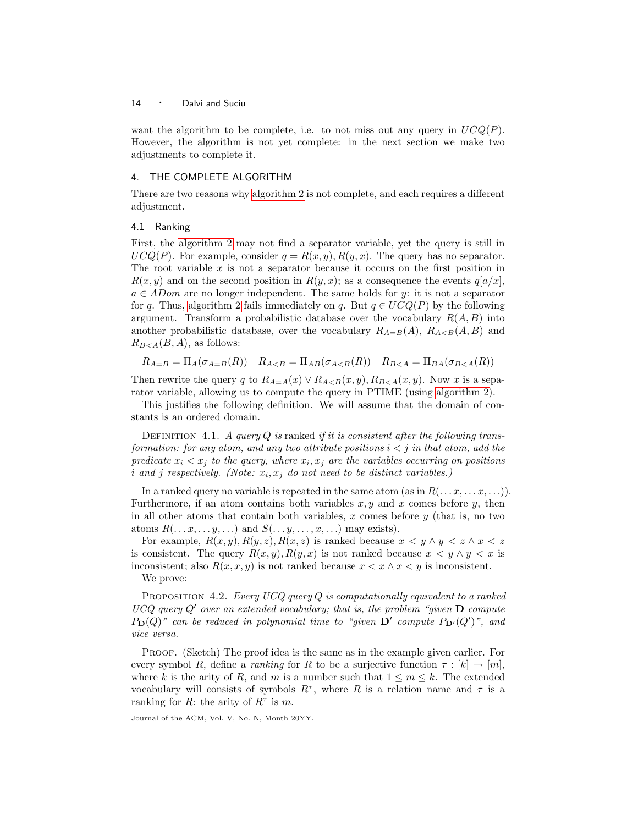want the algorithm to be complete, i.e. to not miss out any query in  $UCQ(P)$ . However, the algorithm is not yet complete: in the next section we make two adjustments to complete it.

# <span id="page-13-0"></span>4. THE COMPLETE ALGORITHM

There are two reasons why [algorithm 2](#page-12-0) is not complete, and each requires a different adjustment.

### <span id="page-13-1"></span>4.1 Ranking

First, the [algorithm 2](#page-12-0) may not find a separator variable, yet the query is still in  $UCQ(P)$ . For example, consider  $q = R(x, y), R(y, x)$ . The query has no separator. The root variable  $x$  is not a separator because it occurs on the first position in  $R(x, y)$  and on the second position in  $R(y, x)$ ; as a consequence the events  $q[a/x]$ ,  $a \in ADom$  are no longer independent. The same holds for y: it is not a separator for q. Thus, [algorithm 2](#page-12-0) fails immediately on q. But  $q \in UCQ(P)$  by the following argument. Transform a probabilistic database over the vocabulary  $R(A, B)$  into another probabilistic database, over the vocabulary  $R_{A=B}(A), R_{A and$  $R_{B < A}(B, A)$ , as follows:

$$
R_{A=B} = \Pi_A(\sigma_{A=B}(R)) \quad R_{A
$$

Then rewrite the query q to  $R_{A=A}(x) \vee R_{A. Now x is a sepa$ rator variable, allowing us to compute the query in PTIME (using [algorithm 2\)](#page-12-0).

<span id="page-13-2"></span>This justifies the following definition. We will assume that the domain of constants is an ordered domain.

DEFINITION 4.1. A query  $Q$  is ranked if it is consistent after the following transformation: for any atom, and any two attribute positions  $i < j$  in that atom, add the predicate  $x_i < x_j$  to the query, where  $x_i, x_j$  are the variables occurring on positions i and j respectively. (Note:  $x_i, x_j$  do not need to be distinct variables.)

In a ranked query no variable is repeated in the same atom (as in  $R(\ldots x, \ldots x, \ldots)$ ). Furthermore, if an atom contains both variables  $x, y$  and  $x$  comes before  $y$ , then in all other atoms that contain both variables, x comes before  $y$  (that is, no two atoms  $R(\ldots x, \ldots y, \ldots)$  and  $S(\ldots y, \ldots, x, \ldots)$  may exists).

For example,  $R(x,y), R(y,z), R(x,z)$  is ranked because  $x \leq y \land y \leq z \land x \leq z$ is consistent. The query  $R(x,y), R(y,x)$  is not ranked because  $x < y \wedge y < x$  is inconsistent; also  $R(x, x, y)$  is not ranked because  $x < x \land x < y$  is inconsistent. We prove:

PROPOSITION 4.2. Every UCQ query  $Q$  is computationally equivalent to a ranked  $UCQ$  query  $Q'$  over an extended vocabulary; that is, the problem "given  $D$  compute  $P_{\mathbf{D}}(Q)$ " can be reduced in polynomial time to "given  $\mathbf{D}'$  compute  $P_{\mathbf{D}'}(Q')$ ", and vice versa.

Proof. (Sketch) The proof idea is the same as in the example given earlier. For every symbol R, define a *ranking* for R to be a surjective function  $\tau : [k] \to [m]$ , where k is the arity of R, and m is a number such that  $1 \leq m \leq k$ . The extended vocabulary will consists of symbols  $R^{\tau}$ , where R is a relation name and  $\tau$  is a ranking for R: the arity of  $R^{\tau}$  is m.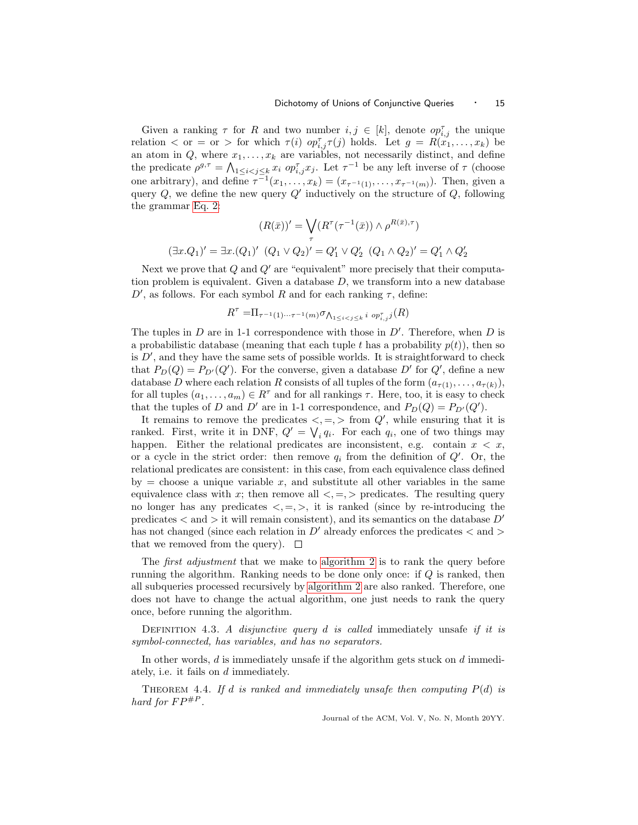Given a ranking  $\tau$  for R and two number  $i, j \in [k]$ , denote  $op_{i,j}^{\tau}$  the unique relation  $\langle$  or  $=$  or  $\rangle$  for which  $\tau(i)$   $op_{i,j}^{\tau} \tau(j)$  holds. Let  $g = R(x_1, \ldots, x_k)$  be an atom in Q, where  $x_1, \ldots, x_k$  are variables, not necessarily distinct, and define the predicate  $\rho^{g,\tau} = \bigwedge_{1 \leq i < j \leq k} x_i$   $op_{i,j}^{\tau} x_j$ . Let  $\tau^{-1}$  be any left inverse of  $\tau$  (choose one arbitrary), and define  $\tau^{-1}(x_1,\ldots,x_k)=(x_{\tau^{-1}(1)},\ldots,x_{\tau^{-1}(m)})$ . Then, given a query  $Q$ , we define the new query  $Q'$  inductively on the structure of  $Q$ , following the grammar [Eq. 2:](#page-5-1)

$$
(R(\bar{x}))' = \bigvee_{\tau} (R^{\tau}(\tau^{-1}(\bar{x})) \wedge \rho^{R(\bar{x}), \tau})
$$

$$
(\exists x . Q_1)' = \exists x . (Q_1)' (Q_1 \vee Q_2)' = Q'_1 \vee Q'_2 (Q_1 \wedge Q_2)' = Q'_1 \wedge Q'_2
$$

Next we prove that  $Q$  and  $Q'$  are "equivalent" more precisely that their computation problem is equivalent. Given a database  $D$ , we transform into a new database  $D'$ , as follows. For each symbol R and for each ranking  $\tau$ , define:

$$
R^{\tau} = \Pi_{\tau^{-1}(1)\cdots\tau^{-1}(m)} \sigma_{\bigwedge_{1 \leq i < j \leq k} i} \circ p_{i,j}^{\tau} j(R)
$$

The tuples in  $D$  are in 1-1 correspondence with those in  $D'$ . Therefore, when  $D$  is a probabilistic database (meaning that each tuple t has a probability  $p(t)$ ), then so is  $D'$ , and they have the same sets of possible worlds. It is straightforward to check that  $P_D(Q) = P_{D'}(Q')$ . For the converse, given a database D' for Q', define a new database D where each relation R consists of all tuples of the form  $(a_{\tau(1)},..., a_{\tau(k)})$ , for all tuples  $(a_1, \ldots, a_m) \in R^{\tau}$  and for all rankings  $\tau$ . Here, too, it is easy to check that the tuples of D and D' are in 1-1 correspondence, and  $P_D(Q) = P_{D'}(Q')$ .

It remains to remove the predicates  $\langle , = , \rangle$  from  $Q'$ , while ensuring that it is ranked. First, write it in DNF,  $Q' = \bigvee_i q_i$ . For each  $q_i$ , one of two things may happen. Either the relational predicates are inconsistent, e.g. contain  $x < x$ , or a cycle in the strict order: then remove  $q_i$  from the definition of  $Q'$ . Or, the relational predicates are consistent: in this case, from each equivalence class defined by  $=$  choose a unique variable x, and substitute all other variables in the same equivalence class with x; then remove all  $\lt, =, >$  predicates. The resulting query no longer has any predicates  $\langle , = , \rangle$ , it is ranked (since by re-introducing the predicates  $\langle$  and  $\rangle$  it will remain consistent), and its semantics on the database  $D'$ has not changed (since each relation in  $D'$  already enforces the predicates  $\langle$  and  $\rangle$ that we removed from the query).  $\square$ 

The *first adjustment* that we make to [algorithm 2](#page-12-0) is to rank the query before running the algorithm. Ranking needs to be done only once: if Q is ranked, then all subqueries processed recursively by [algorithm 2](#page-12-0) are also ranked. Therefore, one does not have to change the actual algorithm, one just needs to rank the query once, before running the algorithm.

<span id="page-14-1"></span>DEFINITION 4.3. A disjunctive query  $d$  is called immediately unsafe if it is symbol-connected, has variables, and has no separators.

<span id="page-14-0"></span>In other words, d is immediately unsafe if the algorithm gets stuck on d immediately, i.e. it fails on d immediately.

THEOREM 4.4. If d is ranked and immediately unsafe then computing  $P(d)$  is hard for  $FP^{\#P}$ .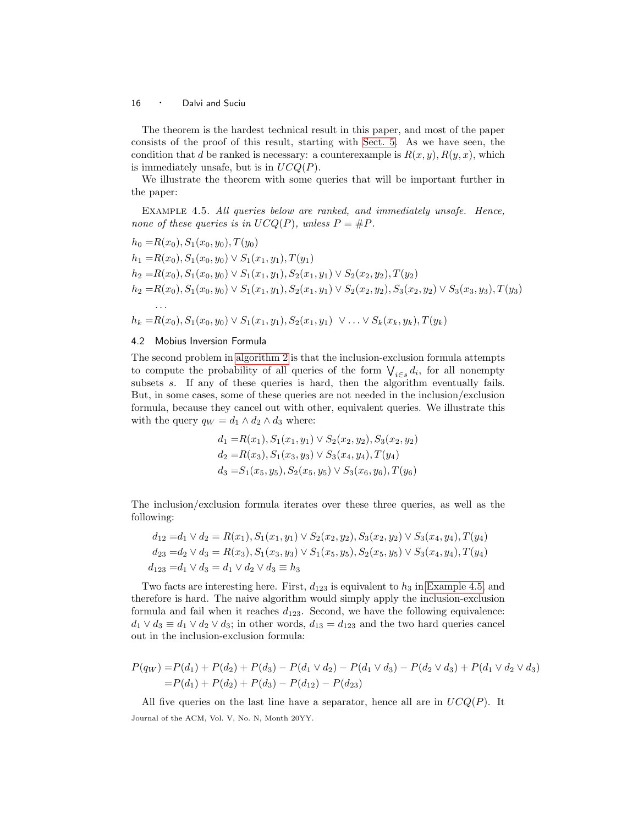The theorem is the hardest technical result in this paper, and most of the paper consists of the proof of this result, starting with [Sect. 5.](#page-23-0) As we have seen, the condition that d be ranked is necessary: a counterexample is  $R(x, y), R(y, x)$ , which is immediately unsafe, but is in  $UCQ(P)$ .

<span id="page-15-1"></span>We illustrate the theorem with some queries that will be important further in the paper:

Example 4.5. All queries below are ranked, and immediately unsafe. Hence, none of these queries is in  $UCQ(P)$ , unless  $P = \#P$ .

$$
h_0 = R(x_0), S_1(x_0, y_0), T(y_0)
$$
  
\n
$$
h_1 = R(x_0), S_1(x_0, y_0) \vee S_1(x_1, y_1), T(y_1)
$$
  
\n
$$
h_2 = R(x_0), S_1(x_0, y_0) \vee S_1(x_1, y_1), S_2(x_1, y_1) \vee S_2(x_2, y_2), T(y_2)
$$
  
\n
$$
h_2 = R(x_0), S_1(x_0, y_0) \vee S_1(x_1, y_1), S_2(x_1, y_1) \vee S_2(x_2, y_2), S_3(x_2, y_2) \vee S_3(x_3, y_3), T(y_3)
$$
  
\n...  
\n
$$
h_k = R(x_0), S_1(x_0, y_0) \vee S_1(x_1, y_1), S_2(x_1, y_1) \vee \dots \vee S_k(x_k, y_k), T(y_k)
$$

## <span id="page-15-0"></span>4.2 Mobius Inversion Formula

The second problem in [algorithm 2](#page-12-0) is that the inclusion-exclusion formula attempts to compute the probability of all queries of the form  $\bigvee_{i\in s}d_i$ , for all nonempty subsets s. If any of these queries is hard, then the algorithm eventually fails. But, in some cases, some of these queries are not needed in the inclusion/exclusion formula, because they cancel out with other, equivalent queries. We illustrate this with the query  $q_W = d_1 \wedge d_2 \wedge d_3$  where:

$$
d_1 = R(x_1), S_1(x_1, y_1) \vee S_2(x_2, y_2), S_3(x_2, y_2)
$$
  
\n
$$
d_2 = R(x_3), S_1(x_3, y_3) \vee S_3(x_4, y_4), T(y_4)
$$
  
\n
$$
d_3 = S_1(x_5, y_5), S_2(x_5, y_5) \vee S_3(x_6, y_6), T(y_6)
$$

The inclusion/exclusion formula iterates over these three queries, as well as the following:

$$
d_{12} = d_1 \vee d_2 = R(x_1), S_1(x_1, y_1) \vee S_2(x_2, y_2), S_3(x_2, y_2) \vee S_3(x_4, y_4), T(y_4)
$$
  
\n
$$
d_{23} = d_2 \vee d_3 = R(x_3), S_1(x_3, y_3) \vee S_1(x_5, y_5), S_2(x_5, y_5) \vee S_3(x_4, y_4), T(y_4)
$$
  
\n
$$
d_{123} = d_1 \vee d_3 = d_1 \vee d_2 \vee d_3 \equiv h_3
$$

Two facts are interesting here. First,  $d_{123}$  is equivalent to  $h_3$  in [Example 4.5,](#page-15-1) and therefore is hard. The naive algorithm would simply apply the inclusion-exclusion formula and fail when it reaches  $d_{123}$ . Second, we have the following equivalence:  $d_1 \vee d_3 \equiv d_1 \vee d_2 \vee d_3$ ; in other words,  $d_{13} = d_{123}$  and the two hard queries cancel out in the inclusion-exclusion formula:

$$
P(q_W) = P(d_1) + P(d_2) + P(d_3) - P(d_1 \vee d_2) - P(d_1 \vee d_3) - P(d_2 \vee d_3) + P(d_1 \vee d_2 \vee d_3)
$$
  
=  $P(d_1) + P(d_2) + P(d_3) - P(d_{12}) - P(d_{23})$ 

All five queries on the last line have a separator, hence all are in  $UCQ(P)$ . It Journal of the ACM, Vol. V, No. N, Month 20YY.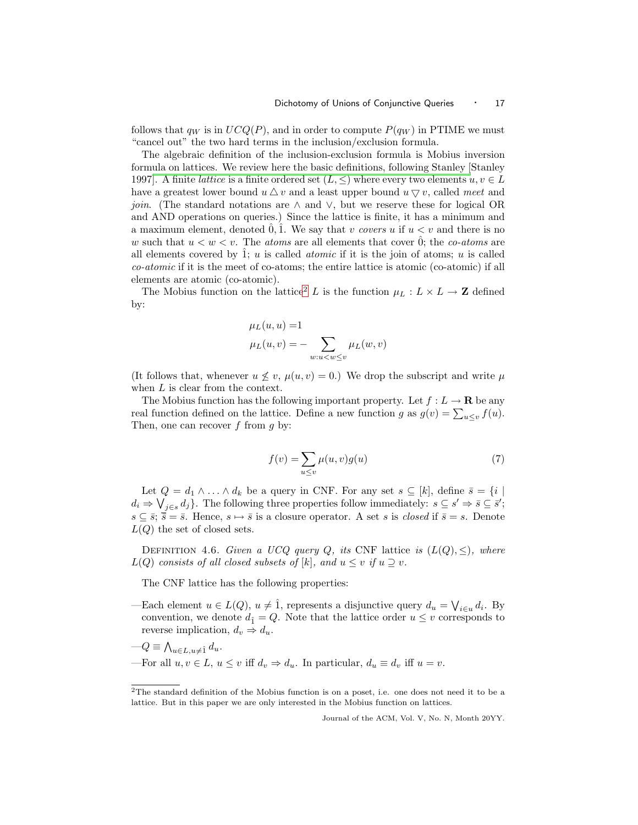follows that  $q_W$  is in  $UCQ(P)$ , and in order to compute  $P(q_W)$  in PTIME we must "cancel out" the two hard terms in the inclusion/exclusion formula.

The algebraic definition of the inclusion-exclusion formula is Mobius inversion formula on lattices. We review here the basic definitions, following Stanley [Stanley 1997]. A finite *lattice* is a finite ordered set  $(L, \leq)$  where every two elements  $u, v \in L$ have a greatest lower bound  $u \Delta v$  and a least upper bound  $u \nabla v$ , called meet and *join.* (The standard notations are  $\land$  and  $\lor$ , but we reserve these for logical OR and AND operations on queries.) Since the lattice is finite, it has a minimum and a maximum element, denoted  $\hat{0}$ ,  $\hat{1}$ . We say that v covers u if  $u < v$  and there is no w such that  $u < w < v$ . The *atoms* are all elements that cover  $\hat{0}$ ; the *co-atoms* are all elements covered by  $\hat{1}$ ; u is called *atomic* if it is the join of atoms; u is called co-atomic if it is the meet of co-atoms; the entire lattice is atomic (co-atomic) if all elements are atomic (co-atomic).

The Mobius function on the lattice<sup>[2](#page-16-0)</sup> L is the function  $\mu_L : L \times L \to \mathbb{Z}$  defined by:

$$
\mu_L(u, u) = 1
$$
  

$$
\mu_L(u, v) = -\sum_{w: u < w \le v} \mu_L(w, v)
$$

(It follows that, whenever  $u \nleq v$ ,  $\mu(u,v) = 0$ .) We drop the subscript and write  $\mu$ when  $L$  is clear from the context.

The Mobius function has the following important property. Let  $f: L \to \mathbf{R}$  be any real function defined on the lattice. Define a new function g as  $g(v) = \sum_{u \le v} f(u)$ . Then, one can recover  $f$  from  $g$  by:

$$
f(v) = \sum_{u \le v} \mu(u, v)g(u)
$$
\n<sup>(7)</sup>

Let  $Q = d_1 \wedge \ldots \wedge d_k$  be a query in CNF. For any set  $s \subseteq [k]$ , define  $\overline{s} = \{i \mid s \in [k] : s \in [k] \}$  $d_i \Rightarrow \bigvee_{j \in s} d_j$ . The following three properties follow immediately:  $s \subseteq s' \Rightarrow \overline{s} \subseteq \overline{s}'$ ;  $s \subseteq \bar{s}; \bar{s} = \bar{s}$ . Hence,  $s \mapsto \bar{s}$  is a closure operator. A set s is *closed* if  $\bar{s} = s$ . Denote  $L(Q)$  the set of closed sets.

DEFINITION 4.6. Given a UCQ query Q, its CNF lattice is  $(L(Q), \leq)$ , where  $L(Q)$  consists of all closed subsets of [k], and  $u \leq v$  if  $u \supseteq v$ .

The CNF lattice has the following properties:

- —Each element  $u \in L(Q)$ ,  $u \neq \hat{1}$ , represents a disjunctive query  $d_u = \bigvee_{i \in u} d_i$ . By convention, we denote  $d_1 = Q$ . Note that the lattice order  $u \leq v$  corresponds to reverse implication,  $d_v \Rightarrow d_u$ .
- $-Q \equiv \bigwedge_{u \in L, u \neq \hat{1}} d_u.$ —For all  $u, v \in L$ ,  $u \leq v$  iff  $d_v \Rightarrow d_u$ . In particular,  $d_u \equiv d_v$  iff  $u = v$ .

<span id="page-16-0"></span><sup>2</sup>The standard definition of the Mobius function is on a poset, i.e. one does not need it to be a lattice. But in this paper we are only interested in the Mobius function on lattices.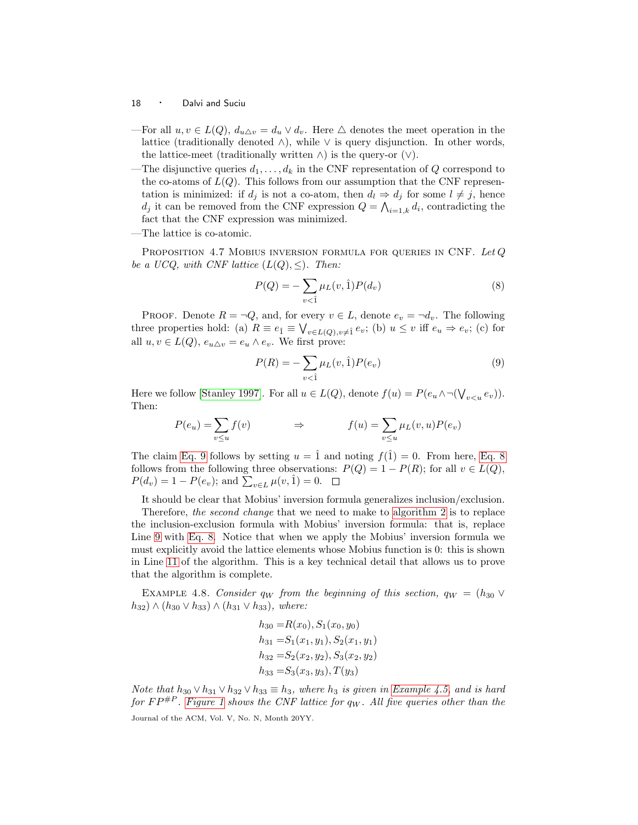- —For all  $u, v \in L(Q)$ ,  $d_{u \Delta v} = d_u \vee d_v$ . Here  $\Delta$  denotes the meet operation in the lattice (traditionally denoted  $\wedge$ ), while  $\vee$  is query disjunction. In other words, the lattice-meet (traditionally written  $\wedge$ ) is the query-or  $(\vee)$ .
- —The disjunctive queries  $d_1, \ldots, d_k$  in the CNF representation of Q correspond to the co-atoms of  $L(Q)$ . This follows from our assumption that the CNF representation is minimized: if  $d_j$  is not a co-atom, then  $d_l \Rightarrow d_j$  for some  $l \neq j$ , hence  $d_j$  it can be removed from the CNF expression  $Q = \bigwedge_{i=1,k} d_i$ , contradicting the fact that the CNF expression was minimized.
- —The lattice is co-atomic.

PROPOSITION 4.7 MOBIUS INVERSION FORMULA FOR QUERIES IN CNF. Let  $Q$ be a UCQ, with CNF lattice  $(L(Q), \leq)$ . Then:

<span id="page-17-1"></span>
$$
P(Q) = -\sum_{v < \hat{1}} \mu_L(v, \hat{1}) P(d_v) \tag{8}
$$

PROOF. Denote  $R = \neg Q$ , and, for every  $v \in L$ , denote  $e_v = \neg d_v$ . The following three properties hold: (a)  $R \equiv e_{\hat{1}} \equiv \bigvee_{v \in L(Q), v \neq \hat{1}} e_v$ ; (b)  $u \leq v$  iff  $e_u \Rightarrow e_v$ ; (c) for all  $u, v \in L(Q)$ ,  $e_{u\Delta v} = e_u \wedge e_v$ . We first prove:

<span id="page-17-0"></span>
$$
P(R) = -\sum_{v < 1} \mu_L(v, \hat{1}) P(e_v) \tag{9}
$$

Here we follow [\[Stanley 1997\]](#page-67-9). For all  $u \in L(Q)$ , denote  $f(u) = P(e_u \wedge \neg(\bigvee_{v \leq u} e_v))$ . Then:

$$
P(e_u) = \sum_{v \le u} f(v) \qquad \Rightarrow \qquad f(u) = \sum_{v \le u} \mu_L(v, u) P(e_v)
$$

The claim [Eq. 9](#page-17-0) follows by setting  $u = \hat{1}$  and noting  $f(\hat{1}) = 0$ . From here, [Eq. 8](#page-17-1) follows from the following three observations:  $P(Q) = 1 - P(R)$ ; for all  $v \in L(Q)$ ,  $P(d_v) = 1 - P(e_v)$ ; and  $\sum_{v \in L} \mu(v, \hat{1}) = 0$ .

It should be clear that Mobius' inversion formula generalizes inclusion/exclusion.

Therefore, the second change that we need to make to [algorithm 2](#page-12-0) is to replace the inclusion-exclusion formula with Mobius' inversion formula: that is, replace Line [9](#page-12-1) with [Eq. 8.](#page-17-1) Notice that when we apply the Mobius' inversion formula we must explicitly avoid the lattice elements whose Mobius function is 0: this is shown in Line [11](#page-12-3) of the algorithm. This is a key technical detail that allows us to prove that the algorithm is complete.

<span id="page-17-2"></span>EXAMPLE 4.8. Consider  $q_W$  from the beginning of this section,  $q_W = (h_{30} \vee$  $h_{32}) \wedge (h_{30} \vee h_{33}) \wedge (h_{31} \vee h_{33}),$  where:

$$
h_{30} = R(x_0), S_1(x_0, y_0)
$$
  
\n
$$
h_{31} = S_1(x_1, y_1), S_2(x_1, y_1)
$$
  
\n
$$
h_{32} = S_2(x_2, y_2), S_3(x_2, y_2)
$$
  
\n
$$
h_{33} = S_3(x_3, y_3), T(y_3)
$$

Note that  $h_{30} \vee h_{31} \vee h_{32} \vee h_{33} \equiv h_3$ , where  $h_3$  is given in [Example 4.5,](#page-15-1) and is hard for  $FP^{\#P}$ . [Figure 1](#page-18-0) shows the CNF lattice for  $q_W$ . All five queries other than the Journal of the ACM, Vol. V, No. N, Month 20YY.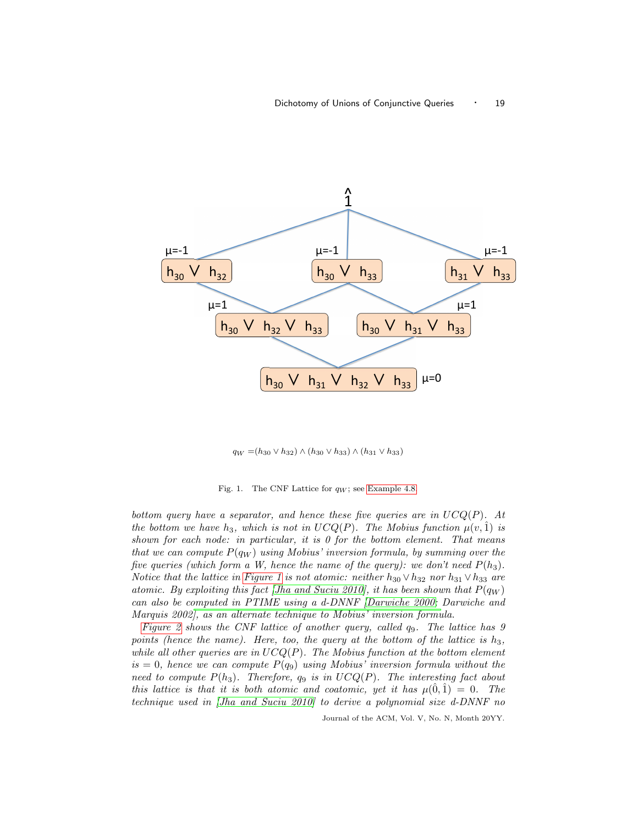

 $q_W = (h_{30} \vee h_{32}) \wedge (h_{30} \vee h_{33}) \wedge (h_{31} \vee h_{33})$ 

<span id="page-18-0"></span>Fig. 1. The CNF Lattice for  $q_W$ ; see [Example 4.8.](#page-17-2)

bottom query have a separator, and hence these five queries are in  $UCQ(P)$ . At the bottom we have  $h_3$ , which is not in  $UCQ(P)$ . The Mobius function  $\mu(v, \hat{1})$  is shown for each node: in particular, it is  $\theta$  for the bottom element. That means that we can compute  $P(q_W)$  using Mobius' inversion formula, by summing over the five queries (which form a W, hence the name of the query): we don't need  $P(h_3)$ . Notice that the lattice in [Figure 1](#page-18-0) is not atomic: neither  $h_{30} \vee h_{32}$  nor  $h_{31} \vee h_{33}$  are atomic. By exploiting this fact [\[Jha and Suciu 2010\]](#page-67-11), it has been shown that  $P(q_W)$ can also be computed in PTIME using a d-DNNF [\[Darwiche 2000;](#page-66-3) Darwiche and Marquis 2002], as an alternate technique to Mobius' inversion formula.

[Figure 2](#page-19-0) shows the CNF lattice of another query, called  $q_9$ . The lattice has 9 points (hence the name). Here, too, the query at the bottom of the lattice is  $h_3$ , while all other queries are in  $UCQ(P)$ . The Mobius function at the bottom element  $is = 0$ , hence we can compute  $P(q_9)$  using Mobius' inversion formula without the need to compute  $P(h_3)$ . Therefore,  $q_9$  is in  $UCQ(P)$ . The interesting fact about this lattice is that it is both atomic and coatomic, yet it has  $\mu(0,1) = 0$ . The technique used in [\[Jha and Suciu 2010\]](#page-67-11) to derive a polynomial size d-DNNF no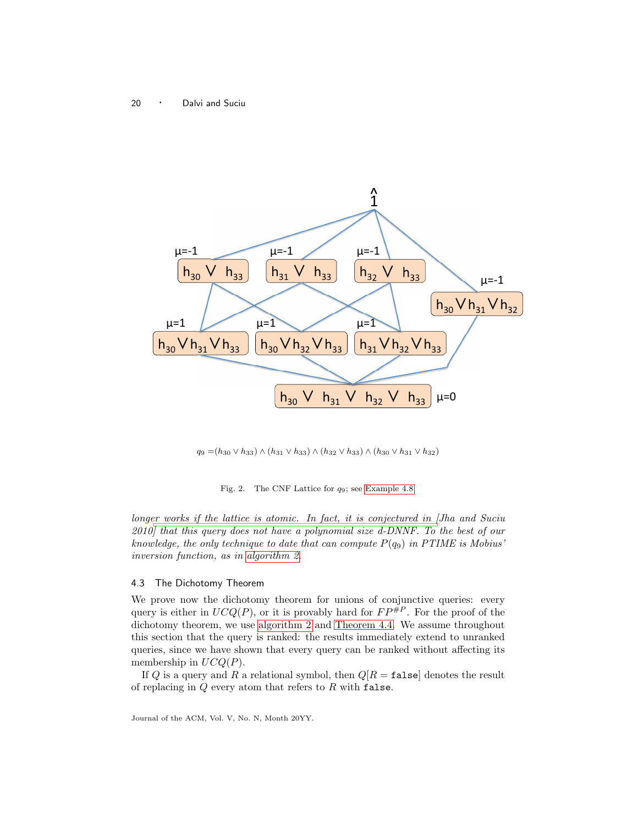

 $q_9 = (h_{30} ∨ h_{33}) ∧ (h_{31} ∨ h_{33}) ∧ (h_{32} ∨ h_{33}) ∧ (h_{30} ∨ h_{31} ∨ h_{32})$ 

<span id="page-19-0"></span>Fig. 2. The CNF Lattice for q9; see [Example 4.8.](#page-17-2)

long[er works if the lattice is atomic. In fact, it is conjectured in \[](#page-67-11)Jha and Suciu 2010] that this query does not have a polynomial size d-DNNF. To the best of our knowledge, the only technique to date that can compute  $P(q_9)$  in PTIME is Mobius' inversion function, as in [algorithm 2.](#page-12-0)

# 4.3 The Dichotomy Theorem

We prove now the dichotomy theorem for unions of conjunctive queries: every query is either in  $UCQ(P)$ , or it is provably hard for  $FP^{p}$ . For the proof of the dichotomy theorem, we use [algorithm 2](#page-12-0) and [Theorem 4.4.](#page-14-0) We assume throughout this section that the query is ranked: the results immediately extend to unranked queries, since we have shown that every query can be ranked without affecting its membership in  $UCQ(P)$ .

<span id="page-19-1"></span>If Q is a query and R a relational symbol, then  $Q[R = \texttt{false}]$  denotes the result of replacing in  $Q$  every atom that refers to  $R$  with false.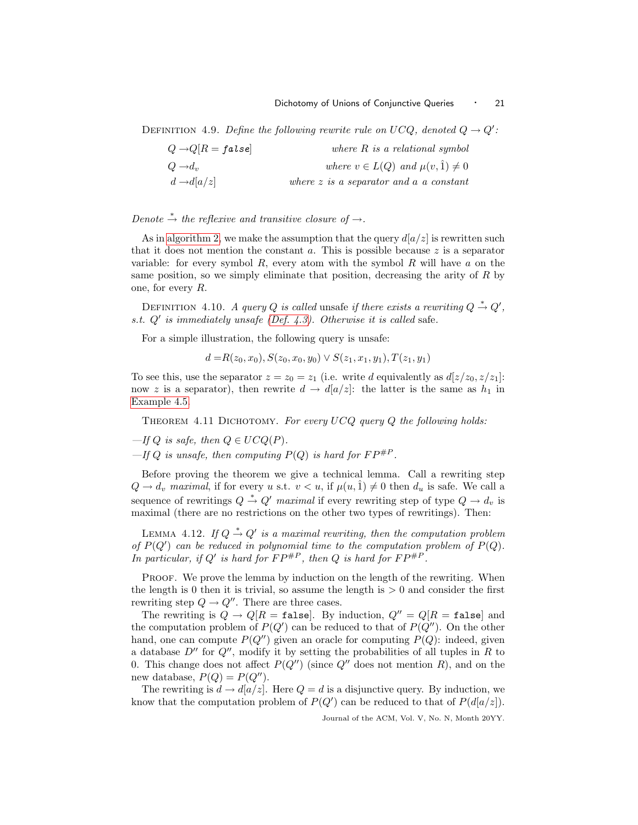DEFINITION 4.9. Define the following rewrite rule on UCQ, denoted  $Q \rightarrow Q'$ :

| $Q \rightarrow Q[R = false]$ | where $R$ is a relational symbol                |
|------------------------------|-------------------------------------------------|
| $Q \rightarrow d_n$          | where $v \in L(Q)$ and $\mu(v, \hat{1}) \neq 0$ |
| $d \rightarrow d[a/z]$       | where $z$ is a separator and $a$ a constant     |

# Denote  $\stackrel{*}{\rightarrow}$  the reflexive and transitive closure of  $\rightarrow$ .

As in [algorithm 2,](#page-12-0) we make the assumption that the query  $d[a/z]$  is rewritten such that it does not mention the constant  $a$ . This is possible because  $z$  is a separator variable: for every symbol  $R$ , every atom with the symbol  $R$  will have  $a$  on the same position, so we simply eliminate that position, decreasing the arity of  $R$  by one, for every R.

DEFINITION 4.10. A query Q is called unsafe if there exists a rewriting  $Q \stackrel{*}{\rightarrow} Q'$ , s.t. Q′ is immediately unsafe [\(Def. 4.3\)](#page-14-1). Otherwise it is called safe.

For a simple illustration, the following query is unsafe:

 $d = R(z_0, x_0), S(z_0, x_0, y_0) \vee S(z_1, x_1, y_1), T(z_1, y_1)$ 

<span id="page-20-0"></span>To see this, use the separator  $z = z_0 = z_1$  (i.e. write d equivalently as  $d[z/z_0, z/z_1]$ : now z is a separator), then rewrite  $d \to d[a/z]$ : the latter is the same as  $h_1$  in [Example 4.5.](#page-15-1)

THEOREM 4.11 DICHOTOMY. For every  $UCQ$  query  $Q$  the following holds:

- $-If Q$  is safe, then  $Q \in U C Q(P)$ .
- $-If Q$  is unsafe, then computing  $P(Q)$  is hard for  $FP^{\#P}$ .

Before proving the theorem we give a technical lemma. Call a rewriting step  $Q \to d_v$  maximal, if for every u s.t.  $v < u$ , if  $\mu(u, \hat{1}) \neq 0$  then  $d_u$  is safe. We call a sequence of rewritings  $Q \stackrel{*}{\rightarrow} Q'$  maximal if every rewriting step of type  $Q \rightarrow d_v$  is maximal (there are no restrictions on the other two types of rewritings). Then:

<span id="page-20-1"></span>LEMMA 4.12. If  $Q \stackrel{*}{\rightarrow} Q'$  is a maximal rewriting, then the computation problem of  $P(Q')$  can be reduced in polynomial time to the computation problem of  $P(Q)$ . In particular, if Q' is hard for  $FP^{\#P}$ , then Q is hard for  $FP^{\#P}$ .

PROOF. We prove the lemma by induction on the length of the rewriting. When the length is 0 then it is trivial, so assume the length is  $> 0$  and consider the first rewriting step  $Q \to Q''$ . There are three cases.

The rewriting is  $Q \to Q/R = \texttt{false}$ . By induction,  $Q'' = Q/R = \texttt{false}$  and the computation problem of  $P(Q')$  can be reduced to that of  $P(Q'')$ . On the other hand, one can compute  $P(Q'')$  given an oracle for computing  $P(Q)$ : indeed, given a database  $D''$  for  $Q''$ , modify it by setting the probabilities of all tuples in R to 0. This change does not affect  $P(Q'')$  (since  $Q''$  does not mention R), and on the new database,  $P(Q) = P(Q'')$ .

The rewriting is  $d \to d[a/z]$ . Here  $Q = d$  is a disjunctive query. By induction, we know that the computation problem of  $P(Q')$  can be reduced to that of  $P(d[a/z])$ .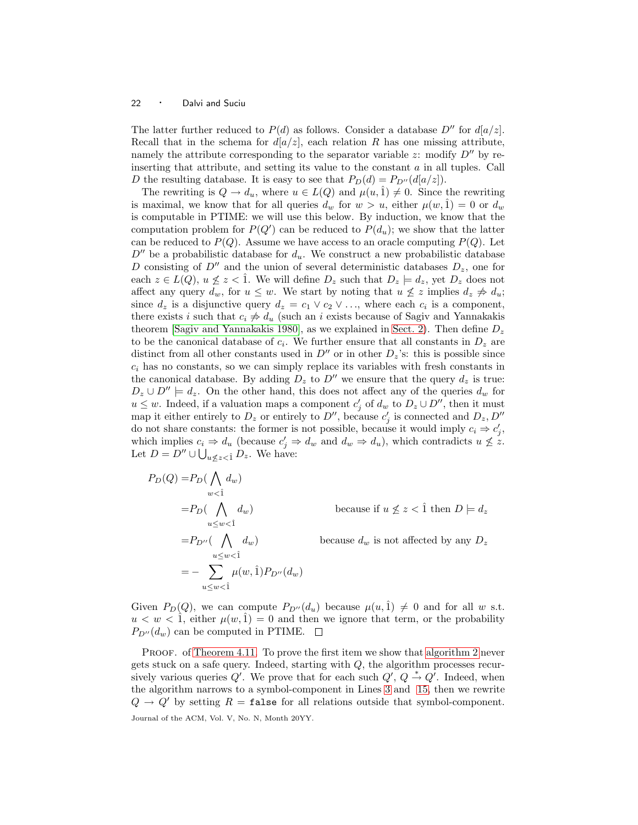The latter further reduced to  $P(d)$  as follows. Consider a database  $D''$  for  $d[a/z]$ . Recall that in the schema for  $d[a/z]$ , each relation R has one missing attribute, namely the attribute corresponding to the separator variable z: modify  $D''$  by reinserting that attribute, and setting its value to the constant  $a$  in all tuples. Call D the resulting database. It is easy to see that  $P_D(d) = P_{D''}(d[a/z])$ .

The rewriting is  $Q \to d_u$ , where  $u \in L(Q)$  and  $\mu(u, \hat{1}) \neq 0$ . Since the rewriting is maximal, we know that for all queries  $d_w$  for  $w > u$ , either  $\mu(w, \hat{1}) = 0$  or  $d_w$ is computable in PTIME: we will use this below. By induction, we know that the computation problem for  $P(Q')$  can be reduced to  $P(d_u)$ ; we show that the latter can be reduced to  $P(Q)$ . Assume we have access to an oracle computing  $P(Q)$ . Let  $D''$  be a probabilistic database for  $d_u$ . We construct a new probabilistic database D consisting of  $D''$  and the union of several deterministic databases  $D_z$ , one for each  $z \in L(Q)$ ,  $u \not\leq z < 1$ . We will define  $D_z$  such that  $D_z \models d_z$ , yet  $D_z$  does not affect any query  $d_w$ , for  $u \leq w$ . We start by noting that  $u \not\leq z$  implies  $d_z \not\Rightarrow d_u$ ; since  $d_z$  is a disjunctive query  $d_z = c_1 \vee c_2 \vee \ldots$ , where each  $c_i$  is a component, there exists i such that  $c_i \neq d_u$  (such an i exists because of Sagiv and Yannakakis theorem [\[Sagiv and Yannakakis 1980\]](#page-67-14), as we explained in [Sect. 2\)](#page-5-0). Then define  $D_z$ to be the canonical database of  $c_i$ . We further ensure that all constants in  $D_z$  are distinct from all other constants used in  $D''$  or in other  $D_z$ 's: this is possible since  $c_i$  has no constants, so we can simply replace its variables with fresh constants in the canonical database. By adding  $D_z$  to  $D''$  we ensure that the query  $d_z$  is true:  $D_z \cup D'' \models d_z$ . On the other hand, this does not affect any of the queries  $d_w$  for  $u \leq w$ . Indeed, if a valuation maps a component  $c'_j$  of  $d_w$  to  $D_z \cup D''$ , then it must map it either entirely to  $D_z$  or entirely to  $D''$ , because  $c'_j$  is connected and  $D_z, D''$ do not share constants: the former is not possible, because it would imply  $c_i \Rightarrow c'_j$ , which implies  $c_i \Rightarrow d_u$  (because  $c'_j \Rightarrow d_w$  and  $d_w \Rightarrow d_u$ ), which contradicts  $u \not\leq z$ . Let  $D = D'' \cup \bigcup_{u \not\leq z < \hat{1}} D_z$ . We have:

$$
P_D(Q) = P_D(\bigwedge_{w<1} d_w)
$$
  
\n
$$
= P_D(\bigwedge_{u\leq w<1} d_w)
$$
 because if  $u \nleq z < 1$  then  $D \models d_z$   
\n
$$
= P_{D''}(\bigwedge_{u\leq w<1} d_w)
$$
 because  $d_w$  is not affected by any  $D_z$   
\n
$$
= - \sum_{u\leq w<1} \mu(w, 1) P_{D''}(d_w)
$$

Given  $P_D(Q)$ , we can compute  $P_{D''}(d_u)$  because  $\mu(u, \hat{1}) \neq 0$  and for all w s.t.  $u < w < 1$ , either  $\mu(w, 1) = 0$  and then we ignore that term, or the probability  $P_{D''}(d_w)$  can be computed in PTIME.  $\Box$ 

PROOF. of [Theorem 4.11.](#page-20-0) To prove the first item we show that [algorithm 2](#page-12-0) never gets stuck on a safe query. Indeed, starting with Q, the algorithm processes recursively various queries  $Q'$ . We prove that for each such  $Q'$ ,  $Q \stackrel{*}{\rightarrow} Q'$ . Indeed, when the algorithm narrows to a symbol-component in Lines [3](#page-12-4) and [15,](#page-12-2) then we rewrite  $Q \to Q'$  by setting  $R = \text{false}$  for all relations outside that symbol-component. Journal of the ACM, Vol. V, No. N, Month 20YY.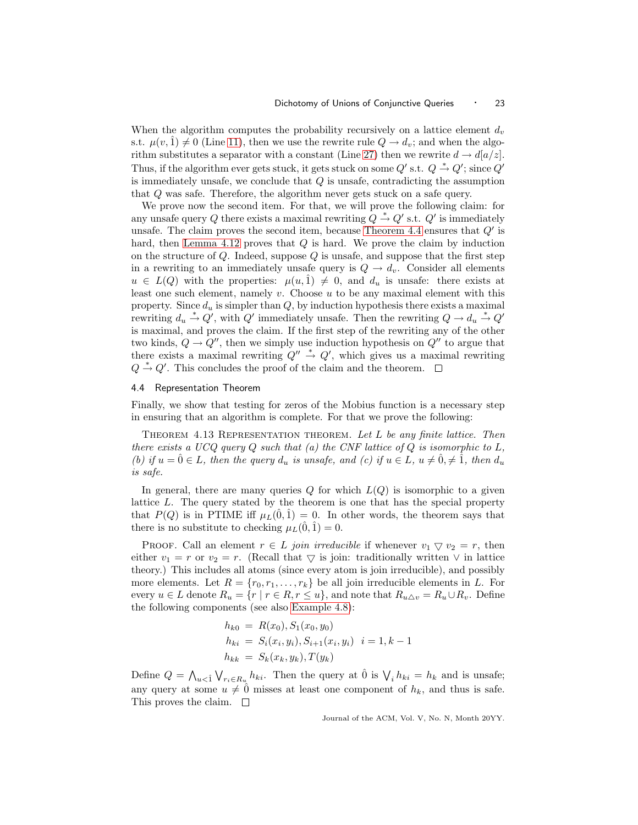When the algorithm computes the probability recursively on a lattice element  $d<sub>v</sub>$ s.t.  $\mu(v, \hat{1}) \neq 0$  (Line [11\)](#page-12-3), then we use the rewrite rule  $Q \rightarrow d_v$ ; and when the algo-rithm substitutes a separator with a constant (Line [27\)](#page-12-5) then we rewrite  $d \to d[a/z]$ . Thus, if the algorithm ever gets stuck, it gets stuck on some  $Q'$  s.t.  $Q \stackrel{*}{\rightarrow} Q'$ ; since  $Q'$ is immediately unsafe, we conclude that Q is unsafe, contradicting the assumption that Q was safe. Therefore, the algorithm never gets stuck on a safe query.

We prove now the second item. For that, we will prove the following claim: for any unsafe query Q there exists a maximal rewriting  $Q \overset{*}{\rightarrow} Q'$  s.t.  $Q'$  is immediately unsafe. The claim proves the second item, because [Theorem 4.4](#page-14-0) ensures that  $Q'$  is hard, then [Lemma 4.12](#page-20-1) proves that Q is hard. We prove the claim by induction on the structure of  $Q$ . Indeed, suppose  $Q$  is unsafe, and suppose that the first step in a rewriting to an immediately unsafe query is  $Q \to d_v$ . Consider all elements  $u \in L(Q)$  with the properties:  $\mu(u, \hat{1}) \neq 0$ , and  $d_u$  is unsafe: there exists at least one such element, namely v. Choose u to be any maximal element with this property. Since  $d_u$  is simpler than  $Q$ , by induction hypothesis there exists a maximal rewriting  $d_u \stackrel{*}{\rightarrow} Q'$ , with  $Q'$  immediately unsafe. Then the rewriting  $Q \rightarrow d_u \stackrel{*}{\rightarrow} Q'$ is maximal, and proves the claim. If the first step of the rewriting any of the other two kinds,  $Q \rightarrow Q''$ , then we simply use induction hypothesis on  $Q''$  to argue that there exists a maximal rewriting  $Q'' \stackrel{*}{\rightarrow} Q'$ , which gives us a maximal rewriting  $Q \stackrel{*}{\rightarrow} Q'$ . This concludes the proof of the claim and the theorem.

## 4.4 Representation Theorem

Finally, we show that testing for zeros of the Mobius function is a necessary step in ensuring that an algorithm is complete. For that we prove the following:

THEOREM 4.13 REPRESENTATION THEOREM. Let  $L$  be any finite lattice. Then there exists a UCQ query  $Q$  such that (a) the CNF lattice of  $Q$  is isomorphic to  $L$ , (b) if  $u = \hat{0} \in L$ , then the query  $d_u$  is unsafe, and (c) if  $u \in L$ ,  $u \neq \hat{0} \neq \hat{1}$ , then  $d_u$ is safe.

In general, there are many queries  $Q$  for which  $L(Q)$  is isomorphic to a given lattice L. The query stated by the theorem is one that has the special property that  $P(Q)$  is in PTIME iff  $\mu_L(\hat{0}, \hat{1}) = 0$ . In other words, the theorem says that there is no substitute to checking  $\mu_L(0, 1) = 0$ .

PROOF. Call an element  $r \in L$  join irreducible if whenever  $v_1 \nabla v_2 = r$ , then either  $v_1 = r$  or  $v_2 = r$ . (Recall that  $\bigtriangledown$  is join: traditionally written  $\vee$  in lattice theory.) This includes all atoms (since every atom is join irreducible), and possibly more elements. Let  $R = \{r_0, r_1, \ldots, r_k\}$  be all join irreducible elements in L. For every  $u \in L$  denote  $R_u = \{r \mid r \in R, r \leq u\}$ , and note that  $R_{u \Delta v} = R_u \cup R_v$ . Define the following components (see also [Example 4.8\)](#page-17-2):

$$
h_{k0} = R(x_0), S_1(x_0, y_0)
$$
  
\n
$$
h_{ki} = S_i(x_i, y_i), S_{i+1}(x_i, y_i) \quad i = 1, k - 1
$$
  
\n
$$
h_{kk} = S_k(x_k, y_k), T(y_k)
$$

Define  $Q = \bigwedge_{u < 1} \bigvee_{r_i \in R_u} h_{ki}$ . Then the query at  $\hat{0}$  is  $\bigvee_i h_{ki} = h_k$  and is unsafe; any query at some  $u \neq 0$  misses at least one component of  $h_k$ , and thus is safe. This proves the claim.  $\square$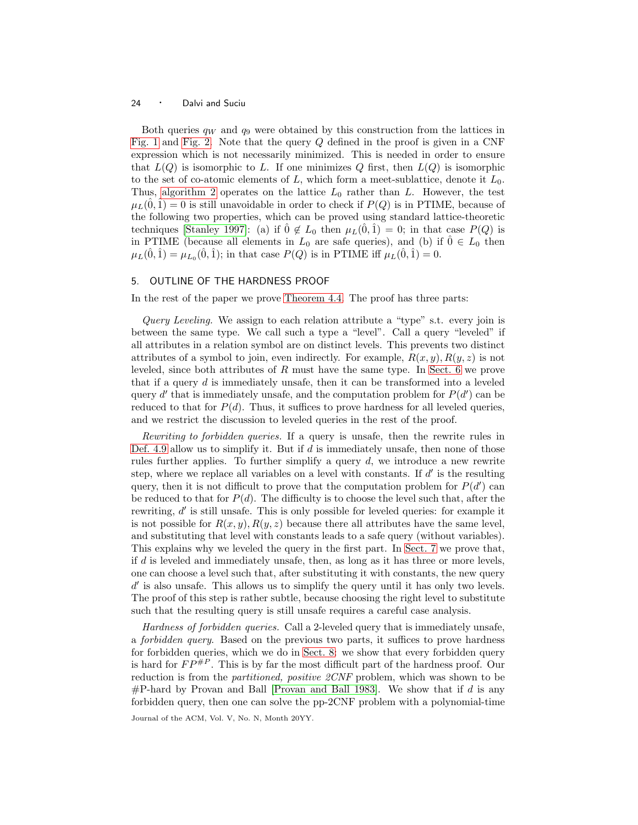Both queries  $q_W$  and  $q_9$  were obtained by this construction from the lattices in [Fig. 1](#page-18-0) and [Fig. 2.](#page-19-0) Note that the query Q defined in the proof is given in a CNF expression which is not necessarily minimized. This is needed in order to ensure that  $L(Q)$  is isomorphic to L. If one minimizes Q first, then  $L(Q)$  is isomorphic to the set of co-atomic elements of  $L$ , which form a meet-sublattice, denote it  $L_0$ . Thus, [algorithm 2](#page-12-0) operates on the lattice  $L_0$  rather than L. However, the test  $\mu_L(\hat{0}, \hat{1}) = 0$  is still unavoidable in order to check if  $P(Q)$  is in PTIME, because of the following two properties, which can be proved using standard lattice-theoretic techniques [\[Stanley 1997\]](#page-67-9): (a) if  $\hat{0} \notin L_0$  then  $\mu_L(\hat{0}, \hat{1}) = 0$ ; in that case  $P(Q)$  is in PTIME (because all elements in  $L_0$  are safe queries), and (b) if  $0 \in L_0$  then  $\mu_L(\hat{0}, \hat{1}) = \mu_{L_0}(\hat{0}, \hat{1});$  in that case  $P(Q)$  is in PTIME iff  $\mu_L(\hat{0}, \hat{1}) = 0.$ 

# <span id="page-23-0"></span>5. OUTLINE OF THE HARDNESS PROOF

In the rest of the paper we prove [Theorem 4.4.](#page-14-0) The proof has three parts:

Query Leveling. We assign to each relation attribute a "type" s.t. every join is between the same type. We call such a type a "level". Call a query "leveled" if all attributes in a relation symbol are on distinct levels. This prevents two distinct attributes of a symbol to join, even indirectly. For example,  $R(x,y)$ ,  $R(y,z)$  is not leveled, since both attributes of R must have the same type. In [Sect. 6](#page-24-0) we prove that if a query  $d$  is immediately unsafe, then it can be transformed into a leveled query  $d'$  that is immediately unsafe, and the computation problem for  $P(d')$  can be reduced to that for  $P(d)$ . Thus, it suffices to prove hardness for all leveled queries, and we restrict the discussion to leveled queries in the rest of the proof.

Rewriting to forbidden queries. If a query is unsafe, then the rewrite rules in [Def. 4.9](#page-19-1) allow us to simplify it. But if  $d$  is immediately unsafe, then none of those rules further applies. To further simplify a query  $d$ , we introduce a new rewrite step, where we replace all variables on a level with constants. If  $d'$  is the resulting query, then it is not difficult to prove that the computation problem for  $P(d')$  can be reduced to that for  $P(d)$ . The difficulty is to choose the level such that, after the rewriting, d' is still unsafe. This is only possible for leveled queries: for example it is not possible for  $R(x, y)$ ,  $R(y, z)$  because there all attributes have the same level, and substituting that level with constants leads to a safe query (without variables). This explains why we leveled the query in the first part. In [Sect. 7](#page-27-0) we prove that, if  $d$  is leveled and immediately unsafe, then, as long as it has three or more levels, one can choose a level such that, after substituting it with constants, the new query d' is also unsafe. This allows us to simplify the query until it has only two levels. The proof of this step is rather subtle, because choosing the right level to substitute such that the resulting query is still unsafe requires a careful case analysis.

Hardness of forbidden queries. Call a 2-leveled query that is immediately unsafe, a forbidden query. Based on the previous two parts, it suffices to prove hardness for forbidden queries, which we do in [Sect. 8:](#page-38-1) we show that every forbidden query is hard for  $FP^{\#P}$ . This is by far the most difficult part of the hardness proof. Our reduction is from the *partitioned, positive 2CNF* problem, which was shown to be  $\#P$ -hard by Provan and Ball [\[Provan and Ball 1983\]](#page-67-8). We show that if d is any forbidden query, then one can solve the pp-2CNF problem with a polynomial-time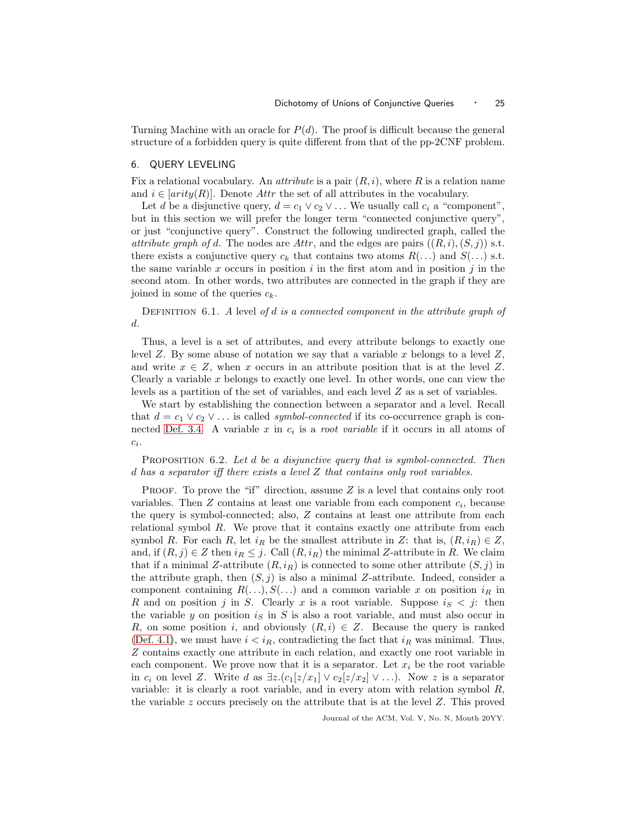Turning Machine with an oracle for  $P(d)$ . The proof is difficult because the general structure of a forbidden query is quite different from that of the pp-2CNF problem.

# <span id="page-24-0"></span>6. QUERY LEVELING

Fix a relational vocabulary. An *attribute* is a pair  $(R, i)$ , where R is a relation name and  $i \in [arity(R)]$ . Denote Attr the set of all attributes in the vocabulary.

Let d be a disjunctive query,  $d = c_1 \vee c_2 \vee \dots$  We usually call  $c_i$  a "component", but in this section we will prefer the longer term "connected conjunctive query", or just "conjunctive query". Construct the following undirected graph, called the *attribute graph of d.* The nodes are  $Attr$ , and the edges are pairs  $((R, i), (S, j))$  s.t. there exists a conjunctive query  $c_k$  that contains two atoms  $R(\ldots)$  and  $S(\ldots)$  s.t. the same variable x occurs in position  $i$  in the first atom and in position  $j$  in the second atom. In other words, two attributes are connected in the graph if they are joined in some of the queries  $c_k$ .

DEFINITION 6.1. A level of d is a connected component in the attribute graph of d.

Thus, a level is a set of attributes, and every attribute belongs to exactly one level  $Z$ . By some abuse of notation we say that a variable  $x$  belongs to a level  $Z$ , and write  $x \in Z$ , when x occurs in an attribute position that is at the level Z. Clearly a variable  $x$  belongs to exactly one level. In other words, one can view the levels as a partition of the set of variables, and each level Z as a set of variables.

We start by establishing the connection between a separator and a level. Recall that  $d = c_1 \vee c_2 \vee \ldots$  is called *symbol-connected* if its co-occurrence graph is con-nected [Def. 3.4.](#page-10-1) A variable x in  $c_i$  is a *root variable* if it occurs in all atoms of  $c_i$ .

<span id="page-24-1"></span>PROPOSITION 6.2. Let d be a disjunctive query that is symbol-connected. Then d has a separator iff there exists a level Z that contains only root variables.

**PROOF.** To prove the "if" direction, assume  $Z$  is a level that contains only root variables. Then  $Z$  contains at least one variable from each component  $c_i$ , because the query is symbol-connected; also, Z contains at least one attribute from each relational symbol  $R$ . We prove that it contains exactly one attribute from each symbol R. For each R, let  $i_R$  be the smallest attribute in Z: that is,  $(R, i_R) \in Z$ , and, if  $(R, j) \in Z$  then  $i_R \leq j$ . Call  $(R, i_R)$  the minimal Z-attribute in R. We claim that if a minimal Z-attribute  $(R, i_R)$  is connected to some other attribute  $(S, j)$  in the attribute graph, then  $(S, j)$  is also a minimal Z-attribute. Indeed, consider a component containing  $R(\ldots), S(\ldots)$  and a common variable x on position  $i_R$  in R and on position j in S. Clearly x is a root variable. Suppose  $i_S < j$ : then the variable y on position  $i<sub>S</sub>$  in S is also a root variable, and must also occur in R, on some position i, and obviously  $(R, i) \in Z$ . Because the query is ranked [\(Def. 4.1\)](#page-13-2), we must have  $i < i_R$ , contradicting the fact that  $i_R$  was minimal. Thus, Z contains exactly one attribute in each relation, and exactly one root variable in each component. We prove now that it is a separator. Let  $x_i$  be the root variable in  $c_i$  on level Z. Write d as  $\exists z.(c_1[z/x_1] \vee c_2[z/x_2] \vee \ldots)$ . Now z is a separator variable: it is clearly a root variable, and in every atom with relation symbol  $R$ , the variable  $z$  occurs precisely on the attribute that is at the level  $Z$ . This proved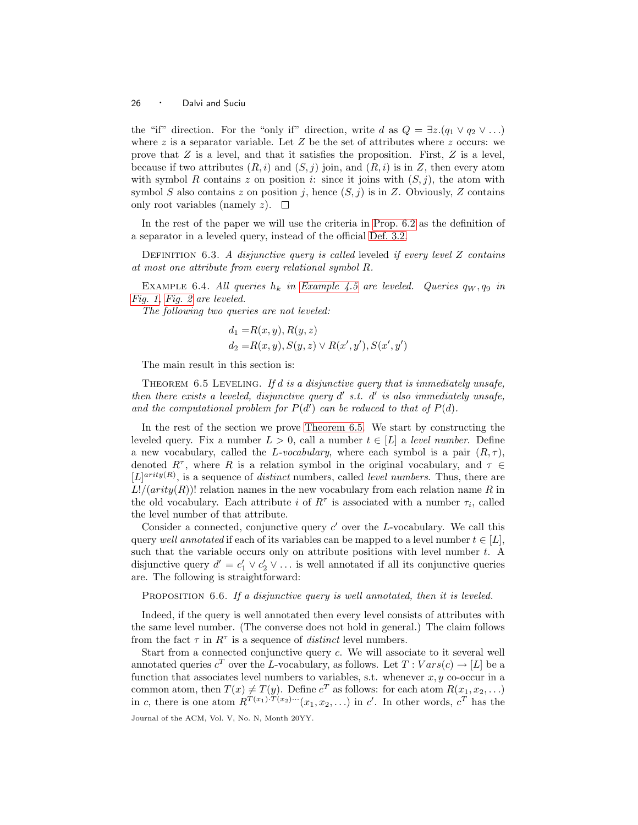the "if" direction. For the "only if" direction, write d as  $Q = \exists z.(q_1 \vee q_2 \vee ...)$ where z is a separator variable. Let  $Z$  be the set of attributes where z occurs: we prove that  $Z$  is a level, and that it satisfies the proposition. First,  $Z$  is a level, because if two attributes  $(R, i)$  and  $(S, j)$  join, and  $(R, i)$  is in Z, then every atom with symbol R contains z on position i: since it joins with  $(S, j)$ , the atom with symbol S also contains z on position j, hence  $(S, j)$  is in Z. Obviously, Z contains only root variables (namely z).  $\square$ 

In the rest of the paper we will use the criteria in [Prop. 6.2](#page-24-1) as the definition of a separator in a leveled query, instead of the official [Def. 3.2.](#page-10-2)

DEFINITION 6.3. A disjunctive query is called leveled if every level Z contains at most one attribute from every relational symbol R.

<span id="page-25-1"></span>EXAMPLE 6.4. All queries  $h_k$  in [Example 4.5](#page-15-1) are leveled. Queries  $q_W, q_9$  in [Fig. 1,](#page-18-0) [Fig. 2](#page-19-0) are leveled.

The following two queries are not leveled:

$$
d_1 = R(x, y), R(y, z)
$$
  
\n
$$
d_2 = R(x, y), S(y, z) \lor R(x', y'), S(x', y')
$$

The main result in this section is:

<span id="page-25-0"></span>THEOREM  $6.5$  LEVELING. If d is a disjunctive query that is immediately unsafe, then there exists a leveled, disjunctive query  $d'$  s.t.  $d'$  is also immediately unsafe, and the computational problem for  $P(d')$  can be reduced to that of  $P(d)$ .

In the rest of the section we prove [Theorem 6.5.](#page-25-0) We start by constructing the leveled query. Fix a number  $L > 0$ , call a number  $t \in [L]$  a level number. Define a new vocabulary, called the L-vocabulary, where each symbol is a pair  $(R, \tau)$ , denoted  $R^{\tau}$ , where R is a relation symbol in the original vocabulary, and  $\tau \in$  $[L]^{arity(R)}$ , is a sequence of *distinct* numbers, called *level numbers*. Thus, there are  $L!/(arity(R))!$  relation names in the new vocabulary from each relation name R in the old vocabulary. Each attribute *i* of  $R^{\tau}$  is associated with a number  $\tau_i$ , called the level number of that attribute.

Consider a connected, conjunctive query  $c'$  over the L-vocabulary. We call this query well annotated if each of its variables can be mapped to a level number  $t \in [L]$ , such that the variable occurs only on attribute positions with level number t. A disjunctive query  $d' = c'_1 \vee c'_2 \vee \dots$  is well annotated if all its conjunctive queries are. The following is straightforward:

PROPOSITION 6.6. If a disjunctive query is well annotated, then it is leveled.

Indeed, if the query is well annotated then every level consists of attributes with the same level number. (The converse does not hold in general.) The claim follows from the fact  $\tau$  in  $R^{\tau}$  is a sequence of *distinct* level numbers.

Start from a connected conjunctive query c. We will associate to it several well annotated queries  $c^T$  over the L-vocabulary, as follows. Let  $T:Vars(c) \to [L]$  be a function that associates level numbers to variables, s.t. whenever  $x, y$  co-occur in a common atom, then  $T(x) \neq T(y)$ . Define  $c^T$  as follows: for each atom  $R(x_1, x_2,...)$ in c, there is one atom  $R^{T(x_1) \cdot T(x_2) \cdots}(x_1, x_2, \ldots)$  in c'. In other words,  $c^T$  has the Journal of the ACM, Vol. V, No. N, Month 20YY.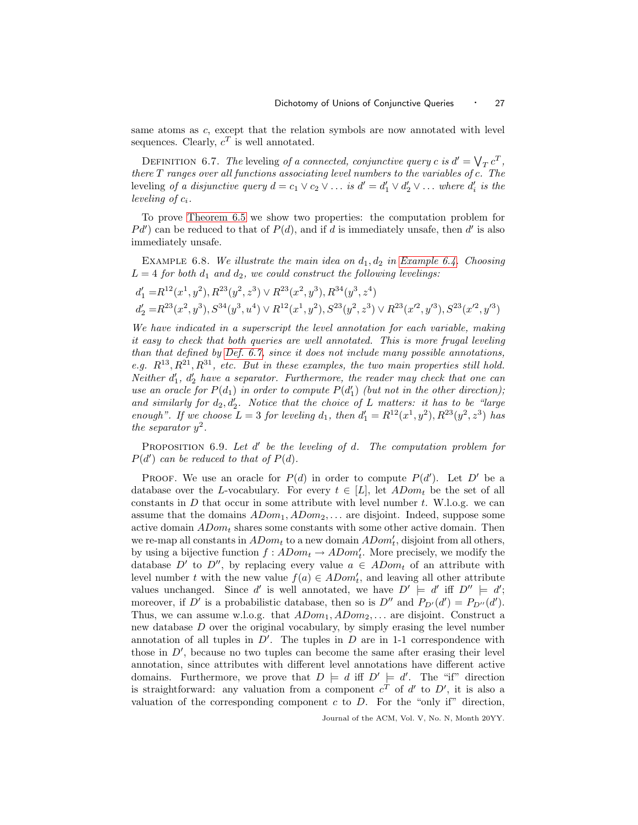<span id="page-26-0"></span>same atoms as  $c$ , except that the relation symbols are now annotated with level sequences. Clearly,  $c^T$  is well annotated.

DEFINITION 6.7. The leveling of a connected, conjunctive query c is  $d' = \bigvee_T c^T$ , there T ranges over all functions associating level numbers to the variables of c. The leveling of a disjunctive query  $d = c_1 \vee c_2 \vee \dots$  is  $d' = d'_1 \vee d'_2 \vee \dots$  where  $d'_i$  is the leveling of  $c_i$ .

To prove [Theorem 6.5](#page-25-0) we show two properties: the computation problem for  $Pd'$  can be reduced to that of  $P(d)$ , and if d is immediately unsafe, then d' is also immediately unsafe.

EXAMPLE 6.8. We illustrate the main idea on  $d_1, d_2$  in [Example 6.4.](#page-25-1) Choosing  $L = 4$  for both  $d_1$  and  $d_2$ , we could construct the following levelings:

$$
\begin{aligned} d_1'=&R^{12}(x^1,y^2), R^{23}(y^2,z^3)\vee R^{23}(x^2,y^3), R^{34}(y^3,z^4)\\ d_2'=&R^{23}(x^2,y^3), S^{34}(y^3,u^4)\vee R^{12}(x^1,y^2), S^{23}(y^2,z^3)\vee R^{23}(x'^2,y'^3), S^{23}(x'^2,y'^3) \end{aligned}
$$

We have indicated in a superscript the level annotation for each variable, making it easy to check that both queries are well annotated. This is more frugal leveling than that defined by [Def. 6.7,](#page-26-0) since it does not include many possible annotations, e.g.  $R^{13}, R^{21}, R^{31}$ , etc. But in these examples, the two main properties still hold. Neither  $d'_1$ ,  $d'_2$  have a separator. Furthermore, the reader may check that one can use an oracle for  $P(d_1)$  in order to compute  $P(d'_1)$  (but not in the other direction); and similarly for  $d_2, d'_2$ . Notice that the choice of L matters: it has to be "large enough". If we choose  $L = 3$  for leveling  $d_1$ , then  $d'_1 = R^{12}(x^1, y^2), R^{23}(y^2, z^3)$  has the separator  $y^2$ .

PROPOSITION 6.9. Let d' be the leveling of d. The computation problem for  $P(d')$  can be reduced to that of  $P(d)$ .

PROOF. We use an oracle for  $P(d)$  in order to compute  $P(d')$ . Let D' be a database over the L-vocabulary. For every  $t \in [L]$ , let  $ADom_t$  be the set of all constants in  $D$  that occur in some attribute with level number  $t$ . W.l.o.g. we can assume that the domains  $ADom_1, ADom_2,...$  are disjoint. Indeed, suppose some active domain  $ADom_t$  shares some constants with some other active domain. Then we re-map all constants in  $ADom_t$  to a new domain  $ADom'_t$ , disjoint from all others, by using a bijective function  $f: ADom_t \to ADom'_t$ . More precisely, we modify the database D' to D'', by replacing every value  $a \in ADom_t$  of an attribute with level number t with the new value  $f(a) \in ADom'_t$ , and leaving all other attribute values unchanged. Since d' is well annotated, we have  $D' \models d'$  iff  $D'' \models d'$ ; moreover, if D' is a probabilistic database, then so is  $D''$  and  $P_{D'}(d') = P_{D''}(d')$ . Thus, we can assume w.l.o.g. that  $ADom<sub>1</sub>, ADom<sub>2</sub>,...$  are disjoint. Construct a new database D over the original vocabulary, by simply erasing the level number annotation of all tuples in  $D'$ . The tuples in  $D$  are in 1-1 correspondence with those in  $D'$ , because no two tuples can become the same after erasing their level annotation, since attributes with different level annotations have different active domains. Furthermore, we prove that  $D \models d$  iff  $D' \models d'$ . The "if" direction is straightforward: any valuation from a component  $c^T$  of  $d'$  to  $D'$ , it is also a valuation of the corresponding component  $c$  to  $D$ . For the "only if" direction,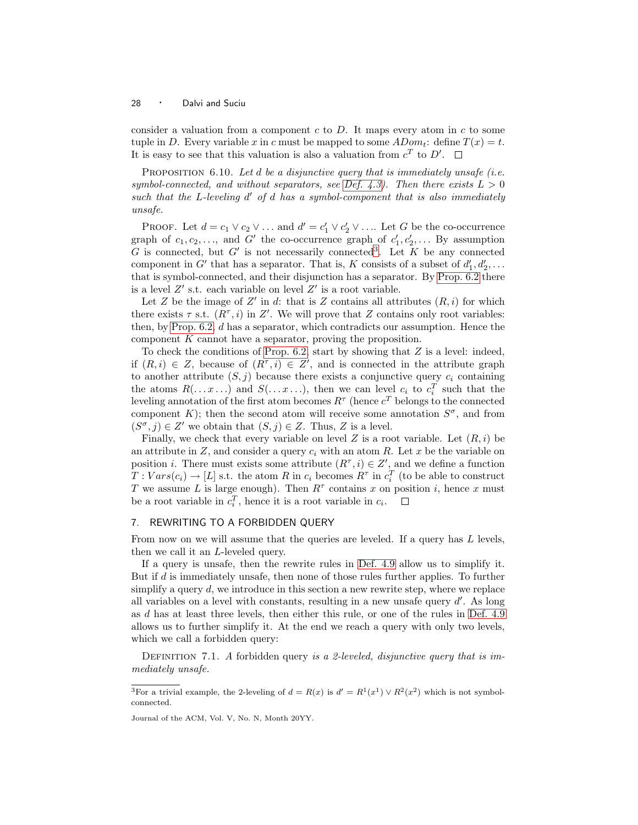consider a valuation from a component c to  $D$ . It maps every atom in c to some tuple in D. Every variable x in c must be mapped to some  $ADom_t$ : define  $T(x) = t$ . It is easy to see that this valuation is also a valuation from  $c^T$  to  $D'$ .

PROPOSITION 6.10. Let  $d$  be a disjunctive query that is immediately unsafe (i.e. symbol-connected, and without separators, see [Def. 4.3\)](#page-14-1). Then there exists  $L > 0$ such that the  $L$ -leveling  $d'$  of  $d$  has a symbol-component that is also immediately unsafe.

PROOF. Let  $d = c_1 \vee c_2 \vee \dots$  and  $d' = c'_1 \vee c'_2 \vee \dots$  Let G be the co-occurrence graph of  $c_1, c_2, \ldots$ , and G' the co-occurrence graph of  $c'_1, c'_2, \ldots$  By assumption G is connected, but  $G'$  is not necessarily connected<sup>[3](#page-27-1)</sup>. Let K be any connected component in G' that has a separator. That is, K consists of a subset of  $d'_1, d'_2, \ldots$ that is symbol-connected, and their disjunction has a separator. By [Prop. 6.2](#page-24-1) there is a level  $Z'$  s.t. each variable on level  $Z'$  is a root variable.

Let Z be the image of Z' in d: that is Z contains all attributes  $(R, i)$  for which there exists  $\tau$  s.t.  $(R^{\tau}, i)$  in Z'. We will prove that Z contains only root variables: then, by Prop.  $6.2$ ,  $d$  has a separator, which contradicts our assumption. Hence the component  $K$  cannot have a separator, proving the proposition.

To check the conditions of [Prop. 6.2,](#page-24-1) start by showing that  $Z$  is a level: indeed, if  $(R, i) \in Z$ , because of  $(R^{\tau}, i) \in Z'$ , and is connected in the attribute graph to another attribute  $(S, j)$  because there exists a conjunctive query  $c_i$  containing the atoms  $R(\ldots x \ldots)$  and  $S(\ldots x \ldots)$ , then we can level  $c_i$  to  $c_i^T$  such that the leveling annotation of the first atom becomes  $R^{\tau}$  (hence  $c^{T}$  belongs to the connected component K); then the second atom will receive some annotation  $S^{\sigma}$ , and from  $(S^{\sigma},j) \in Z'$  we obtain that  $(S,j) \in Z$ . Thus, Z is a level.

Finally, we check that every variable on level Z is a root variable. Let  $(R, i)$  be an attribute in  $Z$ , and consider a query  $c_i$  with an atom R. Let x be the variable on position *i*. There must exists some attribute  $(R^{\tau}, i) \in Z'$ , and we define a function  $T: Vars(c_i) \rightarrow [L]$  s.t. the atom R in  $c_i$  becomes  $R^{\tau}$  in  $c_i^{T}$  (to be able to construct T we assume L is large enough). Then  $R^{\tau}$  contains x on position i, hence x must be a root variable in  $c_i^T$ , hence it is a root variable in  $c_i$ .

# <span id="page-27-0"></span>7. REWRITING TO A FORBIDDEN QUERY

From now on we will assume that the queries are leveled. If a query has L levels, then we call it an L-leveled query.

If a query is unsafe, then the rewrite rules in [Def. 4.9](#page-19-1) allow us to simplify it. But if d is immediately unsafe, then none of those rules further applies. To further simplify a query  $d$ , we introduce in this section a new rewrite step, where we replace all variables on a level with constants, resulting in a new unsafe query  $d'$ . As long as d has at least three levels, then either this rule, or one of the rules in [Def. 4.9](#page-19-1) allows us to further simplify it. At the end we reach a query with only two levels, which we call a forbidden query:

DEFINITION 7.1. A forbidden query is a 2-leveled, disjunctive query that is immediately unsafe.

<span id="page-27-1"></span><sup>&</sup>lt;sup>3</sup>For a trivial example, the 2-leveling of  $d = R(x)$  is  $d' = R^1(x^1) \vee R^2(x^2)$  which is not symbolconnected.

Journal of the ACM, Vol. V, No. N, Month 20YY.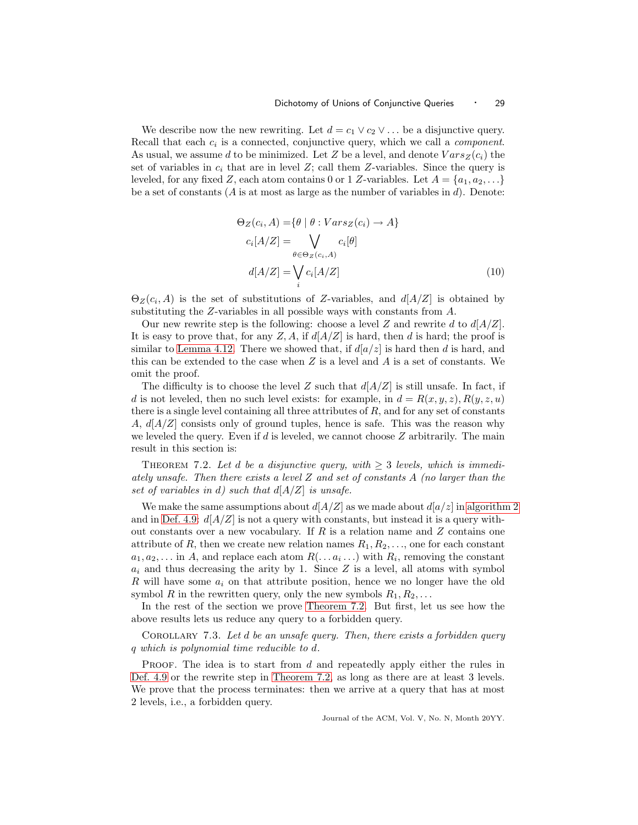We describe now the new rewriting. Let  $d = c_1 \vee c_2 \vee \dots$  be a disjunctive query. Recall that each  $c_i$  is a connected, conjunctive query, which we call a *component*. As usual, we assume d to be minimized. Let Z be a level, and denote  $Vars_Z(c_i)$  the set of variables in  $c_i$  that are in level Z; call them Z-variables. Since the query is leveled, for any fixed Z, each atom contains 0 or 1 Z-variables. Let  $A = \{a_1, a_2, \ldots\}$ be a set of constants ( $\vec{A}$  is at most as large as the number of variables in  $\vec{d}$ ). Denote:

<span id="page-28-1"></span>
$$
\Theta_Z(c_i, A) = \{ \theta \mid \theta : Vars_Z(c_i) \to A \}
$$
  
\n
$$
c_i[A/Z] = \bigvee_{\theta \in \Theta_Z(c_i, A)} c_i[\theta]
$$
  
\n
$$
d[A/Z] = \bigvee_i c_i[A/Z] \tag{10}
$$

 $\Theta_Z(c_i, A)$  is the set of substitutions of Z-variables, and  $d[A/Z]$  is obtained by substituting the Z-variables in all possible ways with constants from A.

Our new rewrite step is the following: choose a level Z and rewrite d to  $d[A/Z]$ . It is easy to prove that, for any  $Z, A$ , if  $d[A/Z]$  is hard, then d is hard; the proof is similar to [Lemma 4.12.](#page-20-1) There we showed that, if  $d[a/z]$  is hard then d is hard, and this can be extended to the case when  $Z$  is a level and  $A$  is a set of constants. We omit the proof.

The difficulty is to choose the level Z such that  $d[A/Z]$  is still unsafe. In fact, if d is not leveled, then no such level exists: for example, in  $d = R(x, y, z), R(y, z, u)$ there is a single level containing all three attributes of  $R$ , and for any set of constants A,  $d[A/Z]$  consists only of ground tuples, hence is safe. This was the reason why we leveled the query. Even if d is leveled, we cannot choose  $Z$  arbitrarily. The main result in this section is:

<span id="page-28-0"></span>THEOREM 7.2. Let d be a disjunctive query, with  $\geq$  3 levels, which is immediately unsafe. Then there exists a level Z and set of constants A (no larger than the set of variables in d) such that  $d[A/Z]$  is unsafe.

We make the same assumptions about  $d[A/Z]$  as we made about  $d[a/z]$  in [algorithm 2](#page-12-0) and in [Def. 4.9:](#page-19-1)  $d[A/Z]$  is not a query with constants, but instead it is a query without constants over a new vocabulary. If  $R$  is a relation name and  $Z$  contains one attribute of R, then we create new relation names  $R_1, R_2, \ldots$ , one for each constant  $a_1, a_2, \ldots$  in A, and replace each atom  $R(\ldots a_i \ldots)$  with  $R_i$ , removing the constant  $a_i$  and thus decreasing the arity by 1. Since Z is a level, all atoms with symbol R will have some  $a_i$  on that attribute position, hence we no longer have the old symbol R in the rewritten query, only the new symbols  $R_1, R_2, \ldots$ 

In the rest of the section we prove [Theorem 7.2.](#page-28-0) But first, let us see how the above results lets us reduce any query to a forbidden query.

COROLLARY 7.3. Let d be an unsafe query. Then, there exists a forbidden query q which is polynomial time reducible to d.

PROOF. The idea is to start from  $d$  and repeatedly apply either the rules in [Def. 4.9](#page-19-1) or the rewrite step in [Theorem 7.2,](#page-28-0) as long as there are at least 3 levels. We prove that the process terminates: then we arrive at a query that has at most 2 levels, i.e., a forbidden query.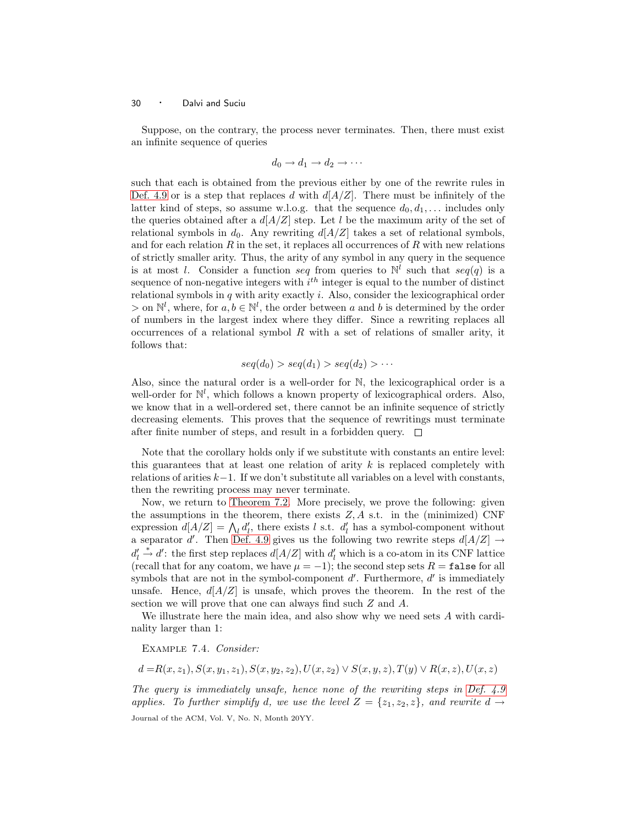Suppose, on the contrary, the process never terminates. Then, there must exist an infinite sequence of queries

$$
d_0 \to d_1 \to d_2 \to \cdots
$$

such that each is obtained from the previous either by one of the rewrite rules in [Def. 4.9](#page-19-1) or is a step that replaces d with  $d[A/Z]$ . There must be infinitely of the latter kind of steps, so assume w.l.o.g. that the sequence  $d_0, d_1, \ldots$  includes only the queries obtained after a  $d[A/Z]$  step. Let l be the maximum arity of the set of relational symbols in  $d_0$ . Any rewriting  $d[A/Z]$  takes a set of relational symbols, and for each relation  $R$  in the set, it replaces all occurrences of  $R$  with new relations of strictly smaller arity. Thus, the arity of any symbol in any query in the sequence is at most l. Consider a function seq from queries to  $\mathbb{N}^l$  such that seq(q) is a sequence of non-negative integers with  $i^{th}$  integer is equal to the number of distinct relational symbols in  $q$  with arity exactly  $i$ . Also, consider the lexicographical order > on  $\mathbb{N}^l$ , where, for  $a, b \in \mathbb{N}^l$ , the order between a and b is determined by the order of numbers in the largest index where they differ. Since a rewriting replaces all occurrences of a relational symbol  $R$  with a set of relations of smaller arity, it follows that:

$$
seq(d_0) > seq(d_1) > seq(d_2) > \cdots
$$

Also, since the natural order is a well-order for N, the lexicographical order is a well-order for  $\mathbb{N}^l$ , which follows a known property of lexicographical orders. Also, we know that in a well-ordered set, there cannot be an infinite sequence of strictly decreasing elements. This proves that the sequence of rewritings must terminate after finite number of steps, and result in a forbidden query.  $\Box$ 

Note that the corollary holds only if we substitute with constants an entire level: this guarantees that at least one relation of arity  $k$  is replaced completely with relations of arities  $k-1$ . If we don't substitute all variables on a level with constants, then the rewriting process may never terminate.

Now, we return to [Theorem 7.2.](#page-28-0) More precisely, we prove the following: given the assumptions in the theorem, there exists  $Z, A$  s.t. in the (minimized) CNF expression  $d[A/Z] = \bigwedge_l d'_l$ , there exists l s.t.  $d'_l$  has a symbol-component without a separator d'. Then [Def. 4.9](#page-19-1) gives us the following two rewrite steps  $d[A/Z] \rightarrow$  $d'_l \stackrel{*}{\rightarrow} d'$ : the first step replaces  $d[A/Z]$  with  $d'_l$  which is a co-atom in its CNF lattice (recall that for any coatom, we have  $\mu = -1$ ); the second step sets  $R = \texttt{false}$  for all symbols that are not in the symbol-component  $d'$ . Furthermore,  $d'$  is immediately unsafe. Hence,  $d[A/Z]$  is unsafe, which proves the theorem. In the rest of the section we will prove that one can always find such Z and A.

We illustrate here the main idea, and also show why we need sets A with cardinality larger than 1:

Example 7.4. Consider:

$$
d = R(x, z_1), S(x, y_1, z_1), S(x, y_2, z_2), U(x, z_2) \lor S(x, y, z), T(y) \lor R(x, z), U(x, z)
$$

The query is immediately unsafe, hence none of the rewriting steps in [Def. 4.9](#page-19-1) applies. To further simplify d, we use the level  $Z = \{z_1, z_2, z\}$ , and rewrite  $d \rightarrow$ Journal of the ACM, Vol. V, No. N, Month 20YY.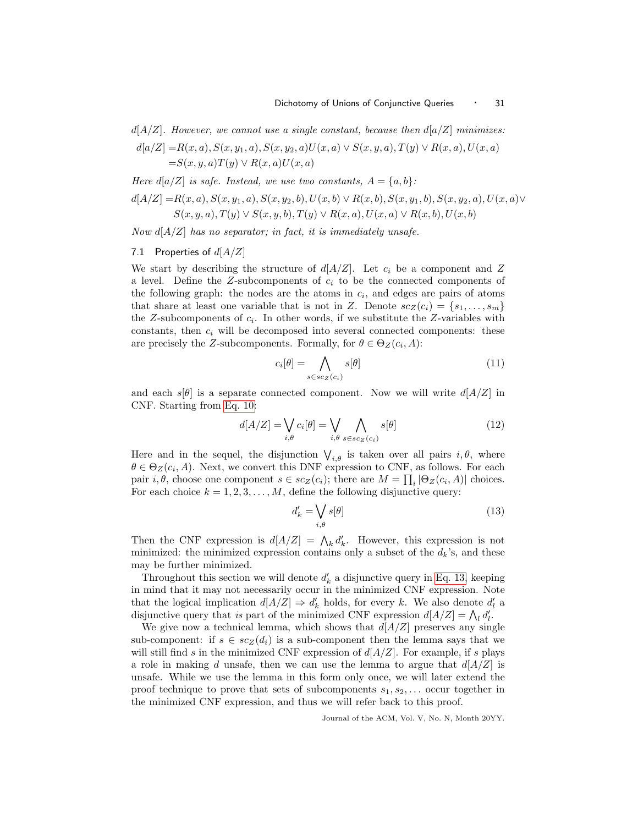$d[A/Z]$ . However, we cannot use a single constant, because then  $d[a/Z]$  minimizes:

$$
d[a/Z] = R(x, a), S(x, y_1, a), S(x, y_2, a)U(x, a) \lor S(x, y, a), T(y) \lor R(x, a), U(x, a)
$$
  
=S(x, y, a)T(y)  $\lor R(x, a)U(x, a)$ 

Here  $d[a/Z]$  is safe. Instead, we use two constants,  $A = \{a, b\}$ :

$$
d[A/Z] = R(x, a), S(x, y_1, a), S(x, y_2, b), U(x, b) \lor R(x, b), S(x, y_1, b), S(x, y_2, a), U(x, a) \lor S(x, y, a), T(y) \lor S(x, y, b), T(y) \lor R(x, a), U(x, a) \lor R(x, b), U(x, b)
$$

Now  $d[A/Z]$  has no separator; in fact, it is immediately unsafe.

# 7.1 Properties of  $d[A/Z]$

We start by describing the structure of  $d[A/Z]$ . Let  $c_i$  be a component and Z a level. Define the Z-subcomponents of  $c_i$  to be the connected components of the following graph: the nodes are the atoms in  $c_i$ , and edges are pairs of atoms that share at least one variable that is not in Z. Denote  $sc_Z(c_i) = \{s_1, \ldots, s_m\}$ the Z-subcomponents of  $c_i$ . In other words, if we substitute the Z-variables with constants, then  $c_i$  will be decomposed into several connected components: these are precisely the Z-subcomponents. Formally, for  $\theta \in \Theta_Z(c_i, A)$ :

<span id="page-30-1"></span>
$$
c_i[\theta] = \bigwedge_{s \in sc_Z(c_i)} s[\theta] \tag{11}
$$

and each  $s[\theta]$  is a separate connected component. Now we will write  $d[A/Z]$  in CNF. Starting from [Eq. 10:](#page-28-1)

$$
d[A/Z] = \bigvee_{i,\theta} c_i[\theta] = \bigvee_{i,\theta} \bigwedge_{s \in sc_Z(c_i)} s[\theta] \tag{12}
$$

Here and in the sequel, the disjunction  $\bigvee_{i,\theta}$  is taken over all pairs  $i,\theta$ , where  $\theta \in \Theta_Z(c_i, A)$ . Next, we convert this DNF expression to CNF, as follows. For each pair  $i, \theta$ , choose one component  $s \in sc_Z(c_i)$ ; there are  $M = \prod_i |\Theta_Z(c_i, A)|$  choices. For each choice  $k = 1, 2, 3, \ldots, M$ , define the following disjunctive query:

<span id="page-30-3"></span><span id="page-30-0"></span>
$$
d'_k = \bigvee_{i,\theta} s[\theta] \tag{13}
$$

Then the CNF expression is  $d[A/Z] = \bigwedge_k d'_k$ . However, this expression is not minimized: the minimized expression contains only a subset of the  $d_k$ 's, and these may be further minimized.

Throughout this section we will denote  $d'_{k}$  a disjunctive query in [Eq. 13,](#page-30-0) keeping in mind that it may not necessarily occur in the minimized CNF expression. Note that the logical implication  $d[A/Z] \Rightarrow d'_k$  holds, for every k. We also denote  $d'_l$  a disjunctive query that is part of the minimized CNF expression  $d[A/Z] = \bigwedge_i d'_i$ .

<span id="page-30-2"></span>We give now a technical lemma, which shows that  $d[A/Z]$  preserves any single sub-component: if  $s \in sc_Z(d_i)$  is a sub-component then the lemma says that we will still find s in the minimized CNF expression of  $d[A/Z]$ . For example, if s plays a role in making d unsafe, then we can use the lemma to argue that  $d[A/Z]$  is unsafe. While we use the lemma in this form only once, we will later extend the proof technique to prove that sets of subcomponents  $s_1, s_2, \ldots$  occur together in the minimized CNF expression, and thus we will refer back to this proof.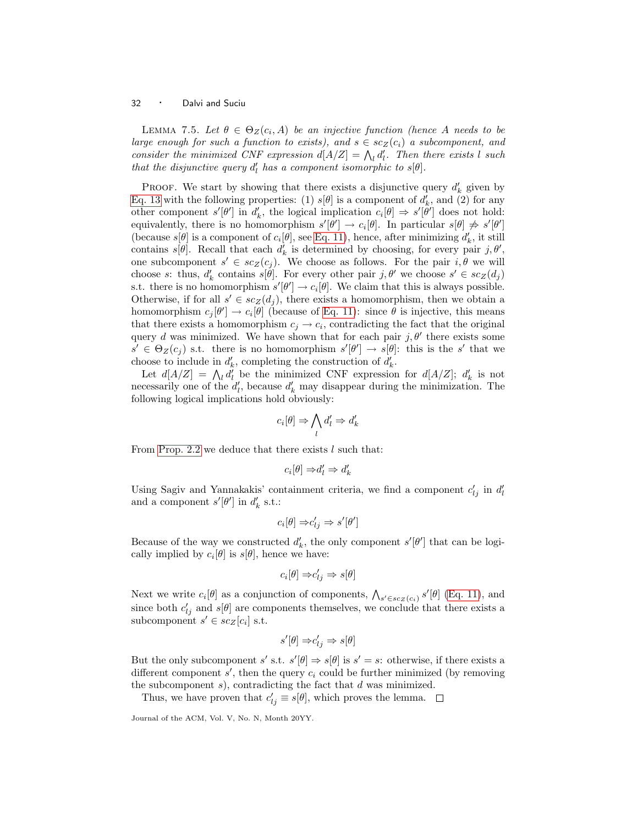LEMMA 7.5. Let  $\theta \in \Theta_Z(c_i, A)$  be an injective function (hence A needs to be large enough for such a function to exists), and  $s \in sc_Z(c_i)$  a subcomponent, and consider the minimized CNF expression  $d[A/Z] = \bigwedge_l d'_l$ . Then there exists l such that the disjunctive query  $d'_l$  has a component isomorphic to  $s[\theta]$ .

PROOF. We start by showing that there exists a disjunctive query  $d'_{k}$  given by [Eq. 13](#page-30-0) with the following properties: (1)  $s[\theta]$  is a component of  $d'_{k}$ , and (2) for any other component  $s'[\theta']$  in  $d'_k$ , the logical implication  $c_i[\theta] \Rightarrow s'[\theta']$  does not hold: equivalently, there is no homomorphism  $s'[\theta'] \to c_i[\theta]$ . In particular  $s[\theta] \not\Rightarrow s'[\theta']$ (because  $s[\theta]$  is a component of  $c_i[\theta]$ , see [Eq. 11\)](#page-30-1), hence, after minimizing  $d'_k$ , it still contains  $s[\theta]$ . Recall that each  $d'_k$  is determined by choosing, for every pair  $j, \theta'$ , one subcomponent  $s' \in sc_Z(c_j)$ . We choose as follows. For the pair  $i, \theta$  we will choose s: thus,  $d'_k$  contains  $s[\theta]$ . For every other pair  $j, \theta'$  we choose  $s' \in sc_Z(d_j)$ s.t. there is no homomorphism  $s'[\theta'] \to c_i[\theta]$ . We claim that this is always possible. Otherwise, if for all  $s' \in sc_Z(d_j)$ , there exists a homomorphism, then we obtain a homomorphism  $c_j[\theta'] \to c_i[\theta]$  (because of [Eq. 11\)](#page-30-1): since  $\theta$  is injective, this means that there exists a homomorphism  $c_j \to c_i$ , contradicting the fact that the original query d was minimized. We have shown that for each pair  $j, \theta'$  there exists some  $s' \in \Theta_Z(c_j)$  s.t. there is no homomorphism  $s'[\theta'] \to s[\theta]$ : this is the s' that we choose to include in  $d'_k$ , completing the construction of  $d'_k$ .

Let  $d[A/Z] = \bigwedge_l d'_l$  be the minimized CNF expression for  $d[A/Z]$ ;  $d'_k$  is not necessarily one of the  $d'_l$ , because  $d'_k$  may disappear during the minimization. The following logical implications hold obviously:

$$
c_i[\theta] \Rightarrow \bigwedge_l d'_l \Rightarrow d'_k
$$

From [Prop. 2.2](#page-7-0) we deduce that there exists l such that:

$$
c_i[\theta] \Rightarrow d_l' \Rightarrow d_k'
$$

Using Sagiv and Yannakakis' containment criteria, we find a component  $c'_{lj}$  in  $d'_{l}$ and a component  $s'[\theta']$  in  $d'_{k}$  s.t.:

$$
c_i[\theta] \Rightarrow c'_{lj} \Rightarrow s'[\theta']
$$

Because of the way we constructed  $d'_k$ , the only component  $s'[\theta']$  that can be logically implied by  $c_i[\theta]$  is  $s[\theta]$ , hence we have:

$$
c_i[\theta] \Rightarrow c'_{lj} \Rightarrow s[\theta]
$$

Next we write  $c_i[\theta]$  as a conjunction of components,  $\bigwedge_{s' \in sc_Z(c_i)} s'[\theta]$  [\(Eq. 11\)](#page-30-1), and since both  $c'_{lj}$  and  $s[\theta]$  are components themselves, we conclude that there exists a subcomponent  $s' \in sc_Z[c_i]$  s.t.

$$
s'[\theta] \Rightarrow c'_{lj} \Rightarrow s[\theta]
$$

But the only subcomponent s' s.t.  $s'[\theta] \Rightarrow s[\theta]$  is  $s' = s$ : otherwise, if there exists a different component  $s'$ , then the query  $c_i$  could be further minimized (by removing the subcomponent  $s$ ), contradicting the fact that  $d$  was minimized.

Thus, we have proven that  $c'_{ij} \equiv s[\theta]$ , which proves the lemma.

Journal of the ACM, Vol. V, No. N, Month 20YY.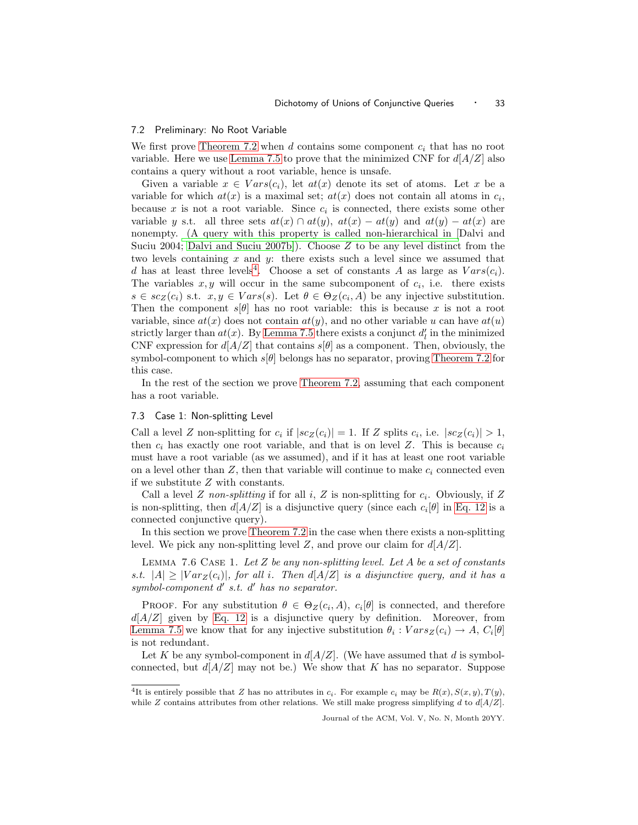#### 7.2 Preliminary: No Root Variable

We first prove [Theorem 7.2](#page-28-0) when d contains some component  $c_i$  that has no root variable. Here we use [Lemma 7.5](#page-30-2) to prove that the minimized CNF for  $d[A/Z]$  also contains a query without a root variable, hence is unsafe.

Given a variable  $x \in Vars(c_i)$ , let  $at(x)$  denote its set of atoms. Let x be a variable for which  $at(x)$  is a maximal set;  $at(x)$  does not contain all atoms in  $c_i$ , because  $x$  is not a root variable. Since  $c_i$  is connected, there exists some other variable y s.t. all three sets  $at(x) \cap at(y)$ ,  $at(x) - at(y)$  and  $at(y) - at(x)$  are nonempty. [\(A query with this property is called non-hierarchical in \[](#page-66-0)Dalvi and Suciu 2004; [Dalvi and Suciu 2007b\]](#page-66-1)). Choose  $Z$  to be any level distinct from the two levels containing  $x$  and  $y$ : there exists such a level since we assumed that d has at least three levels<sup>[4](#page-32-0)</sup>. Choose a set of constants A as large as  $Vars(c_i)$ . The variables  $x, y$  will occur in the same subcomponent of  $c_i$ , i.e. there exists  $s \in sc_Z(c_i)$  s.t.  $x, y \in Vars(s)$ . Let  $\theta \in \Theta_Z(c_i, A)$  be any injective substitution. Then the component  $s[\theta]$  has no root variable: this is because x is not a root variable, since  $at(x)$  does not contain  $at(y)$ , and no other variable u can have  $at(u)$ strictly larger than  $at(x)$ . By [Lemma 7.5](#page-30-2) there exists a conjunct  $d'_l$  in the minimized CNF expression for  $d[A/Z]$  that contains  $s[\theta]$  as a component. Then, obviously, the symbol-component to which  $s|\theta|$  belongs has no separator, proving [Theorem 7.2](#page-28-0) for this case.

In the rest of the section we prove [Theorem 7.2,](#page-28-0) assuming that each component has a root variable.

#### 7.3 Case 1: Non-splitting Level

Call a level Z non-splitting for  $c_i$  if  $|s c_Z(c_i)| = 1$ . If Z splits  $c_i$ , i.e.  $|s c_Z(c_i)| > 1$ , then  $c_i$  has exactly one root variable, and that is on level Z. This is because  $c_i$ must have a root variable (as we assumed), and if it has at least one root variable on a level other than  $Z$ , then that variable will continue to make  $c_i$  connected even if we substitute Z with constants.

Call a level Z non-splitting if for all i, Z is non-splitting for  $c_i$ . Obviously, if Z is non-splitting, then  $d[A/Z]$  is a disjunctive query (since each  $c_i[\theta]$  in [Eq. 12](#page-30-3) is a connected conjunctive query).

In this section we prove [Theorem 7.2](#page-28-0) in the case when there exists a non-splitting level. We pick any non-splitting level Z, and prove our claim for  $d[A/Z]$ .

LEMMA 7.6 CASE 1. Let  $Z$  be any non-splitting level. Let  $A$  be a set of constants s.t.  $|A| \geq |Var_Z(c_i)|$ , for all i. Then  $d[A/Z]$  is a disjunctive query, and it has a symbol-component d' s.t. d' has no separator.

PROOF. For any substitution  $\theta \in \Theta_Z(c_i, A)$ ,  $c_i[\theta]$  is connected, and therefore  $d[A/Z]$  given by [Eq. 12](#page-30-3) is a disjunctive query by definition. Moreover, from [Lemma 7.5](#page-30-2) we know that for any injective substitution  $\theta_i$ :  $Vars_Z(c_i) \rightarrow A$ ,  $C_i[\theta]$ is not redundant.

Let K be any symbol-component in  $d[A/Z]$ . (We have assumed that d is symbolconnected, but  $d[A/Z]$  may not be.) We show that K has no separator. Suppose

<span id="page-32-0"></span><sup>&</sup>lt;sup>4</sup>It is entirely possible that Z has no attributes in  $c_i$ . For example  $c_i$  may be  $R(x)$ ,  $S(x, y)$ ,  $T(y)$ , while Z contains attributes from other relations. We still make progress simplifying d to  $d[A/Z]$ .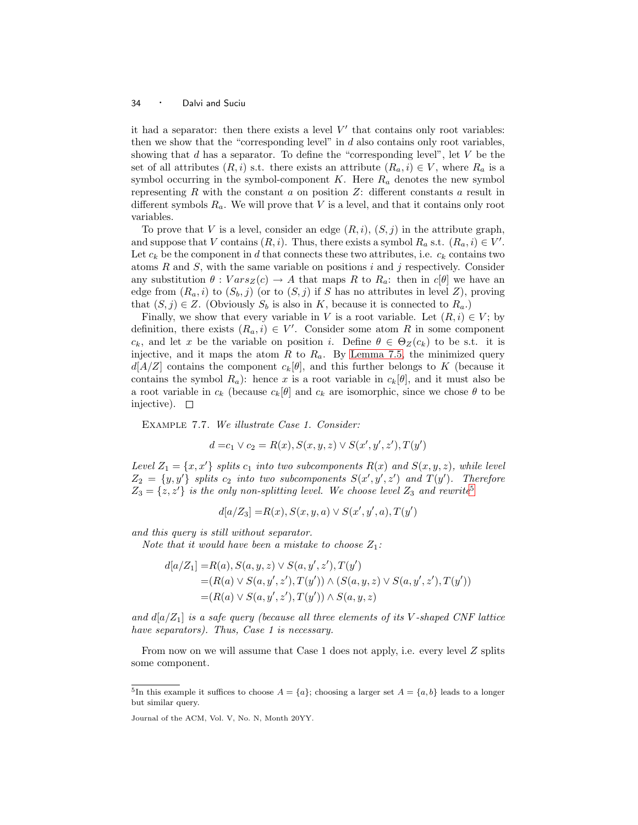it had a separator: then there exists a level  $V'$  that contains only root variables: then we show that the "corresponding level" in  $d$  also contains only root variables, showing that  $d$  has a separator. To define the "corresponding level", let  $V$  be the set of all attributes  $(R, i)$  s.t. there exists an attribute  $(R_a, i) \in V$ , where  $R_a$  is a symbol occurring in the symbol-component  $K$ . Here  $R_a$  denotes the new symbol representing R with the constant a on position  $Z$ : different constants a result in different symbols  $R_a$ . We will prove that V is a level, and that it contains only root variables.

To prove that V is a level, consider an edge  $(R,i)$ ,  $(S,j)$  in the attribute graph, and suppose that V contains  $(R, i)$ . Thus, there exists a symbol  $R_a$  s.t.  $(R_a, i) \in V'$ . Let  $c_k$  be the component in d that connects these two attributes, i.e.  $c_k$  contains two atoms  $R$  and  $S$ , with the same variable on positions i and j respectively. Consider any substitution  $\theta : Vars_Z(c) \to A$  that maps R to  $R_a$ : then in  $c[\theta]$  we have an edge from  $(R_a, i)$  to  $(S_b, j)$  (or to  $(S, j)$  if S has no attributes in level Z), proving that  $(S, j) \in Z$ . (Obviously  $S_b$  is also in K, because it is connected to  $R_a$ .)

Finally, we show that every variable in V is a root variable. Let  $(R, i) \in V$ ; by definition, there exists  $(R_a, i) \in V'$ . Consider some atom R in some component  $c_k$ , and let x be the variable on position i. Define  $\theta \in \Theta_Z(c_k)$  to be s.t. it is injective, and it maps the atom  $R$  to  $R_a$ . By [Lemma 7.5,](#page-30-2) the minimized query  $d[A/Z]$  contains the component  $c_k[\theta]$ , and this further belongs to K (because it contains the symbol  $R_a$ ): hence x is a root variable in  $c_k[\theta]$ , and it must also be a root variable in  $c_k$  (because  $c_k[\theta]$  and  $c_k$  are isomorphic, since we chose  $\theta$  to be injective).  $\square$ 

Example 7.7. We illustrate Case 1. Consider:

$$
d = c_1 \vee c_2 = R(x), S(x, y, z) \vee S(x', y', z'), T(y')
$$

Level  $Z_1 = \{x, x'\}$  splits  $c_1$  into two subcomponents  $R(x)$  and  $S(x, y, z)$ , while level  $Z_2 = \{y, y'\}$  splits  $c_2$  into two subcomponents  $S(x', y', z')$  and  $T(y')$ . Therefore  $Z_3 = \{z, z'\}$  is the only non-splitting level. We choose level  $Z_3$  and rewrite<sup>[5](#page-33-0)</sup>

$$
d[a/Z_3]=R(x), S(x,y,a)\vee S(x',y',a), T(y')
$$

and this query is still without separator.

Note that it would have been a mistake to choose  $Z_1$ :

$$
d[a/Z_1] = R(a), S(a, y, z) \vee S(a, y', z'), T(y')
$$
  
=  $(R(a) \vee S(a, y', z'), T(y')) \wedge (S(a, y, z) \vee S(a, y', z'), T(y'))$   
=  $(R(a) \vee S(a, y', z'), T(y')) \wedge S(a, y, z)$ 

and  $d[a/Z_1]$  is a safe query (because all three elements of its V-shaped CNF lattice have separators). Thus, Case 1 is necessary.

From now on we will assume that Case 1 does not apply, i.e. every level Z splits some component.

<span id="page-33-0"></span><sup>&</sup>lt;sup>5</sup>In this example it suffices to choose  $A = \{a\}$ ; choosing a larger set  $A = \{a, b\}$  leads to a longer but similar query.

Journal of the ACM, Vol. V, No. N, Month 20YY.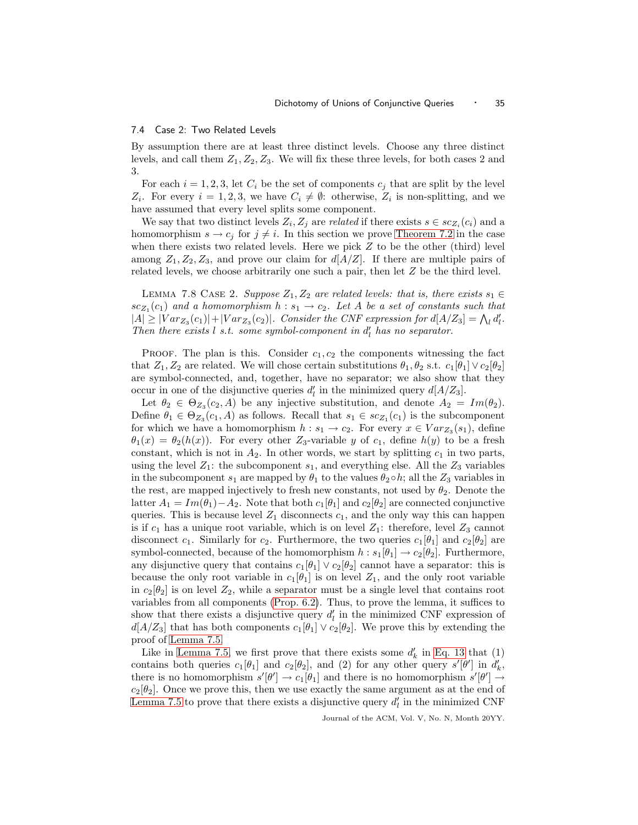#### 7.4 Case 2: Two Related Levels

By assumption there are at least three distinct levels. Choose any three distinct levels, and call them  $Z_1, Z_2, Z_3$ . We will fix these three levels, for both cases 2 and 3.

For each  $i = 1, 2, 3$ , let  $C_i$  be the set of components  $c_j$  that are split by the level  $Z_i$ . For every  $i = 1, 2, 3$ , we have  $C_i \neq \emptyset$ : otherwise,  $Z_i$  is non-splitting, and we have assumed that every level splits some component.

We say that two distinct levels  $Z_i, Z_j$  are *related* if there exists  $s \in sc_{Z_i}(c_i)$  and a homomorphism  $s \to c_j$  for  $j \neq i$ . In this section we prove [Theorem 7.2](#page-28-0) in the case when there exists two related levels. Here we pick  $Z$  to be the other (third) level among  $Z_1, Z_2, Z_3$ , and prove our claim for  $d[A/Z]$ . If there are multiple pairs of related levels, we choose arbitrarily one such a pair, then let  $Z$  be the third level.

LEMMA 7.8 CASE 2. Suppose  $Z_1, Z_2$  are related levels: that is, there exists  $s_1 \in$  $sc_{Z_1}(c_1)$  and a homomorphism  $h : s_1 \rightarrow c_2$ . Let A be a set of constants such that  $|A| \geq |Var_{Z_3}(c_1)| + |Var_{Z_3}(c_2)|$ . Consider the CNF expression for  $d[A/Z_3] = \bigwedge_i d'_i$ . Then there exists  $l$  s.t. some symbol-component in  $d_l$  has no separator.

PROOF. The plan is this. Consider  $c_1, c_2$  the components witnessing the fact that  $Z_1, Z_2$  are related. We will chose certain substitutions  $\theta_1, \theta_2$  s.t.  $c_1[\theta_1] \vee c_2[\theta_2]$ are symbol-connected, and, together, have no separator; we also show that they occur in one of the disjunctive queries  $d'_l$  in the minimized query  $d[A/Z_3]$ .

Let  $\theta_2 \in \Theta_{Z_3}(c_2, A)$  be any injective substitution, and denote  $A_2 = Im(\theta_2)$ . Define  $\theta_1 \in \Theta_{Z_3}(c_1, A)$  as follows. Recall that  $s_1 \in sc_{Z_1}(c_1)$  is the subcomponent for which we have a homomorphism  $h : s_1 \to c_2$ . For every  $x \in Var_{Z_3}(s_1)$ , define  $\theta_1(x) = \theta_2(h(x))$ . For every other  $Z_3$ -variable y of  $c_1$ , define  $h(y)$  to be a fresh constant, which is not in  $A_2$ . In other words, we start by splitting  $c_1$  in two parts, using the level  $Z_1$ : the subcomponent  $s_1$ , and everything else. All the  $Z_3$  variables in the subcomponent  $s_1$  are mapped by  $\theta_1$  to the values  $\theta_2 \circ h$ ; all the  $Z_3$  variables in the rest, are mapped injectively to fresh new constants, not used by  $\theta_2$ . Denote the latter  $A_1 = Im(\theta_1) - A_2$ . Note that both  $c_1[\theta_1]$  and  $c_2[\theta_2]$  are connected conjunctive queries. This is because level  $Z_1$  disconnects  $c_1$ , and the only way this can happen is if  $c_1$  has a unique root variable, which is on level  $Z_1$ : therefore, level  $Z_3$  cannot disconnect  $c_1$ . Similarly for  $c_2$ . Furthermore, the two queries  $c_1[\theta_1]$  and  $c_2[\theta_2]$  are symbol-connected, because of the homomorphism  $h : s_1[\theta_1] \to c_2[\theta_2]$ . Furthermore, any disjunctive query that contains  $c_1[\theta_1] \vee c_2[\theta_2]$  cannot have a separator: this is because the only root variable in  $c_1[\theta_1]$  is on level  $Z_1$ , and the only root variable in  $c_2[\theta_2]$  is on level  $Z_2$ , while a separator must be a single level that contains root variables from all components [\(Prop. 6.2\)](#page-24-1). Thus, to prove the lemma, it suffices to show that there exists a disjunctive query  $d'_{l}$  in the minimized CNF expression of  $d[A/Z_3]$  that has both components  $c_1[\theta_1] \vee c_2[\theta_2]$ . We prove this by extending the proof of [Lemma 7.5.](#page-30-2)

Like in [Lemma 7.5,](#page-30-2) we first prove that there exists some  $d'_{k}$  in [Eq. 13](#page-30-0) that (1) contains both queries  $c_1[\theta_1]$  and  $c_2[\theta_2]$ , and (2) for any other query  $s'[\theta']$  in  $d'_k$ , there is no homomorphism  $s'[\theta'] \to c_1[\theta_1]$  and there is no homomorphism  $s'[\theta'] \to$  $c_2[\theta_2]$ . Once we prove this, then we use exactly the same argument as at the end of [Lemma 7.5](#page-30-2) to prove that there exists a disjunctive query  $d'_{l}$  in the minimized CNF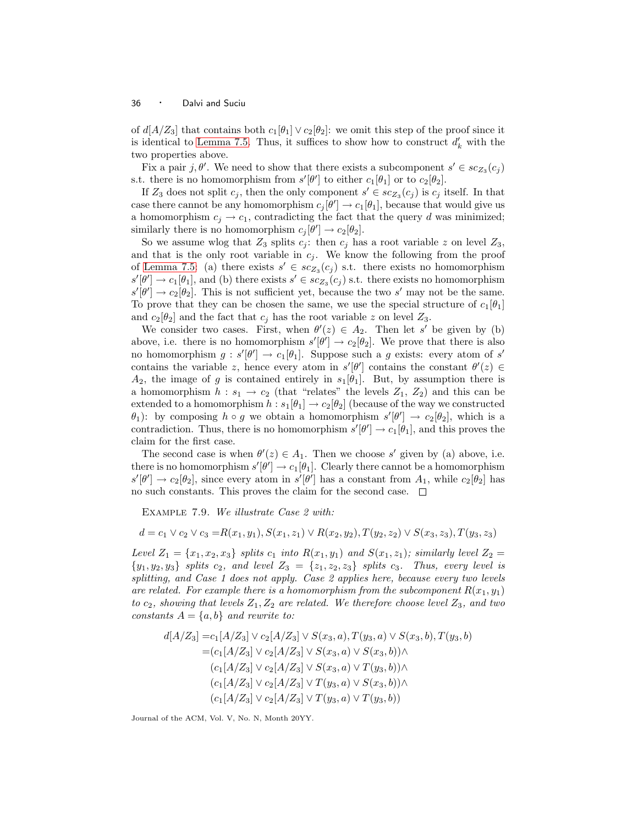of  $d[A/Z_3]$  that contains both  $c_1[\theta_1] \vee c_2[\theta_2]$ : we omit this step of the proof since it is identical to [Lemma 7.5.](#page-30-2) Thus, it suffices to show how to construct  $d'_{k}$  with the two properties above.

Fix a pair j,  $\theta'$ . We need to show that there exists a subcomponent  $s' \in sc_{Z_3}(c_j)$ s.t. there is no homomorphism from  $s'[\theta']$  to either  $c_1[\theta_1]$  or to  $c_2[\theta_2]$ .

If  $Z_3$  does not split  $c_j$ , then the only component  $s' \in sc_{Z_3}(c_j)$  is  $c_j$  itself. In that case there cannot be any homomorphism  $c_j[\theta'] \to c_1[\theta_1]$ , because that would give us a homomorphism  $c_i \rightarrow c_1$ , contradicting the fact that the query d was minimized; similarly there is no homomorphism  $c_j[\theta'] \to c_2[\theta_2]$ .

So we assume wlog that  $Z_3$  splits  $c_j$ : then  $c_j$  has a root variable z on level  $Z_3$ , and that is the only root variable in  $c_j$ . We know the following from the proof of [Lemma 7.5:](#page-30-2) (a) there exists  $s' \in sc_{Z_3}(c_j)$  s.t. there exists no homomorphism  $s'[\theta'] \to c_1[\theta_1]$ , and (b) there exists  $s' \in sc_{Z_3}(c_j)$  s.t. there exists no homomorphism  $s'[\theta'] \to c_2[\theta_2]$ . This is not sufficient yet, because the two s' may not be the same. To prove that they can be chosen the same, we use the special structure of  $c_1[\theta_1]$ and  $c_2[\theta_2]$  and the fact that  $c_j$  has the root variable z on level  $Z_3$ .

We consider two cases. First, when  $\theta'(z) \in A_2$ . Then let s' be given by (b) above, i.e. there is no homomorphism  $s'[\theta'] \to c_2[\theta_2]$ . We prove that there is also no homomorphism  $g : s'[\theta'] \to c_1[\theta_1]$ . Suppose such a g exists: every atom of s' contains the variable z, hence every atom in  $s'[\theta']$  contains the constant  $\theta'(z) \in$  $A_2$ , the image of g is contained entirely in  $s_1[\theta_1]$ . But, by assumption there is a homomorphism  $h: s_1 \to c_2$  (that "relates" the levels  $Z_1, Z_2$ ) and this can be extended to a homomorphism  $h : s_1[\theta_1] \to c_2[\theta_2]$  (because of the way we constructed  $\theta_1$ ): by composing  $h \circ g$  we obtain a homomorphism  $s'[\theta'] \to c_2[\theta_2]$ , which is a contradiction. Thus, there is no homomorphism  $s'[\theta'] \to c_1[\theta_1]$ , and this proves the claim for the first case.

The second case is when  $\theta'(z) \in A_1$ . Then we choose s' given by (a) above, i.e. there is no homomorphism  $s'[\theta'] \to c_1[\theta_1]$ . Clearly there cannot be a homomorphism  $s'[\theta'] \to c_2[\theta_2],$  since every atom in  $s'[\theta']$  has a constant from  $A_1$ , while  $c_2[\theta_2]$  has no such constants. This proves the claim for the second case.  $\Box$ 

<span id="page-35-0"></span>Example 7.9. We illustrate Case 2 with:

 $d = c_1 \vee c_2 \vee c_3 = R(x_1,y_1), S(x_1,z_1) \vee R(x_2,y_2), T(y_2,z_2) \vee S(x_3,z_3), T(y_3,z_3)$ 

Level  $Z_1 = \{x_1, x_2, x_3\}$  splits  $c_1$  into  $R(x_1, y_1)$  and  $S(x_1, z_1)$ ; similarly level  $Z_2 =$  ${y_1, y_2, y_3}$  splits  $c_2$ , and level  $Z_3 = {z_1, z_2, z_3}$  splits  $c_3$ . Thus, every level is splitting, and Case 1 does not apply. Case 2 applies here, because every two levels are related. For example there is a homomorphism from the subcomponent  $R(x_1,y_1)$ to  $c_2$ , showing that levels  $Z_1, Z_2$  are related. We therefore choose level  $Z_3$ , and two constants  $A = \{a, b\}$  and rewrite to:

$$
d[A/Z_3] = c_1[A/Z_3] \vee c_2[A/Z_3] \vee S(x_3, a), T(y_3, a) \vee S(x_3, b), T(y_3, b)
$$
  
=  $(c_1[A/Z_3] \vee c_2[A/Z_3] \vee S(x_3, a) \vee S(x_3, b)) \wedge$   
 $(c_1[A/Z_3] \vee c_2[A/Z_3] \vee S(x_3, a) \vee T(y_3, b)) \wedge$   
 $(c_1[A/Z_3] \vee c_2[A/Z_3] \vee T(y_3, a) \vee S(x_3, b)) \wedge$   
 $(c_1[A/Z_3] \vee c_2[A/Z_3] \vee T(y_3, a) \vee T(y_3, b))$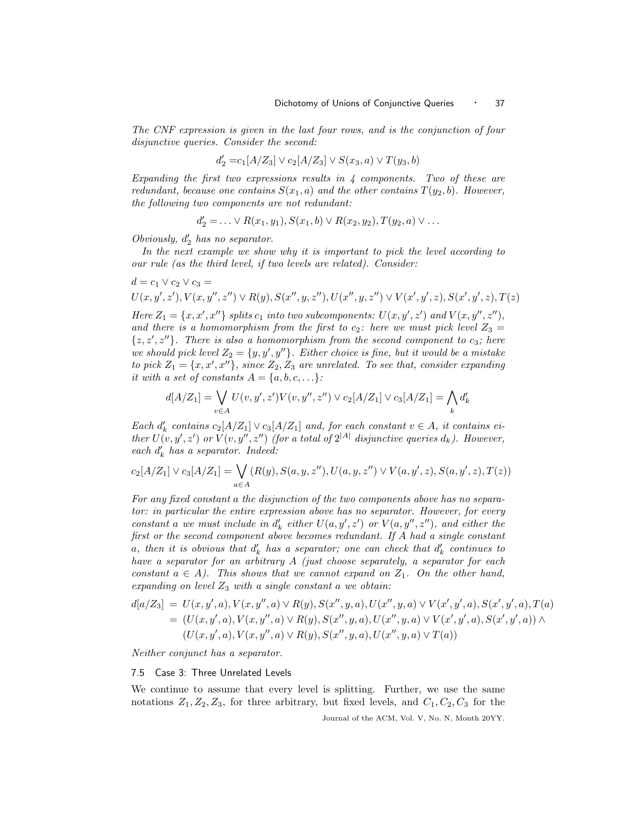The CNF expression is given in the last four rows, and is the conjunction of four disjunctive queries. Consider the second:

$$
d'_2 = c_1[A/Z_3] \vee c_2[A/Z_3] \vee S(x_3, a) \vee T(y_3, b)
$$

Expanding the first two expressions results in  $\downarrow$  components. Two of these are redundant, because one contains  $S(x_1, a)$  and the other contains  $T(y_2, b)$ . However, the following two components are not redundant:

$$
d'_2 = \ldots \vee R(x_1, y_1), S(x_1, b) \vee R(x_2, y_2), T(y_2, a) \vee \ldots
$$

Obviously,  $d_2$  has no separator.

In the next example we show why it is important to pick the level according to our rule (as the third level, if two levels are related). Consider:

$$
d = c_1 \vee c_2 \vee c_3 = U(x, y', z'), V(x, y'', z'') \vee R(y), S(x'', y, z''), U(x'', y, z'') \vee V(x', y', z), S(x', y', z), T(z)
$$
  
Here  $Z_1 = \{x, x', x''\}$  splits  $c_1$  into two subcomponents:  $U(x, y', z')$  and  $V(x, y'', z'')$ ,

and there is a homomorphism from the first to  $c_2$ : here we must pick level  $Z_3 =$  $\{z, z', z''\}$ . There is also a homomorphism from the second component to  $c_3$ ; here we should pick level  $Z_2 = \{y, y', y''\}$ . Either choice is fine, but it would be a mistake to pick  $Z_1 = \{x, x', x''\}$ , since  $Z_2, Z_3$  are unrelated. To see that, consider expanding it with a set of constants  $A = \{a, b, c, \ldots\}$ :

$$
d[A/Z_1] = \bigvee_{v \in A} U(v, y', z')V(v, y'', z'') \lor c_2[A/Z_1] \lor c_3[A/Z_1] = \bigwedge_k d'_k
$$

Each  $d'_k$  contains  $c_2[A/Z_1] \vee c_3[A/Z_1]$  and, for each constant  $v \in A$ , it contains either  $U(v, y', z')$  or  $V(v, y'', z'')$  (for a total of  $2^{|A|}$  disjunctive queries  $d_k$ ). However, each  $d'_k$  has a separator. Indeed:

$$
c_2[A/Z_1] \vee c_3[A/Z_1] = \bigvee_{a \in A} (R(y), S(a, y, z''), U(a, y, z'') \vee V(a, y', z), S(a, y', z), T(z))
$$

For any fixed constant a the disjunction of the two components above has no separator: in particular the entire expression above has no separator. However, for every constant a we must include in  $d'_k$  either  $U(a, y', z')$  or  $V(a, y'', z'')$ , and either the first or the second component above becomes redundant. If A had a single constant  $a,$  then it is obvious that  $d'_k$  has a separator; one can check that  $d'_k$  continues to have a separator for an arbitrary A (just choose separately, a separator for each constant  $a \in A$ ). This shows that we cannot expand on  $Z_1$ . On the other hand, expanding on level  $Z_3$  with a single constant a we obtain:

$$
d[a/Z_3] = U(x, y', a), V(x, y'', a) \vee R(y), S(x'', y, a), U(x'', y, a) \vee V(x', y', a), S(x', y', a), T(a)
$$
  
=  $(U(x, y', a), V(x, y'', a) \vee R(y), S(x'', y, a), U(x'', y, a) \vee V(x', y', a), S(x', y', a)) \wedge$   
 $(U(x, y', a), V(x, y'', a) \vee R(y), S(x'', y, a), U(x'', y, a) \vee T(a))$ 

Neither conjunct has a separator.

#### 7.5 Case 3: Three Unrelated Levels

We continue to assume that every level is splitting. Further, we use the same notations  $Z_1, Z_2, Z_3$ , for three arbitrary, but fixed levels, and  $C_1, C_2, C_3$  for the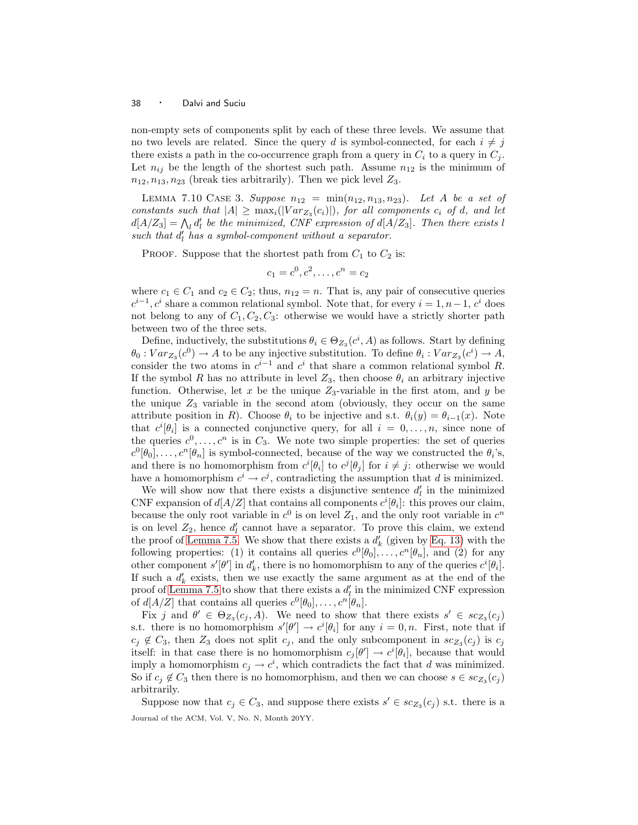non-empty sets of components split by each of these three levels. We assume that no two levels are related. Since the query d is symbol-connected, for each  $i \neq j$ there exists a path in the co-occurrence graph from a query in  $C_i$  to a query in  $C_j$ . Let  $n_{ij}$  be the length of the shortest such path. Assume  $n_{12}$  is the minimum of  $n_{12},n_{13},n_{23}$  (break ties arbitrarily). Then we pick level  $Z_3$ .

LEMMA 7.10 CASE 3. Suppose  $n_{12} = \min(n_{12},n_{13},n_{23})$ . Let A be a set of constants such that  $|A| \geq \max_i(|Var_{Z_3}(c_i)|)$ , for all components  $c_i$  of d, and let  $d[A/Z_3] = \bigwedge_i d'_i$  be the minimized, CNF expression of  $d[A/Z_3]$ . Then there exists l such that  $d'_l$  has a symbol-component without a separator.

PROOF. Suppose that the shortest path from  $C_1$  to  $C_2$  is:

$$
c_1 = c^0, c^2, \dots, c^n = c_2
$$

where  $c_1 \in C_1$  and  $c_2 \in C_2$ ; thus,  $n_{12} = n$ . That is, any pair of consecutive queries  $c^{i-1}, c^i$  share a common relational symbol. Note that, for every  $i = 1, n-1, c^i$  does not belong to any of  $C_1, C_2, C_3$ : otherwise we would have a strictly shorter path between two of the three sets.

Define, inductively, the substitutions  $\theta_i \in \Theta_{Z_3}(c^i, A)$  as follows. Start by defining  $\theta_0: Var_{Z_3}(c^0) \to A$  to be any injective substitution. To define  $\theta_i: Var_{Z_3}(c^i) \to A$ , consider the two atoms in  $c^{i-1}$  and  $c^i$  that share a common relational symbol R. If the symbol R has no attribute in level  $Z_3$ , then choose  $\theta_i$  an arbitrary injective function. Otherwise, let x be the unique  $Z_3$ -variable in the first atom, and y be the unique  $Z_3$  variable in the second atom (obviously, they occur on the same attribute position in R). Choose  $\theta_i$  to be injective and s.t.  $\theta_i(y) = \theta_{i-1}(x)$ . Note that  $c^{i}[\theta_i]$  is a connected conjunctive query, for all  $i = 0, \ldots, n$ , since none of the queries  $c^0, \ldots, c^n$  is in  $C_3$ . We note two simple properties: the set of queries  $c^0[\theta_0], \ldots, c^n[\theta_n]$  is symbol-connected, because of the way we constructed the  $\theta_i$ 's, and there is no homomorphism from  $c^{i}[\theta_i]$  to  $c^{j}[\theta_j]$  for  $i \neq j$ : otherwise we would have a homomorphism  $c^i \to c^j$ , contradicting the assumption that d is minimized.

We will show now that there exists a disjunctive sentence  $d'_{l}$  in the minimized CNF expansion of  $d[A/Z]$  that contains all components  $c^{i}[\theta_i]$ : this proves our claim, because the only root variable in  $c^0$  is on level  $Z_1$ , and the only root variable in  $c^n$ is on level  $Z_2$ , hence  $d'_l$  cannot have a separator. To prove this claim, we extend the proof of [Lemma 7.5.](#page-30-2) We show that there exists a  $d'_{k}$  (given by [Eq. 13\)](#page-30-0) with the following properties: (1) it contains all queries  $c^0[\theta_0], \ldots, c^n[\theta_n]$ , and (2) for any other component  $s'[\theta']$  in  $d'_{k}$ , there is no homomorphism to any of the queries  $c^{i}[\theta_{i}]$ . If such a  $d'_k$  exists, then we use exactly the same argument as at the end of the proof of [Lemma 7.5](#page-30-2) to show that there exists a  $d'_{l}$  in the minimized CNF expression of  $d[A/Z]$  that contains all queries  $c^0[\theta_0], \ldots, c^n[\theta_n].$ 

Fix j and  $\theta' \in \Theta_{Z_3}(c_j, A)$ . We need to show that there exists  $s' \in sc_{Z_3}(c_j)$ s.t. there is no homomorphism  $s'[\theta'] \to c^i[\theta_i]$  for any  $i = 0, n$ . First, note that if  $c_j \notin C_3$ , then  $Z_3$  does not split  $c_j$ , and the only subcomponent in  $sc_{Z_3}(c_j)$  is  $c_j$ itself: in that case there is no homomorphism  $c_j[\theta'] \to c^i[\theta_i]$ , because that would imply a homomorphism  $c_j \to c^i$ , which contradicts the fact that d was minimized. So if  $c_j \notin C_3$  then there is no homomorphism, and then we can choose  $s \in sc_{Z_3}(c_j)$ arbitrarily.

Suppose now that  $c_j \in C_3$ , and suppose there exists  $s' \in sc_{Z_3}(c_j)$  s.t. there is a Journal of the ACM, Vol. V, No. N, Month 20YY.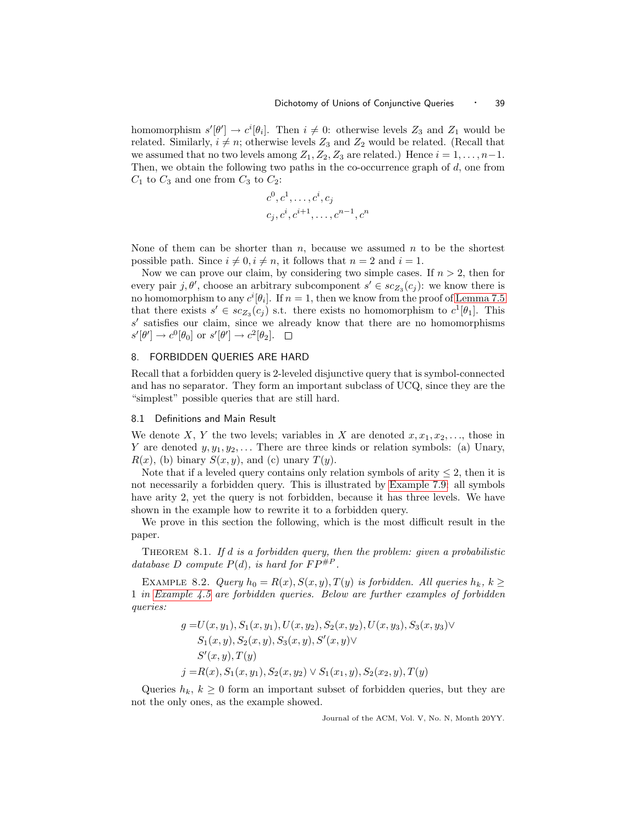homomorphism  $s'[\theta'] \to c^i[\theta_i]$ . Then  $i \neq 0$ : otherwise levels  $Z_3$  and  $Z_1$  would be related. Similarly,  $i \neq n$ ; otherwise levels  $Z_3$  and  $Z_2$  would be related. (Recall that we assumed that no two levels among  $Z_1, Z_2, Z_3$  are related.) Hence  $i = 1, \ldots, n-1$ . Then, we obtain the following two paths in the co-occurrence graph of  $d$ , one from  $C_1$  to  $C_3$  and one from  $C_3$  to  $C_2$ :

$$
c^0, c^1, \ldots, c^i, c_j
$$
  
 $c_j, c^i, c^{i+1}, \ldots, c^{n-1}, c^n$ 

None of them can be shorter than  $n$ , because we assumed  $n$  to be the shortest possible path. Since  $i \neq 0, i \neq n$ , it follows that  $n = 2$  and  $i = 1$ .

Now we can prove our claim, by considering two simple cases. If  $n > 2$ , then for every pair j,  $\theta'$ , choose an arbitrary subcomponent  $s' \in sc_{Z_3}(c_j)$ : we know there is no homomorphism to any  $c^{i}[\theta_i]$ . If  $n = 1$ , then we know from the proof of [Lemma 7.5](#page-30-2) that there exists  $s' \in sc_{Z_3}(c_j)$  s.t. there exists no homomorphism to  $c^1[\theta_1]$ . This s' satisfies our claim, since we already know that there are no homomorphisms  $s'[\theta'] \to c^0[\theta_0]$  or  $s'[\theta'] \to c^2[\theta_2]$ .

#### <span id="page-38-1"></span>8. FORBIDDEN QUERIES ARE HARD

Recall that a forbidden query is 2-leveled disjunctive query that is symbol-connected and has no separator. They form an important subclass of UCQ, since they are the "simplest" possible queries that are still hard.

# <span id="page-38-0"></span>8.1 Definitions and Main Result

We denote X, Y the two levels; variables in X are denoted  $x, x_1, x_2, \ldots$ , those in Y are denoted  $y, y_1, y_2, \ldots$  There are three kinds or relation symbols: (a) Unary,  $R(x)$ , (b) binary  $S(x, y)$ , and (c) unary  $T(y)$ .

Note that if a leveled query contains only relation symbols of arity  $\leq 2$ , then it is not necessarily a forbidden query. This is illustrated by [Example 7.9:](#page-35-0) all symbols have arity 2, yet the query is not forbidden, because it has three levels. We have shown in the example how to rewrite it to a forbidden query.

<span id="page-38-2"></span>We prove in this section the following, which is the most difficult result in the paper.

THEOREM 8.1. If d is a forbidden query, then the problem: given a probabilistic database D compute  $P(d)$ , is hard for  $FP^{\#P}$ .

<span id="page-38-3"></span>EXAMPLE 8.2. Query  $h_0 = R(x), S(x, y), T(y)$  is forbidden. All queries  $h_k, k \geq$ 1 in [Example 4.5](#page-15-1) are forbidden queries. Below are further examples of forbidden queries:

$$
g = U(x, y_1), S_1(x, y_1), U(x, y_2), S_2(x, y_2), U(x, y_3), S_3(x, y_3) \vee \nS_1(x, y), S_2(x, y), S_3(x, y), S'(x, y) \vee \nS'(x, y), T(y) \nj = R(x), S_1(x, y_1), S_2(x, y_2) \vee S_1(x_1, y), S_2(x_2, y), T(y)
$$

Queries  $h_k, k \geq 0$  form an important subset of forbidden queries, but they are not the only ones, as the example showed.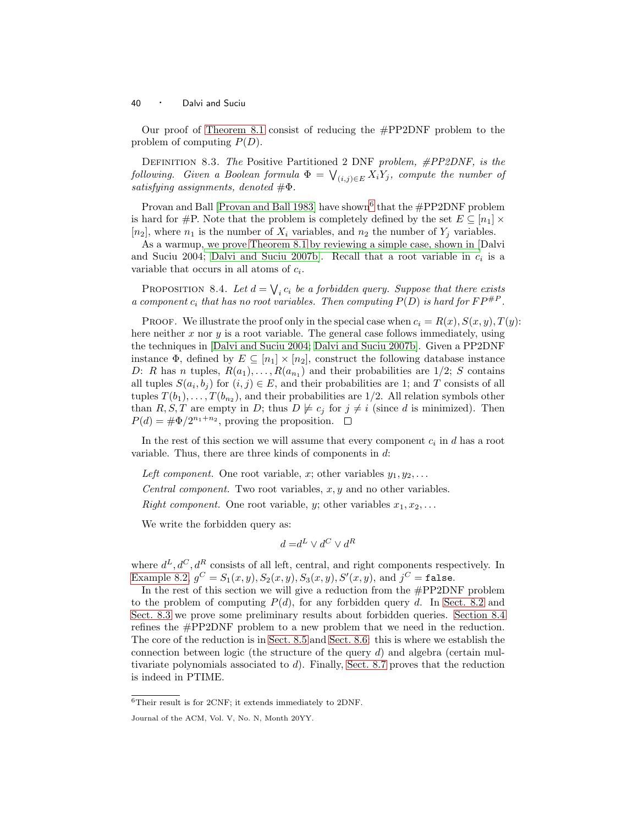Our proof of [Theorem 8.1](#page-38-2) consist of reducing the #PP2DNF problem to the problem of computing  $P(D)$ .

DEFINITION 8.3. The Positive Partitioned 2 DNF problem,  $\#PP2DNF$ , is the following. Given a Boolean formula  $\Phi = \bigvee_{(i,j)\in E} X_i Y_j$ , compute the number of satisfying assignments, denoted  $\#\Phi$ .

Provan and Ball [\[Provan and Ball 1983\]](#page-67-8) have shown<sup>[6](#page-39-0)</sup> that the #PP2DNF problem is hard for #P. Note that the problem is completely defined by the set  $E \subseteq [n_1] \times$  $[n_2]$ , where  $n_1$  is the number of  $X_i$  variables, and  $n_2$  the number of  $Y_i$  variables.

As a warmup, [we prove](#page-66-0) [Theorem 8.1](#page-38-2) [by reviewing a simple case, shown in \[](#page-66-0)Dalvi and Suciu 2004; [Dalvi and Suciu 2007b\]](#page-66-1). Recall that a root variable in  $c_i$  is a variable that occurs in all atoms of  $c_i$ .

PROPOSITION 8.4. Let  $d = \bigvee_i c_i$  be a forbidden query. Suppose that there exists a component  $c_i$  that has no root variables. Then computing  $P(D)$  is hard for  $FP^{\#P}$ .

PROOF. We illustrate the proof only in the special case when  $c_i = R(x), S(x, y), T(y)$ : here neither  $x$  nor  $y$  is a root variable. The general case follows immediately, using the techniques in [\[Dalvi and Suciu 2004;](#page-66-0) [Dalvi and Suciu 2007b\]](#page-66-1). Given a PP2DNF instance  $\Phi$ , defined by  $E \subseteq [n_1] \times [n_2]$ , construct the following database instance D: R has n tuples,  $R(a_1), \ldots, R(a_{n_1})$  and their probabilities are  $1/2$ ; S contains all tuples  $S(a_i, b_j)$  for  $(i, j) \in E$ , and their probabilities are 1; and T consists of all tuples  $T(b_1), \ldots, T(b_{n_2})$ , and their probabilities are 1/2. All relation symbols other than R, S, T are empty in D; thus  $D \not\models c_i$  for  $j \neq i$  (since d is minimized). Then  $P(d) = \frac{\text{#}\Phi}{2^{n_1+n_2}}$ , proving the proposition.

In the rest of this section we will assume that every component  $c_i$  in d has a root variable. Thus, there are three kinds of components in d:

Left component. One root variable, x; other variables  $y_1, y_2, \ldots$ 

Central component. Two root variables,  $x, y$  and no other variables.

Right component. One root variable, y; other variables  $x_1, x_2, \ldots$ 

We write the forbidden query as:

$$
d = d^L \vee d^C \vee d^R
$$

where  $d^L, d^C, d^R$  consists of all left, central, and right components respectively. In [Example 8.2,](#page-38-3)  $g^C = S_1(x, y), S_2(x, y), S_3(x, y), S'(x, y),$  and  $j^C = \texttt{false}$ .

In the rest of this section we will give a reduction from the  $\#PP2DNF$  problem to the problem of computing  $P(d)$ , for any forbidden query d. In [Sect. 8.2](#page-40-0) and [Sect. 8.3](#page-42-0) we prove some preliminary results about forbidden queries. [Section 8.4](#page-47-0) refines the #PP2DNF problem to a new problem that we need in the reduction. The core of the reduction is in [Sect. 8.5](#page-49-0) and [Sect. 8.6:](#page-54-0) this is where we establish the connection between logic (the structure of the query  $d$ ) and algebra (certain multivariate polynomials associated to  $d$ . Finally, [Sect. 8.7](#page-62-0) proves that the reduction is indeed in PTIME.

<sup>6</sup>Their result is for 2CNF; it extends immediately to 2DNF.

<span id="page-39-0"></span>Journal of the ACM, Vol. V, No. N, Month 20YY.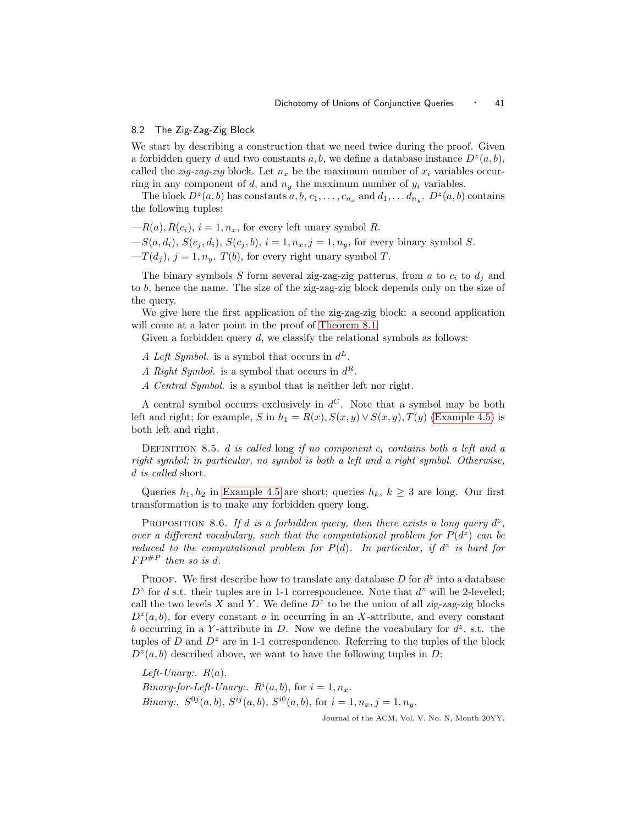# <span id="page-40-0"></span>8.2 The Zig-Zag-Zig Block

We start by describing a construction that we need twice during the proof. Given a forbidden query d and two constants  $a, b$ , we define a database instance  $D^z(a, b)$ , called the *zig-zag-zig* block. Let  $n_x$  be the maximum number of  $x_i$  variables occurring in any component of d, and  $n_y$  the maximum number of  $y_i$  variables.

The block  $D^z(a, b)$  has constants  $a, b, c_1, \ldots, c_{n_x}$  and  $d_1, \ldots, d_{n_y}$ .  $D^z(a, b)$  contains the following tuples:

- $-R(a), R(c_i), i = 1, n_x$ , for every left unary symbol R.
- $-S(a,d_i), S(c_j, d_i), S(c_j, b), i = 1, n_x, j = 1, n_y$ , for every binary symbol S.
- $-T(d_i)$ ,  $j = 1, n_y$ .  $T(b)$ , for every right unary symbol T.

The binary symbols S form several zig-zag-zig patterns, from a to  $c_i$  to  $d_i$  and to b, hence the name. The size of the zig-zag-zig block depends only on the size of the query.

We give here the first application of the zig-zag-zig block: a second application will come at a later point in the proof of [Theorem 8.1.](#page-38-2)

Given a forbidden query  $d$ , we classify the relational symbols as follows:

- A Left Symbol. is a symbol that occurs in  $d^L$ .
- A Right Symbol. is a symbol that occurs in  $d^R$ .
- A Central Symbol. is a symbol that is neither left nor right.

A central symbol occurrs exclusively in  $d^C$ . Note that a symbol may be both left and right; for example, S in  $h_1 = R(x), S(x, y) \vee S(x, y), T(y)$  [\(Example 4.5\)](#page-15-1) is both left and right.

DEFINITION 8.5. d is called long if no component  $c_i$  contains both a left and a right symbol; in particular, no symbol is both a left and a right symbol. Otherwise, d is called short.

<span id="page-40-1"></span>Queries  $h_1, h_2$  in [Example 4.5](#page-15-1) are short; queries  $h_k, k \geq 3$  are long. Our first transformation is to make any forbidden query long.

PROPOSITION 8.6. If d is a forbidden query, then there exists a long query  $d^z$ , over a different vocabulary, such that the computational problem for  $P(d^z)$  can be reduced to the computational problem for  $P(d)$ . In particular, if  $d^z$  is hard for  $FP^{\#P}$  then so is d.

PROOF. We first describe how to translate any database  $D$  for  $d^z$  into a database  $D^z$  for d s.t. their tuples are in 1-1 correspondence. Note that  $d^z$  will be 2-leveled; call the two levels X and Y. We define  $D^z$  to be the union of all zig-zag-zig blocks  $D^z(a, b)$ , for every constant a in occurring in an X-attribute, and every constant b occurring in a Y-attribute in D. Now we define the vocabulary for  $d^z$ , s.t. the tuples of  $D$  and  $D^z$  are in 1-1 correspondence. Referring to the tuples of the block  $D^z(a, b)$  described above, we want to have the following tuples in D:

Left-Unary:  $R(a)$ . *Binary-for-Left-Unary:.*  $R^i(a, b)$ , for  $i = 1, n_x$ . *Binary:.*  $S^{0j}(a, b)$ ,  $S^{ij}(a, b)$ ,  $S^{i0}(a, b)$ , for  $i = 1, n_x, j = 1, n_y$ .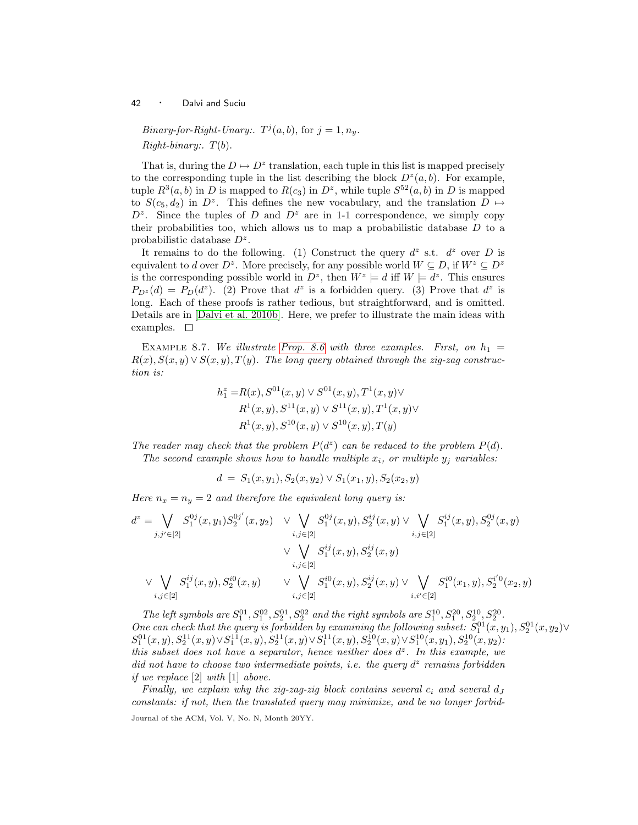*Binary-for-Right-Unary:*.  $T^j(a, b)$ , for  $j = 1, n_y$ .  $Right\text{-}binary: T(b).$ 

That is, during the  $D \mapsto D^z$  translation, each tuple in this list is mapped precisely to the corresponding tuple in the list describing the block  $D^z(a, b)$ . For example, tuple  $R^3(a, b)$  in D is mapped to  $R(c_3)$  in  $D^z$ , while tuple  $S^{52}(a, b)$  in D is mapped to  $S(c_5, d_2)$  in  $D^z$ . This defines the new vocabulary, and the translation  $D \mapsto$  $D^z$ . Since the tuples of D and  $D^z$  are in 1-1 correspondence, we simply copy their probabilities too, which allows us to map a probabilistic database  $D$  to a probabilistic database  $D^z$ .

It remains to do the following. (1) Construct the query  $d^z$  s.t.  $d^z$  over D is equivalent to d over  $D^z$ . More precisely, for any possible world  $W \subseteq D$ , if  $W^z \subseteq D^z$ is the corresponding possible world in  $D^z$ , then  $W^z \models d$  iff  $W \models d^z$ . This ensures  $P_{D^z}(d) = P_D(d^z)$ . (2) Prove that  $d^z$  is a forbidden query. (3) Prove that  $d^z$  is long. Each of these proofs is rather tedious, but straightforward, and is omitted. Details are in [\[Dalvi et al. 2010b\]](#page-66-8). Here, we prefer to illustrate the main ideas with examples.  $\square$ 

EXAMPLE 8.7. We illustrate [Prop. 8.6](#page-40-1) with three examples. First, on  $h_1 =$  $R(x), S(x,y) \vee S(x,y), T(y)$ . The long query obtained through the zig-zag construction is:

$$
h_1^z = R(x), S^{01}(x, y) \lor S^{01}(x, y), T^1(x, y) \lor
$$
  
\n
$$
R^1(x, y), S^{11}(x, y) \lor S^{11}(x, y), T^1(x, y) \lor
$$
  
\n
$$
R^1(x, y), S^{10}(x, y) \lor S^{10}(x, y), T(y)
$$

The reader may check that the problem  $P(d^z)$  can be reduced to the problem  $P(d)$ . The second example shows how to handle multiple  $x_i$ , or multiple  $y_j$  variables:

$$
d = S_1(x, y_1), S_2(x, y_2) \lor S_1(x_1, y), S_2(x_2, y)
$$

Here  $n_x = n_y = 2$  and therefore the equivalent long query is:

$$
d^{z} = \bigvee_{j,j' \in [2]} S_{1}^{0j}(x, y_{1}) S_{2}^{0j'}(x, y_{2}) \quad \vee \bigvee_{i,j \in [2]} S_{1}^{0j}(x, y), S_{2}^{ij}(x, y) \vee \bigvee_{i,j \in [2]} S_{1}^{ij}(x, y), S_{2}^{0j}(x, y)
$$

$$
\vee \bigvee_{i,j \in [2]} S_{1}^{ij}(x, y), S_{2}^{ij}(x, y) \quad \vee \bigvee_{i,j \in [2]} S_{1}^{ij}(x, y), S_{2}^{ij}(x, y) \bigvee_{i,j \in [2]} S_{1}^{ij}(x, y), S_{2}^{ij}(x, y) \bigvee_{i,j \in [2]} S_{1}^{ij}(x, y), S_{2}^{ij}(x, y) \bigvee_{i,j \in [2]} S_{1}^{ij}(x, y), S_{2}^{ij}(x, y) \bigvee_{i,j \in [2]} S_{2}^{ij}(x, y) \bigvee_{i,j \in [2]} S_{2}^{ij}(x, y) \bigvee_{i,j \in [2]} S_{2}^{ij}(x, y) \bigvee_{i,j \in [2]} S_{2}^{ij}(x, y) \bigvee_{i,j \in [2]} S_{2}^{ij}(x, y) \bigvee_{i,j \in [2]} S_{2}^{ij}(x, y) \bigvee_{i,j \in [2]} S_{2}^{ij}(x, y) \bigvee_{i,j \in [2]} S_{2}^{ij}(x, y) \bigvee_{i,j \in [2]} S_{2}^{ij}(x, y) \bigvee_{i,j \in [2]} S_{2}^{ij}(x, y) \bigvee_{i,j \in [2]} S_{2}^{ij}(x, y) \bigvee_{i,j \in [2]} S_{2}^{ij}(x, y) \bigvee_{i,j \in [2]} S_{2}^{ij}(x, y) \bigvee_{i,j \in [2]} S_{2}^{ij}(x, y) \bigvee_{i,j \in [2]} S_{2}^{ij}(x, y) \bigvee_{i,j \in [2]} S_{2}^{ij}(x, y) \bigvee_{i,j \in [2]} S_{2}^{ij}(x, y) \bigvee_{i,j \in [2]} S_{2}^{ij}(x, y) \bigvee_{i,j \in [2]} S_{2}^{ij}(x, y) \bigvee_{i,j \in [2]} S
$$

The left symbols are  $S_1^{01}$ ,  $S_1^{02}$ ,  $S_2^{01}$ ,  $S_2^{02}$  and the right symbols are  $S_1^{10}$ ,  $S_2^{20}$ ,  $S_2^{10}$ ,  $S_2^{20}$ . One can check that the query is forbidden by examining the following subset:  $S_1^{01}(x,y_1), S_2^{01}(x,y_2) \vee$  $S_1^{01}(x,y),S_2^{11}(x,y)\vee S_1^{11}(x,y),S_2^{11}(x,y)\vee S_1^{11}(x,y),S_2^{10}(x,y)\vee S_1^{10}(x,y_1),S_2^{10}(x,y_2)$ this subset does not have a separator, hence neither does  $d^z$ . In this example, we did not have to choose two intermediate points, i.e. the query  $d^z$  remains forbidden if we replace [2] with [1] above.

Finally, we explain why the zig-zag-zig block contains several  $c_i$  and several  $d_J$ constants: if not, then the translated query may minimize, and be no longer forbid-Journal of the ACM, Vol. V, No. N, Month 20YY.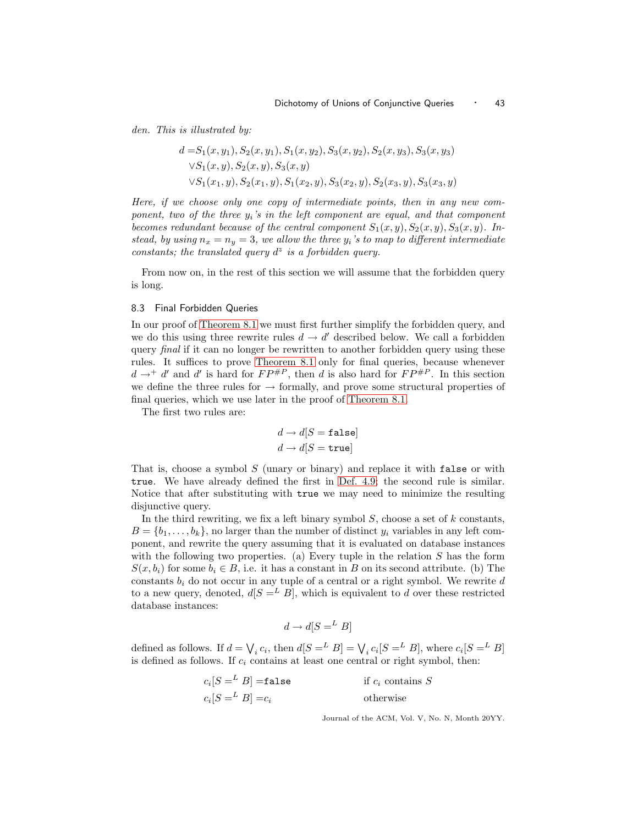den. This is illustrated by:

$$
d = S_1(x, y_1), S_2(x, y_1), S_1(x, y_2), S_3(x, y_2), S_2(x, y_3), S_3(x, y_3)
$$
  
\n
$$
\forall S_1(x, y), S_2(x, y), S_3(x, y)
$$
  
\n
$$
\forall S_1(x_1, y), S_2(x_1, y), S_1(x_2, y), S_3(x_2, y), S_2(x_3, y), S_3(x_3, y)
$$

Here, if we choose only one copy of intermediate points, then in any new component, two of the three  $y_i$ 's in the left component are equal, and that component becomes redundant because of the central component  $S_1(x,y),S_2(x,y),S_3(x,y)$ . Instead, by using  $n_x = n_y = 3$ , we allow the three  $y_i$ 's to map to different intermediate constants; the translated query  $d^z$  is a forbidden query.

From now on, in the rest of this section we will assume that the forbidden query is long.

# <span id="page-42-0"></span>8.3 Final Forbidden Queries

In our proof of [Theorem 8.1](#page-38-2) we must first further simplify the forbidden query, and we do this using three rewrite rules  $d \to d'$  described below. We call a forbidden query *final* if it can no longer be rewritten to another forbidden query using these rules. It suffices to prove [Theorem 8.1](#page-38-2) only for final queries, because whenever  $d \rightarrow^+ d'$  and d' is hard for  $FP^{\#P}$ , then d is also hard for  $FP^{\#P}$ . In this section we define the three rules for  $\rightarrow$  formally, and prove some structural properties of final queries, which we use later in the proof of [Theorem 8.1.](#page-38-2)

The first two rules are:

$$
d \to d[S = \mathtt{false}]
$$
  

$$
d \to d[S = \mathtt{true}]
$$

That is, choose a symbol  $S$  (unary or binary) and replace it with false or with true. We have already defined the first in [Def. 4.9;](#page-19-1) the second rule is similar. Notice that after substituting with true we may need to minimize the resulting disjunctive query.

In the third rewriting, we fix a left binary symbol  $S$ , choose a set of  $k$  constants,  $B = \{b_1, \ldots, b_k\}$ , no larger than the number of distinct  $y_i$  variables in any left component, and rewrite the query assuming that it is evaluated on database instances with the following two properties. (a) Every tuple in the relation  $S$  has the form  $S(x,b_i)$  for some  $b_i \in B$ , i.e. it has a constant in B on its second attribute. (b) The constants  $b_i$  do not occur in any tuple of a central or a right symbol. We rewrite  $d$ to a new query, denoted,  $d[S] = L B$ , which is equivalent to d over these restricted database instances:

$$
d \to d[S = L B]
$$

defined as follows. If  $d = \bigvee_i c_i$ , then  $d[S = L \ B] = \bigvee_i c_i[S = L \ B]$ , where  $c_i[S = L \ B]$ is defined as follows. If  $c_i$  contains at least one central or right symbol, then:

| $c_i[S =^L B] =$ false | if $c_i$ contains S |
|------------------------|---------------------|
| $c_i[S =^L B] = c_i$   | otherwise           |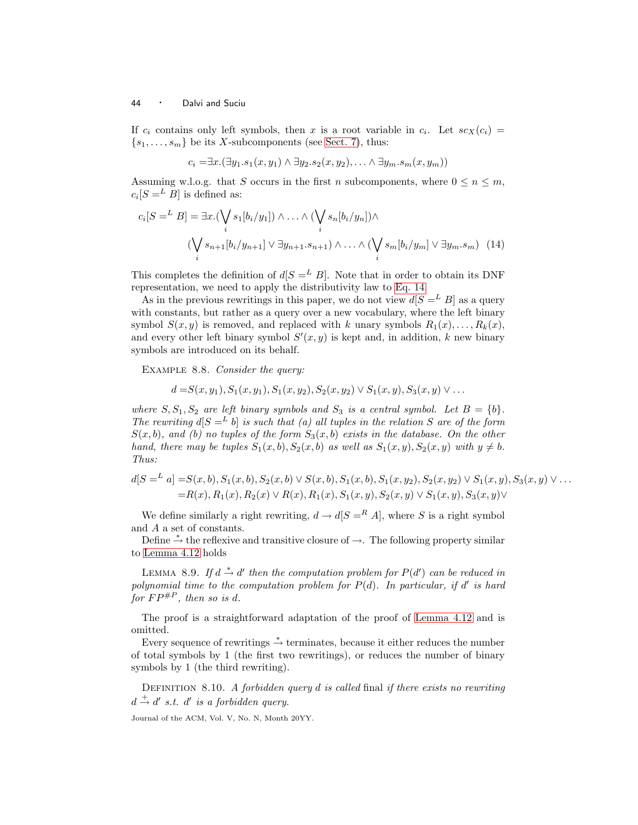If  $c_i$  contains only left symbols, then x is a root variable in  $c_i$ . Let  $sc_X(c_i)$  =  $\{s_1,\ldots,s_m\}$  be its X-subcomponents (see [Sect. 7\)](#page-27-0), thus:

<span id="page-43-0"></span>
$$
c_i = \exists x.(\exists y_1. s_1(x, y_1) \land \exists y_2. s_2(x, y_2), \dots \land \exists y_m. s_m(x, y_m))
$$

Assuming w.l.o.g. that S occurs in the first n subcomponents, where  $0 \le n \le m$ ,  $c_i[S = L B]$  is defined as:

$$
c_i[S = L B] = \exists x. (\bigvee_i s_1[b_i/y_1]) \land \dots \land (\bigvee_i s_n[b_i/y_n]) \land \n(\bigvee_i s_{n+1}[b_i/y_{n+1}] \lor \exists y_{n+1}.s_{n+1}) \land \dots \land (\bigvee_i s_m[b_i/y_m] \lor \exists y_m.s_m) \quad (14)
$$

This completes the definition of  $d[S] = L B$ . Note that in order to obtain its DNF representation, we need to apply the distributivity law to [Eq. 14.](#page-43-0)

As in the previous rewritings in this paper, we do not view  $d[S] = E B$  as a query with constants, but rather as a query over a new vocabulary, where the left binary symbol  $S(x, y)$  is removed, and replaced with k unary symbols  $R_1(x), \ldots, R_k(x)$ , and every other left binary symbol  $S'(x, y)$  is kept and, in addition, k new binary symbols are introduced on its behalf.

EXAMPLE 8.8. Consider the query:

$$
d = S(x, y_1), S_1(x, y_1), S_1(x, y_2), S_2(x, y_2) \vee S_1(x, y), S_3(x, y) \vee \dots
$$

where  $S, S_1, S_2$  are left binary symbols and  $S_3$  is a central symbol. Let  $B = \{b\}$ . The rewriting  $d[S] = L b$  is such that (a) all tuples in the relation S are of the form  $S(x, b)$ , and (b) no tuples of the form  $S_3(x, b)$  exists in the database. On the other hand, there may be tuples  $S_1(x, b)$ ,  $S_2(x, b)$  as well as  $S_1(x, y)$ ,  $S_2(x, y)$  with  $y \neq b$ . Thus:

$$
d[S = L a] = S(x, b), S_1(x, b), S_2(x, b) \lor S(x, b), S_1(x, b), S_1(x, y_2), S_2(x, y_2) \lor S_1(x, y), S_3(x, y) \lor \dots
$$
  
= R(x), R<sub>1</sub>(x), R<sub>2</sub>(x)  $\lor$  R(x), R<sub>1</sub>(x), S<sub>1</sub>(x, y), S<sub>2</sub>(x, y)  $\lor$  S<sub>1</sub>(x, y), S<sub>3</sub>(x, y)  $\lor$ 

We define similarly a right rewriting,  $d \rightarrow d[S = R]$ , where S is a right symbol and A a set of constants.

Define  $\stackrel{*}{\rightarrow}$  the reflexive and transitive closure of  $\rightarrow$ . The following property similar to [Lemma 4.12](#page-20-1) holds

LEMMA 8.9. If  $d \stackrel{*}{\rightarrow} d'$  then the computation problem for  $P(d')$  can be reduced in polynomial time to the computation problem for  $P(d)$ . In particular, if d' is hard for  $FP^{\#P}$ , then so is d.

The proof is a straightforward adaptation of the proof of [Lemma 4.12](#page-20-1) and is omitted.

Every sequence of rewritings  $\stackrel{*}{\rightarrow}$  terminates, because it either reduces the number of total symbols by 1 (the first two rewritings), or reduces the number of binary symbols by 1 (the third rewriting).

<span id="page-43-1"></span>DEFINITION 8.10. A forbidden query  $d$  is called final if there exists no rewriting  $d \stackrel{+}{\rightarrow} d'$  s.t.  $d'$  is a forbidden query.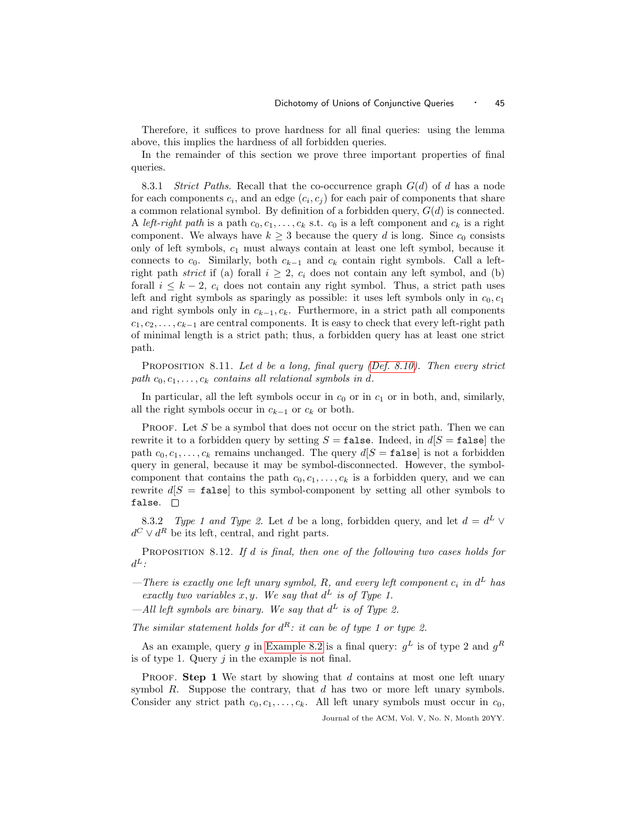Therefore, it suffices to prove hardness for all final queries: using the lemma above, this implies the hardness of all forbidden queries.

In the remainder of this section we prove three important properties of final queries.

8.3.1 Strict Paths. Recall that the co-occurrence graph  $G(d)$  of d has a node for each components  $c_i$ , and an edge  $(c_i, c_j)$  for each pair of components that share a common relational symbol. By definition of a forbidden query,  $G(d)$  is connected. A left-right path is a path  $c_0, c_1, \ldots, c_k$  s.t.  $c_0$  is a left component and  $c_k$  is a right component. We always have  $k \geq 3$  because the query d is long. Since  $c_0$  consists only of left symbols,  $c_1$  must always contain at least one left symbol, because it connects to  $c_0$ . Similarly, both  $c_{k-1}$  and  $c_k$  contain right symbols. Call a leftright path strict if (a) forall  $i \geq 2$ ,  $c_i$  does not contain any left symbol, and (b) forall  $i \leq k-2$ ,  $c_i$  does not contain any right symbol. Thus, a strict path uses left and right symbols as sparingly as possible: it uses left symbols only in  $c_0, c_1$ and right symbols only in  $c_{k-1}, c_k$ . Furthermore, in a strict path all components  $c_1, c_2, \ldots, c_{k-1}$  are central components. It is easy to check that every left-right path of minimal length is a strict path; thus, a forbidden query has at least one strict path.

<span id="page-44-1"></span>PROPOSITION 8.11. Let d be a long, final query [\(Def. 8.10\)](#page-43-1). Then every strict path  $c_0, c_1, \ldots, c_k$  contains all relational symbols in d.

In particular, all the left symbols occur in  $c_0$  or in  $c_1$  or in both, and, similarly, all the right symbols occur in  $c_{k-1}$  or  $c_k$  or both.

PROOF. Let  $S$  be a symbol that does not occur on the strict path. Then we can rewrite it to a forbidden query by setting  $S = \texttt{false}$ . Indeed, in  $d[S = \texttt{false}]$  the path  $c_0, c_1, \ldots, c_k$  remains unchanged. The query  $d[S = \texttt{false}]$  is not a forbidden query in general, because it may be symbol-disconnected. However, the symbolcomponent that contains the path  $c_0, c_1, \ldots, c_k$  is a forbidden query, and we can rewrite  $d[S = \texttt{false}]$  to this symbol-component by setting all other symbols to false.  $\square$ 

8.3.2 Type 1 and Type 2. Let d be a long, forbidden query, and let  $d = d^L \vee$  $d^C \vee d^R$  be its left, central, and right parts.

<span id="page-44-0"></span>PROPOSITION 8.12. If d is final, then one of the following two cases holds for  $d^L$  :

-There is exactly one left unary symbol, R, and every left component  $c_i$  in  $d^L$  has exactly two variables x, y. We say that  $d^L$  is of Type 1.

—All left symbols are binary. We say that  $d^L$  is of Type 2.

The similar statement holds for  $d^R$ : it can be of type 1 or type 2.

As an example, query g in [Example 8.2](#page-38-3) is a final query:  $g^L$  is of type 2 and  $g^R$ is of type 1. Query  $j$  in the example is not final.

PROOF. Step 1 We start by showing that  $d$  contains at most one left unary symbol R. Suppose the contrary, that  $d$  has two or more left unary symbols. Consider any strict path  $c_0, c_1, \ldots, c_k$ . All left unary symbols must occur in  $c_0$ ,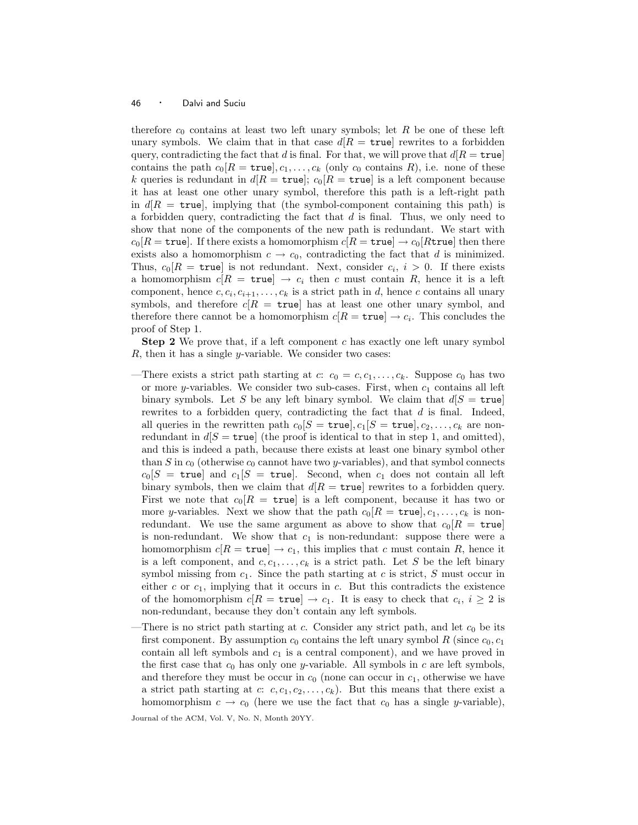therefore  $c_0$  contains at least two left unary symbols; let R be one of these left unary symbols. We claim that in that case  $d/R = \text{true}$  rewrites to a forbidden query, contradicting the fact that d is final. For that, we will prove that  $d[R = true]$ contains the path  $c_0[R = \text{true}], c_1, \ldots, c_k$  (only  $c_0$  contains R), i.e. none of these k queries is redundant in  $d[R = \text{true}]; c_0[R = \text{true}]$  is a left component because it has at least one other unary symbol, therefore this path is a left-right path in  $d[R = \text{true}]$ , implying that (the symbol-component containing this path) is a forbidden query, contradicting the fact that  $d$  is final. Thus, we only need to show that none of the components of the new path is redundant. We start with  $c_0[R = \text{true}]$ . If there exists a homomorphism  $c[R = \text{true}] \rightarrow c_0[R \text{true}]$  then there exists also a homomorphism  $c \to c_0$ , contradicting the fact that d is minimized. Thus,  $c_0[R = \text{true}]$  is not redundant. Next, consider  $c_i$ ,  $i > 0$ . If there exists a homomorphism  $c[R = \text{true}] \rightarrow c_i$  then c must contain R, hence it is a left component, hence  $c, c_i, c_{i+1}, \ldots, c_k$  is a strict path in d, hence c contains all unary symbols, and therefore  $c/R = \text{true}$  has at least one other unary symbol, and therefore there cannot be a homomorphism  $c[R = \text{true}] \rightarrow c_i$ . This concludes the proof of Step 1.

**Step 2** We prove that, if a left component c has exactly one left unary symbol  $R$ , then it has a single *y*-variable. We consider two cases:

- —There exists a strict path starting at c:  $c_0 = c, c_1, \ldots, c_k$ . Suppose  $c_0$  has two or more y-variables. We consider two sub-cases. First, when  $c_1$  contains all left binary symbols. Let S be any left binary symbol. We claim that  $d[S = true]$ rewrites to a forbidden query, contradicting the fact that  $d$  is final. Indeed, all queries in the rewritten path  $c_0[S = \text{true}], c_1[S = \text{true}], c_2, \ldots, c_k$  are nonredundant in  $d[S = \text{true}]$  (the proof is identical to that in step 1, and omitted), and this is indeed a path, because there exists at least one binary symbol other than S in  $c_0$  (otherwise  $c_0$  cannot have two y-variables), and that symbol connects  $c_0[S = \text{true}]$  and  $c_1[S = \text{true}]$ . Second, when  $c_1$  does not contain all left binary symbols, then we claim that  $d/R = \text{true}$  rewrites to a forbidden query. First we note that  $c_0[R = \text{true}]$  is a left component, because it has two or more y-variables. Next we show that the path  $c_0[R = \text{true}], c_1, \ldots, c_k$  is nonredundant. We use the same argument as above to show that  $c_0[R = \text{true}]$ is non-redundant. We show that  $c_1$  is non-redundant: suppose there were a homomorphism  $c[R = \text{true}] \rightarrow c_1$ , this implies that c must contain R, hence it is a left component, and  $c, c_1, \ldots, c_k$  is a strict path. Let S be the left binary symbol missing from  $c_1$ . Since the path starting at c is strict, S must occur in either  $c$  or  $c_1$ , implying that it occurs in  $c$ . But this contradicts the existence of the homomorphism  $c[R = \text{true}] \rightarrow c_1$ . It is easy to check that  $c_i, i \geq 2$  is non-redundant, because they don't contain any left symbols.
- There is no strict path starting at c. Consider any strict path, and let  $c_0$  be its first component. By assumption  $c_0$  contains the left unary symbol R (since  $c_0,c_1$ ) contain all left symbols and  $c_1$  is a central component), and we have proved in the first case that  $c_0$  has only one y-variable. All symbols in c are left symbols, and therefore they must be occur in  $c_0$  (none can occur in  $c_1$ , otherwise we have a strict path starting at c:  $c, c_1, c_2, \ldots, c_k$ . But this means that there exist a homomorphism  $c \to c_0$  (here we use the fact that  $c_0$  has a single y-variable),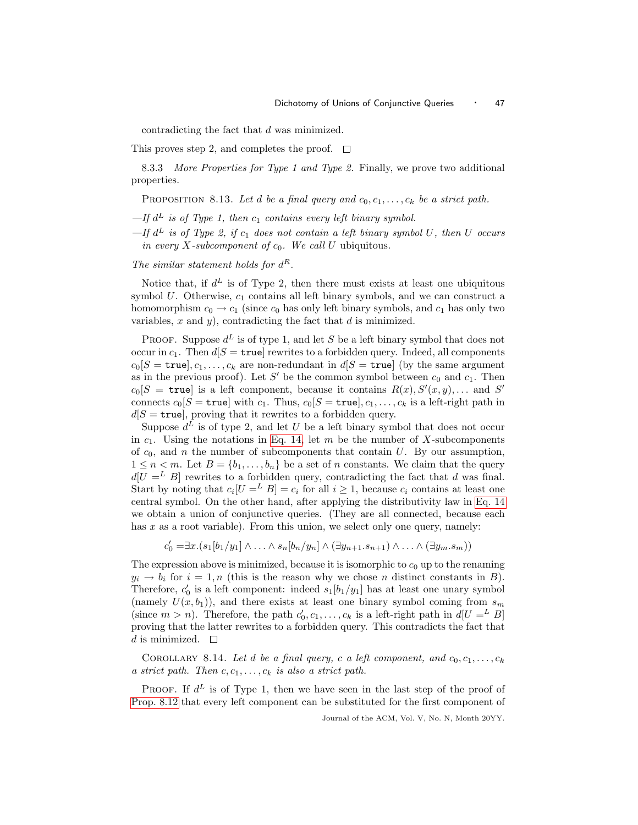contradicting the fact that d was minimized.

This proves step 2, and completes the proof.  $\square$ 

<span id="page-46-0"></span>8.3.3 More Properties for Type 1 and Type 2. Finally, we prove two additional properties.

PROPOSITION 8.13. Let d be a final query and  $c_0, c_1, \ldots, c_k$  be a strict path.

 $-$ If  $d^L$  is of Type 1, then  $c_1$  contains every left binary symbol.

 $-If d<sup>L</sup>$  is of Type 2, if  $c<sub>1</sub>$  does not contain a left binary symbol U, then U occurs in every  $X$ -subcomponent of  $c_0$ . We call  $U$  ubiquitous.

The similar statement holds for  $d^R$ .

Notice that, if  $d^L$  is of Type 2, then there must exists at least one ubiquitous symbol  $U$ . Otherwise,  $c_1$  contains all left binary symbols, and we can construct a homomorphism  $c_0 \rightarrow c_1$  (since  $c_0$  has only left binary symbols, and  $c_1$  has only two variables,  $x$  and  $y$ ), contradicting the fact that  $d$  is minimized.

**PROOF.** Suppose  $d^L$  is of type 1, and let S be a left binary symbol that does not occur in  $c_1$ . Then  $d[S = \text{true}]$  rewrites to a forbidden query. Indeed, all components  $c_0[S = \text{true}], c_1, \ldots, c_k$  are non-redundant in  $d[S = \text{true}]$  (by the same argument as in the previous proof). Let S' be the common symbol between  $c_0$  and  $c_1$ . Then  $c_0[S = \text{true}]$  is a left component, because it contains  $R(x), S'(x, y), \ldots$  and  $S'$ connects  $c_0[S = \text{true}]$  with  $c_1$ . Thus,  $c_0[S = \text{true}], c_1, \ldots, c_k$  is a left-right path in  $d[S = \text{true}]$ , proving that it rewrites to a forbidden query.

Suppose  $d^L$  is of type 2, and let U be a left binary symbol that does not occur in  $c_1$ . Using the notations in [Eq. 14,](#page-43-0) let m be the number of X-subcomponents of  $c_0$ , and n the number of subcomponents that contain U. By our assumption,  $1 \leq n \leq m$ . Let  $B = \{b_1, \ldots, b_n\}$  be a set of n constants. We claim that the query  $d[U = L B]$  rewrites to a forbidden query, contradicting the fact that d was final. Start by noting that  $c_i[U = E] = c_i$  for all  $i \ge 1$ , because  $c_i$  contains at least one central symbol. On the other hand, after applying the distributivity law in [Eq. 14](#page-43-0) we obtain a union of conjunctive queries. (They are all connected, because each has  $x$  as a root variable). From this union, we select only one query, namely:

 $c'_0 = \exists x . (s_1[b_1/y_1] \land ... \land s_n[b_n/y_n] \land (\exists y_{n+1}.s_{n+1}) \land ... \land (\exists y_m.s_m))$ 

The expression above is minimized, because it is isomorphic to  $c_0$  up to the renaming  $y_i \rightarrow b_i$  for  $i = 1, n$  (this is the reason why we chose n distinct constants in B). Therefore,  $c'_0$  is a left component: indeed  $s_1[b_1/y_1]$  has at least one unary symbol (namely  $U(x,b_1)$ ), and there exists at least one binary symbol coming from  $s_m$ (since  $m > n$ ). Therefore, the path  $c'_0, c_1, \ldots, c_k$  is a left-right path in  $d[U =^L B]$ proving that the latter rewrites to a forbidden query. This contradicts the fact that d is minimized.  $\square$ 

<span id="page-46-1"></span>COROLLARY 8.14. Let d be a final query, c a left component, and  $c_0, c_1, \ldots, c_k$ a strict path. Then  $c, c_1, \ldots, c_k$  is also a strict path.

**PROOF.** If  $d^L$  is of Type 1, then we have seen in the last step of the proof of [Prop. 8.12](#page-44-0) that every left component can be substituted for the first component of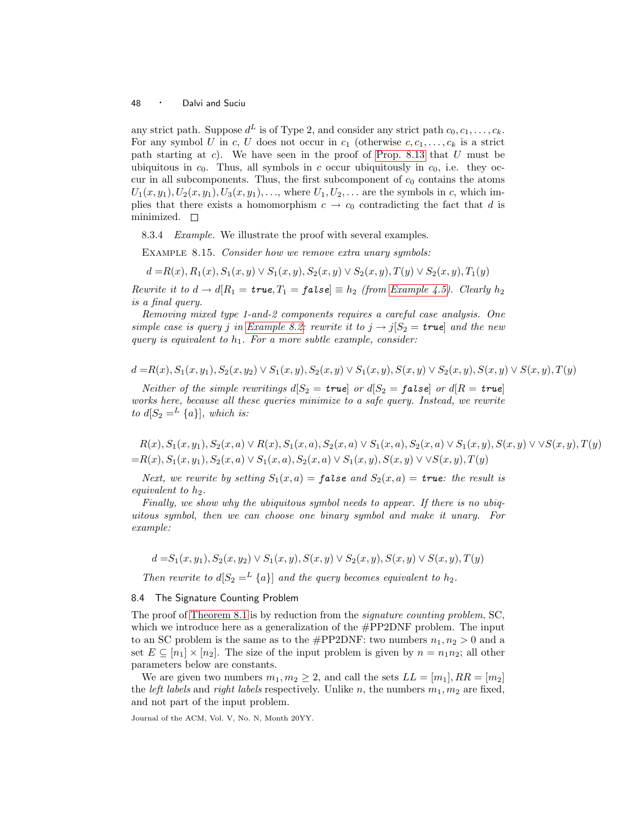any strict path. Suppose  $d^L$  is of Type 2, and consider any strict path  $c_0, c_1, \ldots, c_k$ . For any symbol U in c, U does not occur in  $c_1$  (otherwise  $c, c_1, \ldots, c_k$  is a strict path starting at  $c$ ). We have seen in the proof of [Prop. 8.13](#page-46-0) that  $U$  must be ubiquitous in  $c_0$ . Thus, all symbols in c occur ubiquitously in  $c_0$ , i.e. they occur in all subcomponents. Thus, the first subcomponent of  $c_0$  contains the atoms  $U_1(x,y_1), U_2(x,y_1), U_3(x,y_1), \ldots$ , where  $U_1, U_2, \ldots$  are the symbols in c, which implies that there exists a homomorphism  $c \to c_0$  contradicting the fact that d is minimized.  $\Box$ 

8.3.4 Example. We illustrate the proof with several examples.

EXAMPLE 8.15. Consider how we remove extra unary symbols:

 $d = R(x), R_1(x), S_1(x, y) \vee S_1(x, y), S_2(x, y) \vee S_2(x, y), T(y) \vee S_2(x, y), T_1(y)$ 

Rewrite it to  $d \to d[R_1 = \text{true}, T_1 = \text{false}] \equiv h_2$  (from [Example 4.5\)](#page-15-1). Clearly  $h_2$ is a final query.

Removing mixed type 1-and-2 components requires a careful case analysis. One simple case is query j in [Example 8.2:](#page-38-3) rewrite it to  $j \rightarrow j[S_2 = \text{true}]$  and the new query is equivalent to  $h_1$ . For a more subtle example, consider:

$$
d = R(x), S_1(x, y_1), S_2(x, y_2) \lor S_1(x, y), S_2(x, y) \lor S_1(x, y), S(x, y) \lor S_2(x, y), S(x, y) \lor S(x, y), T(y)
$$

Neither of the simple rewritings  $d[S_2 = true]$  or  $d[S_2 = false]$  or  $d[R = true]$ works here, because all these queries minimize to a safe query. Instead, we rewrite to  $d[S_2 =^L \{a\}],$  which is:

 $R(x)$ ,  $S_1(x,y_1)$ ,  $S_2(x,a) \vee R(x)$ ,  $S_1(x,a)$ ,  $S_2(x,a) \vee S_1(x,a)$ ,  $S_2(x,a) \vee S_1(x,y)$ ,  $S(x,y) \vee S(x,y)$ ,  $T(y)$  $=$ R(x), S<sub>1</sub>(x,y<sub>1</sub>), S<sub>2</sub>(x,a)  $\vee$  S<sub>1</sub>(x,a), S<sub>2</sub>(x,a)  $\vee$  S<sub>1</sub>(x,y), S(x,y)  $\vee$   $\vee$  S(x,y), T(y)

Next, we rewrite by setting  $S_1(x,a) =$  false and  $S_2(x,a) =$  true: the result is equivalent to  $h_2$ .

Finally, we show why the ubiquitous symbol needs to appear. If there is no ubiquitous symbol, then we can choose one binary symbol and make it unary. For example:

$$
d = S_1(x, y_1), S_2(x, y_2) \lor S_1(x, y), S(x, y) \lor S_2(x, y), S(x, y) \lor S(x, y), T(y)
$$

Then rewrite to  $d[S_2 =^L \{a\}]$  and the query becomes equivalent to  $h_2$ .

# <span id="page-47-0"></span>8.4 The Signature Counting Problem

The proof of [Theorem 8.1](#page-38-2) is by reduction from the *signature counting problem*, SC, which we introduce here as a generalization of the  $\#PP2DNF$  problem. The input to an SC problem is the same as to the  $\#PP2DNF$ : two numbers  $n_1, n_2 > 0$  and a set  $E \subseteq [n_1] \times [n_2]$ . The size of the input problem is given by  $n = n_1 n_2$ ; all other parameters below are constants.

We are given two numbers  $m_1, m_2 \geq 2$ , and call the sets  $LL = [m_1], RR = [m_2]$ the *left labels* and *right labels* respectively. Unlike n, the numbers  $m_1, m_2$  are fixed, and not part of the input problem.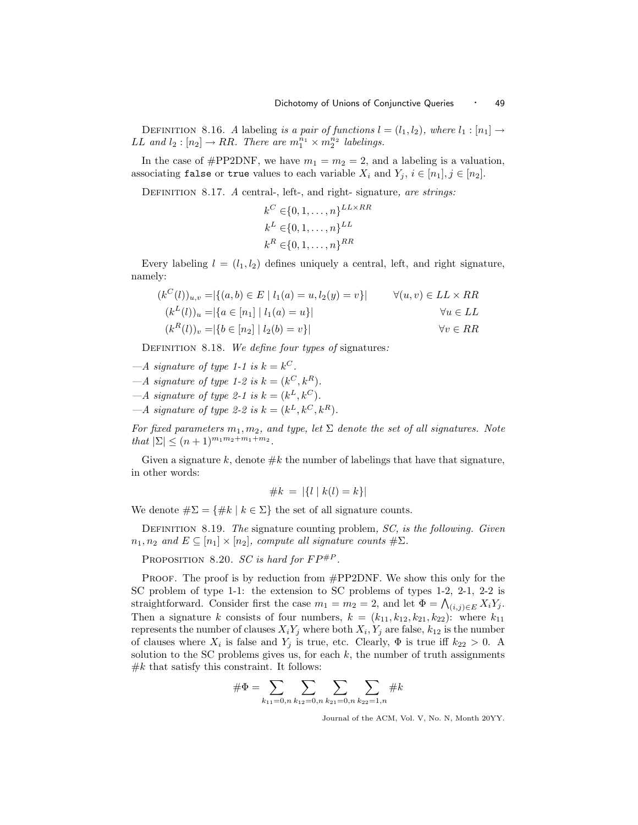DEFINITION 8.16. A labeling is a pair of functions  $l = (l_1, l_2)$ , where  $l_1 : [n_1] \rightarrow$ *LL* and  $l_2: [n_2] \rightarrow RR$ . There are  $m_1^{n_1} \times m_2^{n_2}$  labelings.

In the case of #PP2DNF, we have  $m_1 = m_2 = 2$ , and a labeling is a valuation, associating false or true values to each variable  $X_i$  and  $Y_j$ ,  $i \in [n_1], j \in [n_2]$ .

DEFINITION 8.17. A central-, left-, and right-signature, are strings:

$$
k^C \in \{0, 1, \dots, n\}^{LL \times RR}
$$
  

$$
k^L \in \{0, 1, \dots, n\}^{LL}
$$
  

$$
k^R \in \{0, 1, \dots, n\}^{RR}
$$

Every labeling  $l = (l_1, l_2)$  defines uniquely a central, left, and right signature, namely:

$$
(k^{C}(l))_{u,v} = |\{(a,b) \in E \mid l_{1}(a) = u, l_{2}(y) = v\}| \qquad \forall (u,v) \in LL \times RR
$$
  
\n
$$
(k^{L}(l))_{u} = |\{a \in [n_{1}] \mid l_{1}(a) = u\}| \qquad \forall u \in LL
$$
  
\n
$$
(k^{R}(l))_{v} = |\{b \in [n_{2}] \mid l_{2}(b) = v\}| \qquad \forall v \in RR
$$

DEFINITION 8.18. We define four types of signatures:

- $-A$  signature of type 1-1 is  $k = k^C$ .
- $-A$  signature of type 1-2 is  $k = (k^C, k^R)$ .
- $-A$  signature of type 2-1 is  $k = (k^L, k^C)$ .
- $-A$  signature of type 2-2 is  $k = (k^L, k^C, k^R)$ .

For fixed parameters  $m_1, m_2$ , and type, let  $\Sigma$  denote the set of all signatures. Note that  $|\Sigma| \le (n+1)^{m_1 m_2 + m_1 + m_2}$ .

Given a signature k, denote  $\#k$  the number of labelings that have that signature, in other words:

$$
\#k \ = \ |\{l \mid k(l) = k\}|\
$$

We denote  $\#\Sigma = \{\#k \mid k \in \Sigma\}$  the set of all signature counts.

DEFINITION 8.19. The signature counting problem,  $SC$ , is the following. Given  $n_1, n_2$  and  $E \subseteq [n_1] \times [n_2]$ , compute all signature counts  $\#\Sigma$ .

PROPOSITION 8.20. SC is hard for  $FP^{\#P}$ .

PROOF. The proof is by reduction from #PP2DNF. We show this only for the SC problem of type 1-1: the extension to SC problems of types 1-2, 2-1, 2-2 is straightforward. Consider first the case  $m_1 = m_2 = 2$ , and let  $\Phi = \bigwedge_{(i,j)\in E} X_i Y_j$ . Then a signature k consists of four numbers,  $k = (k_{11}, k_{12}, k_{21}, k_{22})$ : where  $k_{11}$ represents the number of clauses  $X_i Y_j$  where both  $X_i, Y_j$  are false,  $k_{12}$  is the number of clauses where  $X_i$  is false and  $Y_j$  is true, etc. Clearly,  $\Phi$  is true iff  $k_{22} > 0$ . A solution to the SC problems gives us, for each  $k$ , the number of truth assignments  $#k$  that satisfy this constraint. It follows:

$$
\#\Phi = \sum_{k_{11}=0,n} \sum_{k_{12}=0,n} \sum_{k_{21}=0,n} \sum_{k_{22}=1,n} \#k
$$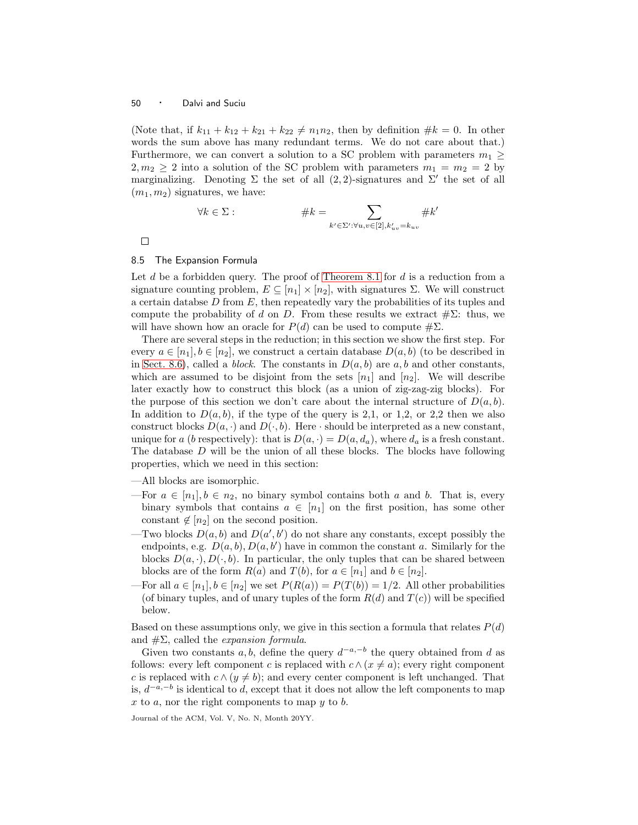(Note that, if  $k_{11} + k_{12} + k_{21} + k_{22} \neq n_1 n_2$ , then by definition  $\#k = 0$ . In other words the sum above has many redundant terms. We do not care about that.) Furthermore, we can convert a solution to a SC problem with parameters  $m_1 \geq$  $2, m_2 \geq 2$  into a solution of the SC problem with parameters  $m_1 = m_2 = 2$  by marginalizing. Denoting  $\Sigma$  the set of all  $(2, 2)$ -signatures and  $\Sigma'$  the set of all  $(m_1,m_2)$  signatures, we have:

$$
\forall k \in \Sigma: \qquad \qquad \#k = \sum_{k' \in \Sigma': \forall u, v \in [2], k'_{uv} = k_{uv}} \#k'
$$

 $\Box$ 

# <span id="page-49-0"></span>8.5 The Expansion Formula

Let d be a forbidden query. The proof of [Theorem 8.1](#page-38-2) for d is a reduction from a signature counting problem,  $E \subseteq [n_1] \times [n_2]$ , with signatures  $\Sigma$ . We will construct a certain databse  $D$  from  $E$ , then repeatedly vary the probabilities of its tuples and compute the probability of d on D. From these results we extract  $\#\Sigma$ : thus, we will have shown how an oracle for  $P(d)$  can be used to compute  $\#\Sigma$ .

There are several steps in the reduction; in this section we show the first step. For every  $a \in [n_1], b \in [n_2]$ , we construct a certain database  $D(a, b)$  (to be described in in [Sect. 8.6\)](#page-54-0), called a *block*. The constants in  $D(a, b)$  are a,b and other constants, which are assumed to be disjoint from the sets  $[n_1]$  and  $[n_2]$ . We will describe later exactly how to construct this block (as a union of zig-zag-zig blocks). For the purpose of this section we don't care about the internal structure of  $D(a, b)$ . In addition to  $D(a, b)$ , if the type of the query is 2,1, or 1,2, or 2,2 then we also construct blocks  $D(a, \cdot)$  and  $D(\cdot, b)$ . Here  $\cdot$  should be interpreted as a new constant, unique for a (b respectively): that is  $D(a, \cdot) = D(a, d_a)$ , where  $d_a$  is a fresh constant. The database  $D$  will be the union of all these blocks. The blocks have following properties, which we need in this section:

—All blocks are isomorphic.

- —For  $a \in [n_1], b \in n_2$ , no binary symbol contains both a and b. That is, every binary symbols that contains  $a \in [n_1]$  on the first position, has some other constant  $\notin [n_2]$  on the second position.
- Two blocks  $D(a, b)$  and  $D(a', b')$  do not share any constants, except possibly the endpoints, e.g.  $D(a, b)$ ,  $D(a, b')$  have in common the constant a. Similarly for the blocks  $D(a, \cdot), D(\cdot, b)$ . In particular, the only tuples that can be shared between blocks are of the form  $R(a)$  and  $T(b)$ , for  $a \in [n_1]$  and  $b \in [n_2]$ .
- For all  $a \in [n_1], b \in [n_2]$  we set  $P(R(a)) = P(T(b)) = 1/2$ . All other probabilities (of binary tuples, and of unary tuples of the form  $R(d)$  and  $T(c)$ ) will be specified below.

Based on these assumptions only, we give in this section a formula that relates  $P(d)$ and  $\#\Sigma$ , called the *expansion formula*.

Given two constants a, b, define the query  $d^{-a,-b}$  the query obtained from d as follows: every left component c is replaced with  $c \wedge (x \neq a)$ ; every right component c is replaced with  $c \wedge (y \neq b)$ ; and every center component is left unchanged. That is,  $d^{-a,-b}$  is identical to d, except that it does not allow the left components to map  $x$  to  $a$ , nor the right components to map  $y$  to  $b$ .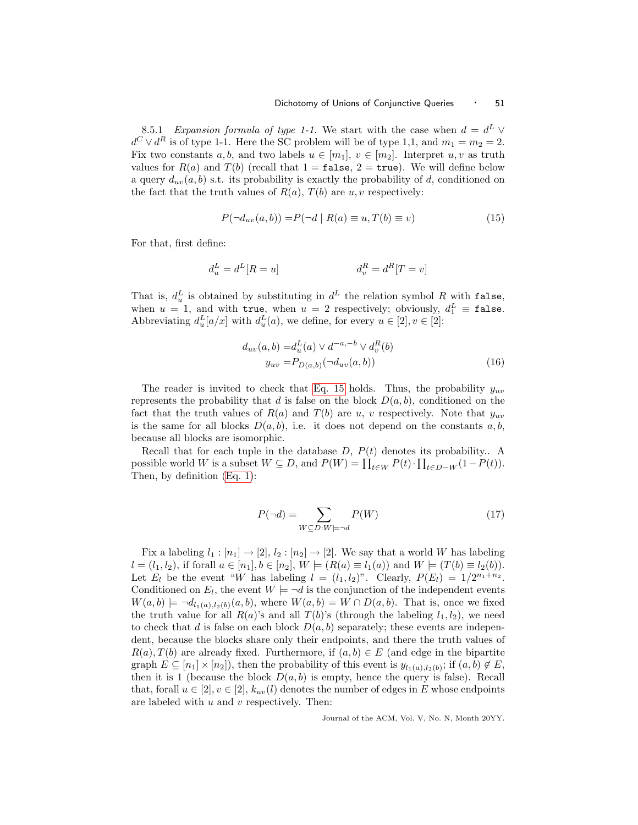8.5.1 Expansion formula of type 1-1. We start with the case when  $d = d^L \vee$  $d^C \vee d^R$  is of type 1-1. Here the SC problem will be of type 1,1, and  $m_1 = m_2 = 2$ . Fix two constants a, b, and two labels  $u \in [m_1]$ ,  $v \in [m_2]$ . Interpret u, v as truth values for  $R(a)$  and  $T(b)$  (recall that  $1 = \mathtt{false}, 2 = \mathtt{true}$ ). We will define below a query  $d_{uv}(a,b)$  s.t. its probability is exactly the probability of d, conditioned on the fact that the truth values of  $R(a)$ ,  $T(b)$  are  $u, v$  respectively:

<span id="page-50-0"></span>
$$
P(\neg d_{uv}(a,b)) = P(\neg d \mid R(a) \equiv u, T(b) \equiv v)
$$
\n<sup>(15)</sup>

For that, first define:

$$
d_u^L = d^L[R = u] \qquad d_v^R = d^R[T = v]
$$

That is,  $d_u^L$  is obtained by substituting in  $d^L$  the relation symbol R with false, when  $u = 1$ , and with true, when  $u = 2$  respectively; obviously,  $d_1^L \equiv$  false. Abbreviating  $d_u^L[a/x]$  with  $d_u^L(a)$ , we define, for every  $u \in [2], v \in [2]$ :

<span id="page-50-1"></span>
$$
d_{uv}(a, b) = d_u^L(a) \vee d^{-a, -b} \vee d_v^R(b)
$$
  

$$
y_{uv} = P_{D(a, b)}(\neg d_{uv}(a, b))
$$
 (16)

The reader is invited to check that [Eq. 15](#page-50-0) holds. Thus, the probability  $y_{uv}$ represents the probability that d is false on the block  $D(a,b)$ , conditioned on the fact that the truth values of  $R(a)$  and  $T(b)$  are u, v respectively. Note that  $y_{uv}$ is the same for all blocks  $D(a, b)$ , i.e. it does not depend on the constants a, b, because all blocks are isomorphic.

Recall that for each tuple in the database  $D, P(t)$  denotes its probability.. A possible world W is a subset  $W \subseteq D$ , and  $P(W) = \prod_{t \in W} P(t) \cdot \prod_{t \in D-W} (1 - P(t))$ . Then, by definition [\(Eq. 1\)](#page-0-0):

$$
P(\neg d) = \sum_{W \subseteq D: W \models \neg d} P(W) \tag{17}
$$

Fix a labeling  $l_1 : [n_1] \rightarrow [2], l_2 : [n_2] \rightarrow [2]$ . We say that a world W has labeling  $l = (l_1, l_2)$ , if forall  $a \in [n_1], b \in [n_2], W \models (R(a) \equiv l_1(a))$  and  $W \models (T(b) \equiv l_2(b))$ . Let  $E_l$  be the event "W has labeling  $l = (l_1, l_2)$ ". Clearly,  $P(E_l) = 1/2^{n_1+n_2}$ . Conditioned on  $E_l$ , the event  $W \models \neg d$  is the conjunction of the independent events  $W(a,b) \models \neg d_{l_1(a),l_2(b)}(a,b)$ , where  $W(a,b) = W \cap D(a,b)$ . That is, once we fixed the truth value for all  $R(a)$ 's and all  $T(b)$ 's (through the labeling  $l_1, l_2$ ), we need to check that d is false on each block  $D(a, b)$  separately; these events are independent, because the blocks share only their endpoints, and there the truth values of  $R(a), T(b)$  are already fixed. Furthermore, if  $(a, b) \in E$  (and edge in the bipartite graph  $E \subseteq [n_1] \times [n_2]$ , then the probability of this event is  $y_{l_1(a),l_2(b)}$ ; if  $(a,b) \notin E$ , then it is 1 (because the block  $D(a, b)$  is empty, hence the query is false). Recall that, forall  $u \in [2], v \in [2], k_{uv}(l)$  denotes the number of edges in E whose endpoints are labeled with  $u$  and  $v$  respectively. Then: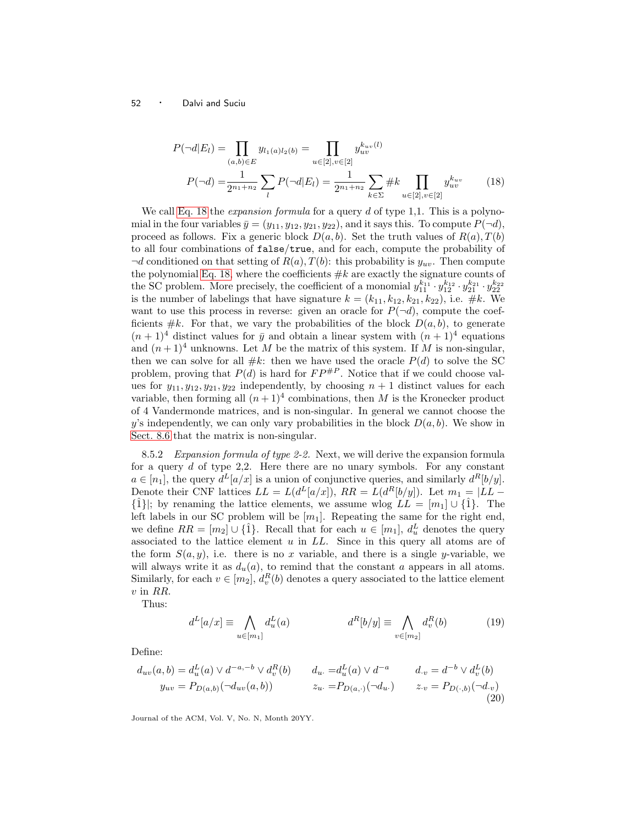<span id="page-51-0"></span>
$$
P(\neg d|E_l) = \prod_{(a,b)\in E} y_{l_1(a)l_2(b)} = \prod_{u\in[2], v\in[2]} y_{uv}^{k_{uv}(l)}
$$

$$
P(\neg d) = \frac{1}{2^{n_1+n_2}} \sum_{l} P(\neg d|E_l) = \frac{1}{2^{n_1+n_2}} \sum_{k\in\Sigma} \#k \prod_{u\in[2], v\in[2]} y_{uv}^{k_{uv}} \tag{18}
$$

We call [Eq. 18](#page-51-0) the *expansion formula* for a query  $d$  of type 1,1. This is a polynomial in the four variables  $\bar{y} = (y_{11}, y_{12}, y_{21}, y_{22})$ , and it says this. To compute  $P(\neg d)$ , proceed as follows. Fix a generic block  $D(a, b)$ . Set the truth values of  $R(a), T(b)$ to all four combinations of false/true, and for each, compute the probability of  $\neg d$  conditioned on that setting of  $R(a)$ ,  $T(b)$ : this probability is  $y_{uv}$ . Then compute the polynomial [Eq. 18,](#page-51-0) where the coefficients  $\#k$  are exactly the signature counts of the SC problem. More precisely, the coefficient of a monomial  $y_{11}^{k_{11}} \cdot y_{12}^{k_{12}} \cdot y_{21}^{k_{21}} \cdot y_{22}^{k_{22}}$ is the number of labelings that have signature  $k = (k_{11}, k_{12}, k_{21}, k_{22})$ , i.e. #k. We want to use this process in reverse: given an oracle for  $P(\neg d)$ , compute the coefficients  $\#k$ . For that, we vary the probabilities of the block  $D(a,b)$ , to generate  $(n+1)^4$  distinct values for  $\bar{y}$  and obtain a linear system with  $(n+1)^4$  equations and  $(n+1)^4$  unknowns. Let M be the matrix of this system. If M is non-singular, then we can solve for all  $\#k$ : then we have used the oracle  $P(d)$  to solve the SC problem, proving that  $P(d)$  is hard for  $FP^{\#P}$ . Notice that if we could choose values for  $y_{11}, y_{12}, y_{21}, y_{22}$  independently, by choosing  $n + 1$  distinct values for each variable, then forming all  $(n+1)^4$  combinations, then M is the Kronecker product of 4 Vandermonde matrices, and is non-singular. In general we cannot choose the y's independently, we can only vary probabilities in the block  $D(a, b)$ . We show in [Sect. 8.6](#page-54-0) that the matrix is non-singular.

8.5.2 Expansion formula of type 2-2. Next, we will derive the expansion formula for a query  $d$  of type 2,2. Here there are no unary symbols. For any constant  $a \in [n_1]$ , the query  $d^L[a/x]$  is a union of conjunctive queries, and similarly  $d^R[b/y]$ . Denote their CNF lattices  $LL = L(d^L[a/x])$ ,  $RR = L(d^R[b/y])$ . Let  $m_1 = |LL \{\hat{1}\};$  by renaming the lattice elements, we assume wlog  $LL = [m_1] \cup \{\hat{1}\}.$  The left labels in our SC problem will be  $[m_1]$ . Repeating the same for the right end, we define  $RR = [m_2] \cup {\hat{1}}$ . Recall that for each  $u \in [m_1]$ ,  $d_u^L$  denotes the query associated to the lattice element  $u$  in  $LL$ . Since in this query all atoms are of the form  $S(a, y)$ , i.e. there is no x variable, and there is a single y-variable, we will always write it as  $d_u(a)$ , to remind that the constant a appears in all atoms. Similarly, for each  $v \in [m_2]$ ,  $d_v^R(b)$  denotes a query associated to the lattice element v in RR.

Thus:

<span id="page-51-2"></span><span id="page-51-1"></span>
$$
d^L[a/x] \equiv \bigwedge_{u \in [m_1]} d_u^L(a) \qquad d^R[b/y] \equiv \bigwedge_{v \in [m_2]} d_v^R(b) \qquad (19)
$$

Define:

$$
d_{uv}(a,b) = d_u^L(a) \vee d^{-a,-b} \vee d_v^R(b) \qquad d_u = d_u^L(a) \vee d^{-a} \qquad d_v = d^{-b} \vee d_v^L(b)
$$
  
\n
$$
y_{uv} = P_{D(a,b)}(\neg d_{uv}(a,b)) \qquad z_u = P_{D(a,\cdot)}(\neg d_u) \qquad z_{\cdot v} = P_{D(\cdot,b)}(\neg d_{\cdot v}) \qquad (20)
$$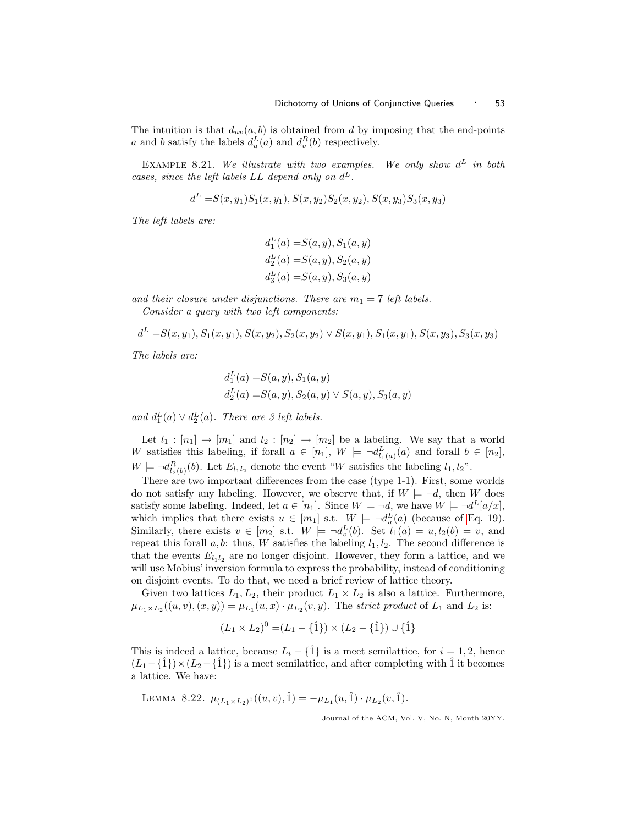The intuition is that  $d_{uv}(a,b)$  is obtained from d by imposing that the end-points a and b satisfy the labels  $d_u^L(a)$  and  $d_v^R(b)$  respectively.

EXAMPLE 8.21. We illustrate with two examples. We only show  $d^L$  in both cases, since the left labels  $LL$  depend only on  $d^L$ .

$$
d^{L} = S(x, y_1)S_1(x, y_1), S(x, y_2)S_2(x, y_2), S(x, y_3)S_3(x, y_3)
$$

The left labels are:

$$
d_1^L(a) = S(a, y), S_1(a, y)
$$
  
\n
$$
d_2^L(a) = S(a, y), S_2(a, y)
$$
  
\n
$$
d_3^L(a) = S(a, y), S_3(a, y)
$$

and their closure under disjunctions. There are  $m_1 = 7$  left labels.

Consider a query with two left components:

$$
dL = S(x, y1), S1(x, y1), S(x, y2), S2(x, y2) \vee S(x, y1), S1(x, y1), S(x, y3), S3(x, y3)
$$

The labels are:

$$
d_1^L(a) = S(a, y), S_1(a, y)
$$
  

$$
d_2^L(a) = S(a, y), S_2(a, y) \lor S(a, y), S_3(a, y)
$$

and  $d_1^L(a) \vee d_2^L(a)$ . There are 3 left labels.

Let  $l_1 : [n_1] \to [m_1]$  and  $l_2 : [n_2] \to [m_2]$  be a labeling. We say that a world W satisfies this labeling, if forall  $a \in [n_1]$ ,  $W \models \neg d_{l_1(a)}^L(a)$  and forall  $b \in [n_2]$ ,  $W \models \neg d_{l_2(b)}^R(b)$ . Let  $E_{l_1l_2}$  denote the event "W satisfies the labeling  $l_1, l_2$ ".

There are two important differences from the case (type 1-1). First, some worlds do not satisfy any labeling. However, we observe that, if  $W \models \neg d$ , then W does satisfy some labeling. Indeed, let  $a \in [n_1]$ . Since  $W \models \neg d$ , we have  $W \models \neg d^L[a/x]$ , which implies that there exists  $u \in [m_1]$  s.t.  $W \models \neg d_u^L(a)$  (because of [Eq. 19\)](#page-51-1). Similarly, there exists  $v \in [m_2]$  s.t.  $W \models \neg d_v^L(b)$ . Set  $l_1(a) = u, l_2(b) = v$ , and repeat this forall  $a, b$ : thus, W satisfies the labeling  $l_1, l_2$ . The second difference is that the events  $E_{l_1l_2}$  are no longer disjoint. However, they form a lattice, and we will use Mobius' inversion formula to express the probability, instead of conditioning on disjoint events. To do that, we need a brief review of lattice theory.

Given two lattices  $L_1, L_2$ , their product  $L_1 \times L_2$  is also a lattice. Furthermore,  $\mu_{L_1\times L_2}((u,v),(x,y)) = \mu_{L_1}(u,x)\cdot\mu_{L_2}(v,y)$ . The strict product of  $L_1$  and  $L_2$  is:

$$
(L_1 \times L_2)^0 = (L_1 - {\hat{1}}) \times (L_2 - {\hat{1}}) \cup {\hat{1}}
$$

This is indeed a lattice, because  $L_i - \{\hat{1}\}\$ is a meet semilattice, for  $i = 1, 2$ , hence  $(L_1-\hat{1})\times (L_2-\hat{1})$  is a meet semilattice, and after completing with  $\hat{1}$  it becomes a lattice. We have:

LEMMA 8.22.  $\mu_{(L_1 \times L_2)^0}((u, v), \hat{1}) = -\mu_{L_1}(u, \hat{1}) \cdot \mu_{L_2}(v, \hat{1}).$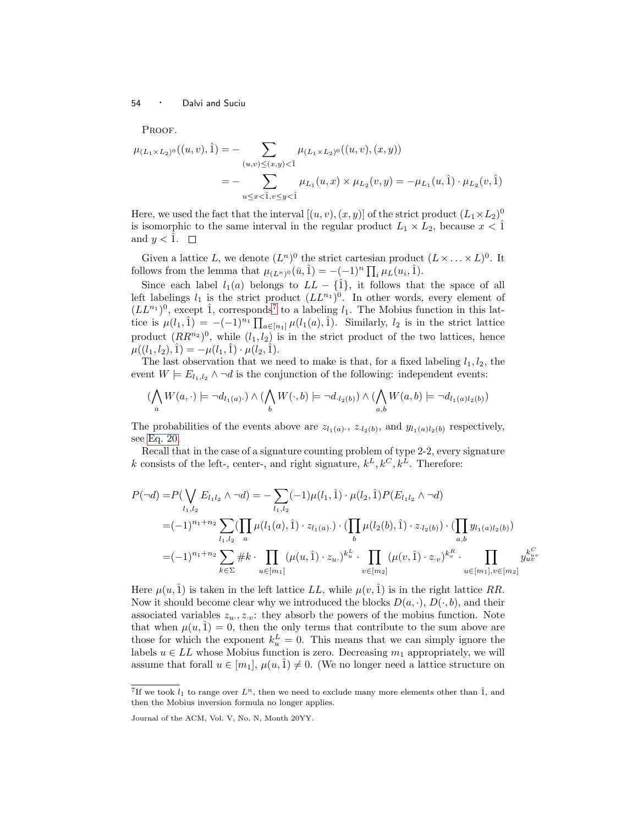PROOF.

$$
\mu_{(L_1 \times L_2)^0}((u, v), \hat{1}) = - \sum_{(u, v) \le (x, y) < \hat{1}} \mu_{(L_1 \times L_2)^0}((u, v), (x, y))
$$
\n
$$
= - \sum_{u \le x < \hat{1}, v \le y < \hat{1}} \mu_{L_1}(u, x) \times \mu_{L_2}(v, y) = -\mu_{L_1}(u, \hat{1}) \cdot \mu_{L_2}(v, \hat{1})
$$

Here, we used the fact that the interval  $[(u, v), (x, y)]$  of the strict product  $(L_1 \times L_2)^0$ is isomorphic to the same interval in the regular product  $L_1 \times L_2$ , because  $x < 1$ and  $y < \hat{1}$ .  $\Box$ 

Given a lattice L, we denote  $(L^n)^0$  the strict cartesian product  $(L \times ... \times L)^0$ . It follows from the lemma that  $\mu_{(L^n)^0}(\bar{u}, \hat{1}) = -(-1)^n \prod_i \mu_L(u_i, \hat{1}).$ 

Since each label  $l_1(a)$  belongs to  $LL - \{\hat{1}\}\$ , it follows that the space of all left labelings  $l_1$  is the strict product  $(LL^{n_1})^0$ . In other words, every element of  $(LL^{n_1})^0$ , except  $\hat{1}$ , corresponds<sup>[7](#page-53-0)</sup> to a labeling  $l_1$ . The Mobius function in this lattice is  $\mu(l_1, \hat{1}) = -(-1)^{n_1} \prod_{a \in [n_1]} \mu(l_1(a), \hat{1}).$  Similarly,  $l_2$  is in the strict lattice product  $(RR^{n_2})^0$ , while  $(l_1, l_2)$  is in the strict product of the two lattices, hence  $\mu((l_1,l_2),\hat{1}) = -\mu(l_1,\hat{1}) \cdot \mu(l_2,\hat{1}).$ 

The last observation that we need to make is that, for a fixed labeling  $l_1, l_2$ , the event  $W \models E_{l_1,l_2} \land \neg d$  is the conjunction of the following: independent events:

$$
(\bigwedge_a W(a, \cdot) \models \neg d_{l_1(a)}.) \land (\bigwedge_b W(\cdot, b) \models \neg d_{\cdot l_2(b)}) \land (\bigwedge_{a,b} W(a, b) \models \neg d_{l_1(a)l_2(b)})
$$

The probabilities of the events above are  $z_{l_1(a)}$ ,  $z_{l_2(b)}$ , and  $y_{l_1(a)l_2(b)}$  respectively, see [Eq. 20.](#page-51-2)

Recall that in the case of a signature counting problem of type 2-2, every signature k consists of the left-, center-, and right signature,  $k^L, k^C, k^L$ . Therefore:

$$
P(\neg d) = P(\bigvee_{l_1, l_2} E_{l_1l_2} \land \neg d) = -\sum_{l_1, l_2} (-1)\mu(l_1, \hat{1}) \cdot \mu(l_2, \hat{1}) P(E_{l_1l_2} \land \neg d)
$$
  
\n
$$
= (-1)^{n_1+n_2} \sum_{l_1, l_2} (\prod_{a} \mu(l_1(a), \hat{1}) \cdot z_{l_1(a)} \cdot \prod_{b} \mu(l_2(b), \hat{1}) \cdot z_{l_2(b)}) \cdot (\prod_{a,b} y_{l_1(a)l_2(b)})
$$
  
\n
$$
= (-1)^{n_1+n_2} \sum_{k \in \Sigma} \# k \cdot \prod_{u \in [m_1]} (\mu(u, \hat{1}) \cdot z_u)^{k_u^L} \cdot \prod_{v \in [m_2]} (\mu(v, \hat{1}) \cdot z_v)^{k_v^R} \cdot \prod_{u \in [m_1], v \in [m_2]} y_{uv}^{k_{uv}^{C}}
$$

Here  $\mu(u, \hat{1})$  is taken in the left lattice LL, while  $\mu(v, \hat{1})$  is in the right lattice RR. Now it should become clear why we introduced the blocks  $D(a, \cdot), D(\cdot, b)$ , and their associated variables  $z_u, z_v$ : they absorb the powers of the mobius function. Note that when  $\mu(u, \hat{1}) = 0$ , then the only terms that contribute to the sum above are those for which the exponent  $k_u^L = 0$ . This means that we can simply ignore the labels  $u \in LL$  whose Mobius function is zero. Decreasing  $m_1$  appropriately, we will assume that forall  $u \in [m_1], \mu(u, \hat{1}) \neq 0$ . (We no longer need a lattice structure on

<span id="page-53-0"></span><sup>&</sup>lt;sup>7</sup>If we took  $l_1$  to range over  $L^n$ , then we need to exclude many more elements other than  $\hat{1}$ , and then the Mobius inversion formula no longer applies.

Journal of the ACM, Vol. V, No. N, Month 20YY.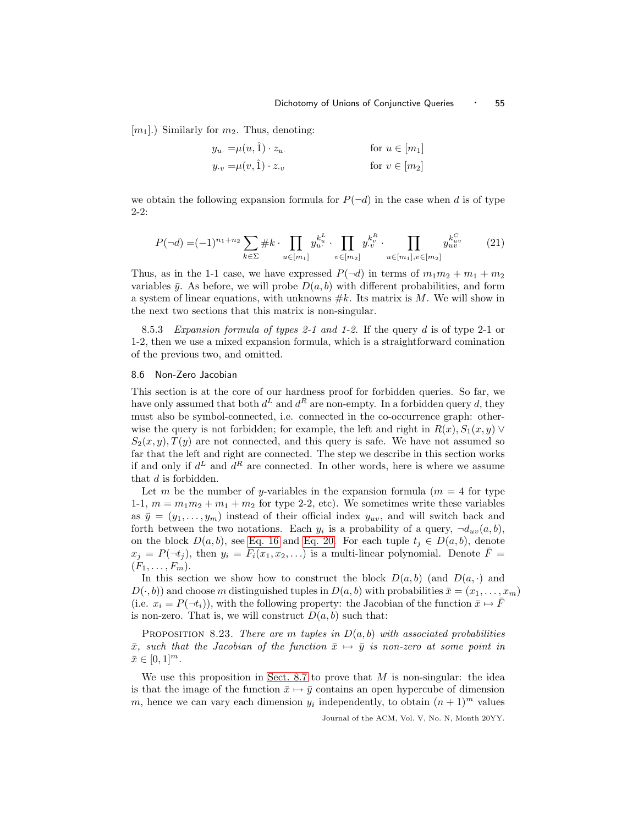$[m_1]$ .) Similarly for  $m_2$ . Thus, denoting:

<span id="page-54-2"></span>
$$
y_u = \mu(u, \hat{1}) \cdot z_u.
$$
  
\n
$$
y_v = \mu(v, \hat{1}) \cdot z_v
$$
  
\nfor  $u \in [m_1]$   
\nfor  $v \in [m_2]$ 

we obtain the following expansion formula for  $P(\neg d)$  in the case when d is of type 2-2:

$$
P(\neg d) = (-1)^{n_1 + n_2} \sum_{k \in \Sigma} \# k \cdot \prod_{u \in [m_1]} y_u^{k_u^L} \cdot \prod_{v \in [m_2]} y_v^{k_v^R} \cdot \prod_{u \in [m_1], v \in [m_2]} y_u^{k_{uv}^C} \tag{21}
$$

Thus, as in the 1-1 case, we have expressed  $P(\neg d)$  in terms of  $m_1m_2 + m_1 + m_2$ variables  $\bar{y}$ . As before, we will probe  $D(a, b)$  with different probabilities, and form a system of linear equations, with unknowns  $#k$ . Its matrix is M. We will show in the next two sections that this matrix is non-singular.

8.5.3 Expansion formula of types 2-1 and 1-2. If the query d is of type 2-1 or 1-2, then we use a mixed expansion formula, which is a straightforward comination of the previous two, and omitted.

## <span id="page-54-0"></span>8.6 Non-Zero Jacobian

This section is at the core of our hardness proof for forbidden queries. So far, we have only assumed that both  $d^L$  and  $d^R$  are non-empty. In a forbidden query d, they must also be symbol-connected, i.e. connected in the co-occurrence graph: otherwise the query is not forbidden; for example, the left and right in  $R(x)$ ,  $S_1(x,y)$   $\vee$  $S_2(x,y),T(y)$  are not connected, and this query is safe. We have not assumed so far that the left and right are connected. The step we describe in this section works if and only if  $d^L$  and  $d^R$  are connected. In other words, here is where we assume that d is forbidden.

Let m be the number of y-variables in the expansion formula  $(m = 4$  for type 1-1,  $m = m_1m_2 + m_1 + m_2$  for type 2-2, etc). We sometimes write these variables as  $\bar{y} = (y_1, \ldots, y_m)$  instead of their official index  $y_{uv}$ , and will switch back and forth between the two notations. Each  $y_i$  is a probability of a query,  $\neg d_{uv}(a, b)$ , on the block  $D(a,b)$ , see [Eq. 16](#page-50-1) and [Eq. 20.](#page-51-2) For each tuple  $t_j \in D(a,b)$ , denote  $x_j = P(\neg t_j)$ , then  $y_i = F_i(x_1, x_2, \ldots)$  is a multi-linear polynomial. Denote  $\overline{F} =$  $(F_1,\ldots,F_m).$ 

In this section we show how to construct the block  $D(a, b)$  (and  $D(a, \cdot)$ ) and  $D(\cdot,b)$  and choose m distinguished tuples in  $D(a,b)$  with probabilities  $\bar{x} = (x_1,\ldots,x_m)$ (i.e.  $x_i = P(\neg t_i)$ ), with the following property: the Jacobian of the function  $\bar{x} \mapsto F$ is non-zero. That is, we will construct  $D(a, b)$  such that:

<span id="page-54-1"></span>PROPOSITION 8.23. There are m tuples in  $D(a, b)$  with associated probabilities  $\bar{x}$ , such that the Jacobian of the function  $\bar{x} \mapsto \bar{y}$  is non-zero at some point in  $\bar{x} \in [0, 1]^m$ .

We use this proposition in [Sect. 8.7](#page-62-0) to prove that  $M$  is non-singular: the idea is that the image of the function  $\bar{x} \mapsto \bar{y}$  contains an open hypercube of dimension m, hence we can vary each dimension  $y_i$  independently, to obtain  $(n + 1)^m$  values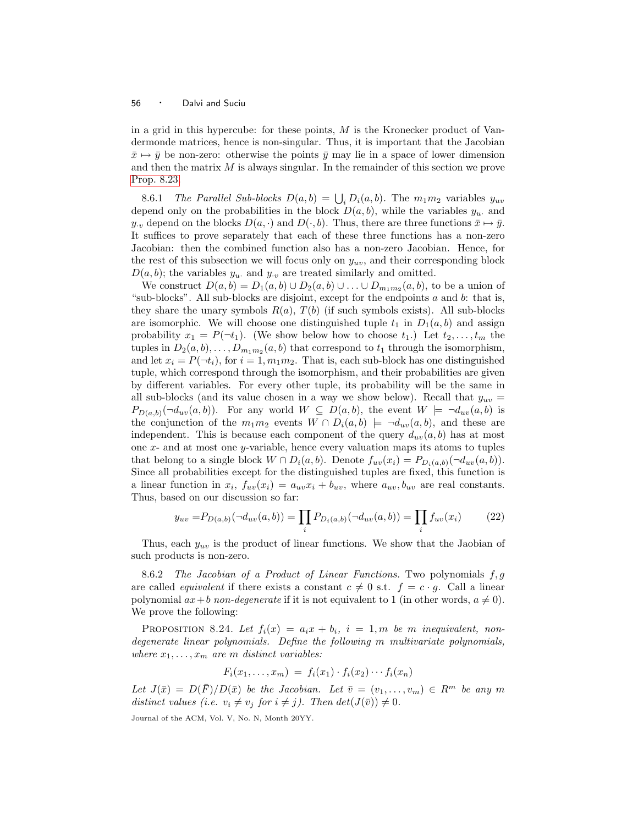in a grid in this hypercube: for these points,  $M$  is the Kronecker product of Vandermonde matrices, hence is non-singular. Thus, it is important that the Jacobian  $\bar{x} \mapsto \bar{y}$  be non-zero: otherwise the points  $\bar{y}$  may lie in a space of lower dimension and then the matrix  $M$  is always singular. In the remainder of this section we prove [Prop. 8.23.](#page-54-1)

8.6.1 The Parallel Sub-blocks  $D(a, b) = \bigcup_i D_i(a, b)$ . The  $m_1 m_2$  variables  $y_{uv}$ depend only on the probabilities in the block  $D(a, b)$ , while the variables  $y_u$  and  $y_{\cdot v}$  depend on the blocks  $D(a, \cdot)$  and  $D(\cdot, b)$ . Thus, there are three functions  $\bar{x} \mapsto \bar{y}$ . It suffices to prove separately that each of these three functions has a non-zero Jacobian: then the combined function also has a non-zero Jacobian. Hence, for the rest of this subsection we will focus only on  $y_{uv}$ , and their corresponding block  $D(a, b)$ ; the variables  $y_u$  and  $y_v$  are treated similarly and omitted.

We construct  $D(a,b) = D_1(a,b) \cup D_2(a,b) \cup \ldots \cup D_{m_1m_2}(a,b)$ , to be a union of "sub-blocks". All sub-blocks are disjoint, except for the endpoints  $a$  and  $b$ : that is, they share the unary symbols  $R(a)$ ,  $T(b)$  (if such symbols exists). All sub-blocks are isomorphic. We will choose one distinguished tuple  $t_1$  in  $D_1(a,b)$  and assign probability  $x_1 = P(\neg t_1)$ . (We show below how to choose  $t_1$ .) Let  $t_2, \ldots, t_m$  the tuples in  $D_2(a, b), \ldots, D_{m_1 m_2}(a, b)$  that correspond to  $t_1$  through the isomorphism, and let  $x_i = P(\neg t_i)$ , for  $i = 1, m_1m_2$ . That is, each sub-block has one distinguished tuple, which correspond through the isomorphism, and their probabilities are given by different variables. For every other tuple, its probability will be the same in all sub-blocks (and its value chosen in a way we show below). Recall that  $y_{uv} =$  $P_{D(a,b)}(\neg d_{uv}(a,b))$ . For any world  $W \subseteq D(a,b)$ , the event  $W \models \neg d_{uv}(a,b)$  is the conjunction of the  $m_1m_2$  events  $W \cap D_i(a,b) \models \neg d_{uv}(a,b)$ , and these are independent. This is because each component of the query  $d_{uv}(a,b)$  has at most one  $x$ - and at most one  $y$ -variable, hence every valuation maps its atoms to tuples that belong to a single block  $W \cap D_i(a, b)$ . Denote  $f_{uv}(x_i) = P_{D_i(a, b)}(\neg d_{uv}(a, b))$ . Since all probabilities except for the distinguished tuples are fixed, this function is a linear function in  $x_i$ ,  $f_{uv}(x_i) = a_{uv}x_i + b_{uv}$ , where  $a_{uv}, b_{uv}$  are real constants. Thus, based on our discussion so far:

<span id="page-55-0"></span>
$$
y_{uv} = P_{D(a,b)}(\neg d_{uv}(a,b)) = \prod_{i} P_{D_i(a,b)}(\neg d_{uv}(a,b)) = \prod_{i} f_{uv}(x_i)
$$
 (22)

Thus, each  $y_{uv}$  is the product of linear functions. We show that the Jaobian of such products is non-zero.

8.6.2 The Jacobian of a Product of Linear Functions. Two polynomials f,g are called *equivalent* if there exists a constant  $c \neq 0$  s.t.  $f = c \cdot g$ . Call a linear polynomial  $ax+b$  non-degenerate if it is not equivalent to 1 (in other words,  $a \neq 0$ ). We prove the following:

PROPOSITION 8.24. Let  $f_i(x) = a_i x + b_i$ ,  $i = 1, m$  be m inequivalent, nondegenerate linear polynomials. Define the following m multivariate polynomials, where  $x_1, \ldots, x_m$  are m distinct variables:

$$
F_i(x_1,\ldots,x_m) = f_i(x_1) \cdot f_i(x_2) \cdots f_i(x_n)
$$

Let  $J(\bar{x}) = D(F)/D(\bar{x})$  be the Jacobian. Let  $\bar{v} = (v_1, \ldots, v_m) \in R^m$  be any m distinct values (i.e.  $v_i \neq v_j$  for  $i \neq j$ ). Then  $det(J(\bar{v})) \neq 0$ .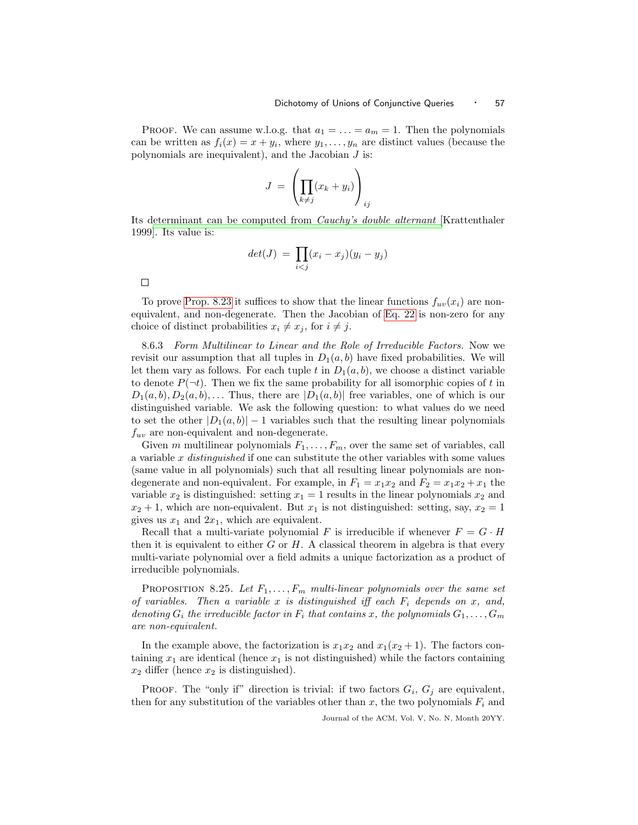PROOF. We can assume w.l.o.g. that  $a_1 = \ldots = a_m = 1$ . Then the polynomials can be written as  $f_i(x) = x + y_i$ , where  $y_1, \ldots, y_n$  are distinct values (because the polynomials are inequivalent), and the Jacobian  $J$  is:

$$
J = \left(\prod_{k \neq j} (x_k + y_i)\right)_{ij}
$$

Its [determinant can be computed from](#page-67-15) Cauchy's double alternant [Krattenthaler 1999]. Its value is:

$$
det(J) = \prod_{i < j} (x_i - x_j)(y_i - y_j)
$$

 $\Box$ 

To prove [Prop. 8.23](#page-54-1) it suffices to show that the linear functions  $f_{uv}(x_i)$  are nonequivalent, and non-degenerate. Then the Jacobian of [Eq. 22](#page-55-0) is non-zero for any choice of distinct probabilities  $x_i \neq x_j$ , for  $i \neq j$ .

8.6.3 Form Multilinear to Linear and the Role of Irreducible Factors. Now we revisit our assumption that all tuples in  $D_1(a, b)$  have fixed probabilities. We will let them vary as follows. For each tuple t in  $D_1(a,b)$ , we choose a distinct variable to denote  $P(\neg t)$ . Then we fix the same probability for all isomorphic copies of t in  $D_1(a,b),D_2(a,b),\ldots$  Thus, there are  $|D_1(a,b)|$  free variables, one of which is our distinguished variable. We ask the following question: to what values do we need to set the other  $|D_1(a,b)|-1$  variables such that the resulting linear polynomials  $f_{uv}$  are non-equivalent and non-degenerate.

Given m multilinear polynomials  $F_1, \ldots, F_m$ , over the same set of variables, call a variable  $x$  distinguished if one can substitute the other variables with some values (same value in all polynomials) such that all resulting linear polynomials are nondegenerate and non-equivalent. For example, in  $F_1 = x_1x_2$  and  $F_2 = x_1x_2 + x_1$  the variable  $x_2$  is distinguished: setting  $x_1 = 1$  results in the linear polynomials  $x_2$  and  $x_2 + 1$ , which are non-equivalent. But  $x_1$  is not distinguished: setting, say,  $x_2 = 1$ gives us  $x_1$  and  $2x_1$ , which are equivalent.

Recall that a multi-variate polynomial F is irreducible if whenever  $F = G \cdot H$ then it is equivalent to either  $G$  or  $H$ . A classical theorem in algebra is that every multi-variate polynomial over a field admits a unique factorization as a product of irreducible polynomials.

<span id="page-56-0"></span>PROPOSITION 8.25. Let  $F_1, \ldots, F_m$  multi-linear polynomials over the same set of variables. Then a variable x is distinguished iff each  $F_i$  depends on x, and, denoting  $G_i$  the irreducible factor in  $F_i$  that contains x, the polynomials  $G_1, \ldots, G_m$ are non-equivalent.

In the example above, the factorization is  $x_1x_2$  and  $x_1(x_2 + 1)$ . The factors containing  $x_1$  are identical (hence  $x_1$  is not distinguished) while the factors containing  $x_2$  differ (hence  $x_2$  is distinguished).

**PROOF.** The "only if" direction is trivial: if two factors  $G_i$ ,  $G_j$  are equivalent, then for any substitution of the variables other than x, the two polynomials  $F_i$  and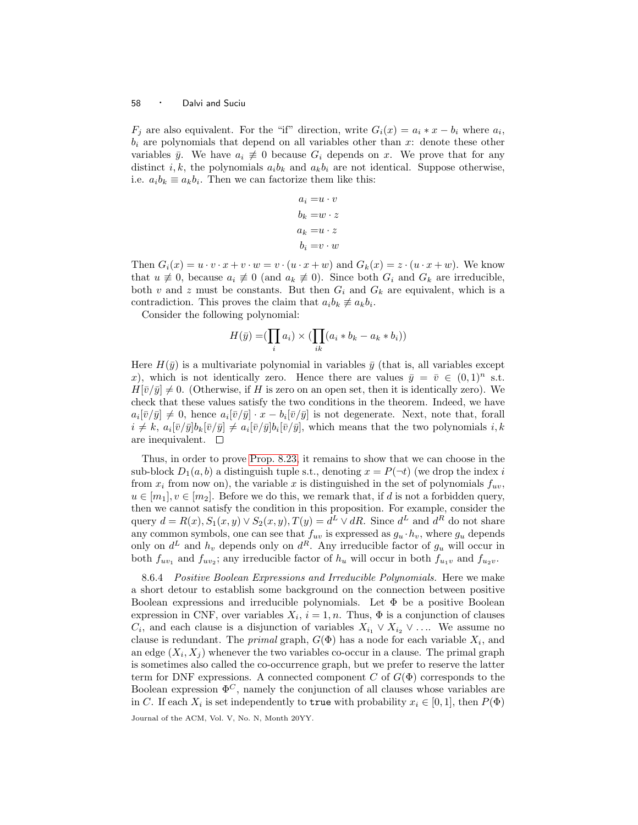$F_j$  are also equivalent. For the "if" direction, write  $G_i(x) = a_i * x - b_i$  where  $a_i$ ,  $b_i$  are polynomials that depend on all variables other than x: denote these other variables  $\bar{y}$ . We have  $a_i \neq 0$  because  $G_i$  depends on x. We prove that for any distinct i, k, the polynomials  $a_i b_k$  and  $a_k b_i$  are not identical. Suppose otherwise, i.e.  $a_i b_k \equiv a_k b_i$ . Then we can factorize them like this:

$$
a_i = u \cdot v
$$

$$
b_k = w \cdot z
$$

$$
a_k = u \cdot z
$$

$$
b_i = v \cdot w
$$

Then  $G_i(x) = u \cdot v \cdot x + v \cdot w = v \cdot (u \cdot x + w)$  and  $G_k(x) = z \cdot (u \cdot x + w)$ . We know that  $u \neq 0$ , because  $a_i \neq 0$  (and  $a_k \neq 0$ ). Since both  $G_i$  and  $G_k$  are irreducible, both v and z must be constants. But then  $G_i$  and  $G_k$  are equivalent, which is a contradiction. This proves the claim that  $a_i b_k \neq a_k b_i$ .

Consider the following polynomial:

$$
H(\bar{y}) = (\prod_i a_i) \times (\prod_{ik} (a_i * b_k - a_k * b_i))
$$

Here  $H(\bar{y})$  is a multivariate polynomial in variables  $\bar{y}$  (that is, all variables except x), which is not identically zero. Hence there are values  $\bar{y} = \bar{v} \in (0,1)^n$  s.t.  $H[\bar{v}/\bar{y}] \neq 0$ . (Otherwise, if H is zero on an open set, then it is identically zero). We check that these values satisfy the two conditions in the theorem. Indeed, we have  $a_i[\bar{v}/\bar{y}] \neq 0$ , hence  $a_i[\bar{v}/\bar{y}] \cdot x - b_i[\bar{v}/\bar{y}]$  is not degenerate. Next, note that, forall  $i \neq k$ ,  $a_i[\bar{v}/\bar{y}]\mathbf{b}_k[\bar{v}/\bar{y}] \neq a_i[\bar{v}/\bar{y}]\mathbf{b}_i[\bar{v}/\bar{y}]$ , which means that the two polynomials  $i, k$ are inequivalent.  $\square$ 

Thus, in order to prove [Prop. 8.23,](#page-54-1) it remains to show that we can choose in the sub-block  $D_1(a, b)$  a distinguish tuple s.t., denoting  $x = P(\neg t)$  (we drop the index i from  $x_i$  from now on), the variable x is distinguished in the set of polynomials  $f_{uv}$ ,  $u \in [m_1], v \in [m_2]$ . Before we do this, we remark that, if d is not a forbidden query, then we cannot satisfy the condition in this proposition. For example, consider the query  $d = R(x), S_1(x, y) \vee S_2(x, y), T(y) = d^L \vee dR$ . Since  $d^L$  and  $d^R$  do not share any common symbols, one can see that  $f_{uv}$  is expressed as  $g_u \cdot h_v$ , where  $g_u$  depends only on  $d^L$  and  $h_v$  depends only on  $d^R$ . Any irreducible factor of  $g_u$  will occur in both  $f_{uv_1}$  and  $f_{uv_2}$ ; any irreducible factor of  $h_u$  will occur in both  $f_{u_1v}$  and  $f_{u_2v}$ .

8.6.4 Positive Boolean Expressions and Irreducible Polynomials. Here we make a short detour to establish some background on the connection between positive Boolean expressions and irreducible polynomials. Let  $\Phi$  be a positive Boolean expression in CNF, over variables  $X_i$ ,  $i = 1, n$ . Thus,  $\Phi$  is a conjunction of clauses  $C_i$ , and each clause is a disjunction of variables  $X_{i_1} \vee X_{i_2} \vee \ldots$  We assume no clause is redundant. The *primal* graph,  $G(\Phi)$  has a node for each variable  $X_i$ , and an edge  $(X_i, X_j)$  whenever the two variables co-occur in a clause. The primal graph is sometimes also called the co-occurrence graph, but we prefer to reserve the latter term for DNF expressions. A connected component  $C$  of  $G(\Phi)$  corresponds to the Boolean expression  $\Phi^C$ , namely the conjunction of all clauses whose variables are in C. If each  $X_i$  is set independently to true with probability  $x_i \in [0,1]$ , then  $P(\Phi)$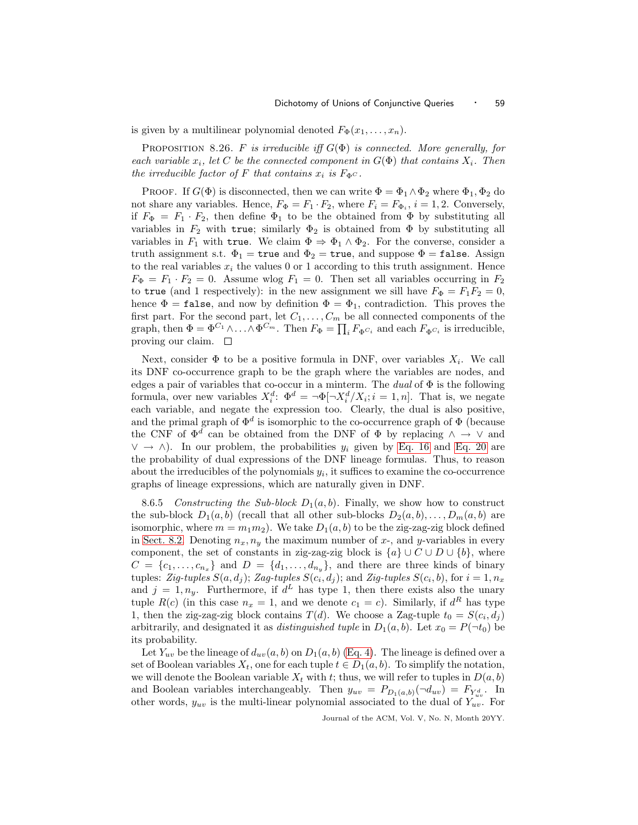<span id="page-58-0"></span>is given by a multilinear polynomial denoted  $F_{\Phi}(x_1,\ldots,x_n)$ .

PROPOSITION 8.26. F is irreducible iff  $G(\Phi)$  is connected. More generally, for each variable  $x_i$ , let C be the connected component in  $G(\Phi)$  that contains  $X_i$ . Then the irreducible factor of F that contains  $x_i$  is  $F_{\Phi}c$ .

PROOF. If  $G(\Phi)$  is disconnected, then we can write  $\Phi = \Phi_1 \wedge \Phi_2$  where  $\Phi_1, \Phi_2$  do not share any variables. Hence,  $F_{\Phi} = F_1 \cdot F_2$ , where  $F_i = F_{\Phi_i}$ ,  $i = 1, 2$ . Conversely, if  $F_{\Phi} = F_1 \cdot F_2$ , then define  $\Phi_1$  to be the obtained from  $\Phi$  by substituting all variables in  $F_2$  with true; similarly  $\Phi_2$  is obtained from  $\Phi$  by substituting all variables in  $F_1$  with true. We claim  $\Phi \Rightarrow \Phi_1 \wedge \Phi_2$ . For the converse, consider a truth assignment s.t.  $\Phi_1$  = true and  $\Phi_2$  = true, and suppose  $\Phi$  = false. Assign to the real variables  $x_i$  the values 0 or 1 according to this truth assignment. Hence  $F_{\Phi} = F_1 \cdot F_2 = 0$ . Assume wlog  $F_1 = 0$ . Then set all variables occurring in  $F_2$ to true (and 1 respectively): in the new assignment we sill have  $F_{\Phi} = F_1 F_2 = 0$ , hence  $\Phi = \texttt{false}$ , and now by definition  $\Phi = \Phi_1$ , contradiction. This proves the first part. For the second part, let  $C_1, \ldots, C_m$  be all connected components of the graph, then  $\Phi = \Phi^{C_1} \wedge \ldots \wedge \Phi^{C_m}$ . Then  $F_{\Phi} = \prod_i F_{\Phi^{C_i}}$  and each  $F_{\Phi^{C_i}}$  is irreducible, proving our claim.  $\square$ 

Next, consider  $\Phi$  to be a positive formula in DNF, over variables  $X_i$ . We call its DNF co-occurrence graph to be the graph where the variables are nodes, and edges a pair of variables that co-occur in a minterm. The *dual* of  $\Phi$  is the following formula, over new variables  $X_i^d$ :  $\Phi^d = \neg \Phi[\neg X_i^d / X_i; i = 1, n]$ . That is, we negate each variable, and negate the expression too. Clearly, the dual is also positive, and the primal graph of  $\Phi^d$  is isomorphic to the co-occurrence graph of  $\Phi$  (because the CNF of  $\Phi^d$  can be obtained from the DNF of  $\Phi$  by replacing  $\wedge \to \vee$  and  $\vee \rightarrow \wedge$ ). In our problem, the probabilities  $y_i$  given by [Eq. 16](#page-50-1) and [Eq. 20](#page-51-2) are the probability of dual expressions of the DNF lineage formulas. Thus, to reason about the irreducibles of the polynomials  $y_i$ , it suffices to examine the co-occurrence graphs of lineage expressions, which are naturally given in DNF.

<span id="page-58-1"></span>8.6.5 Constructing the Sub-block  $D_1(a,b)$ . Finally, we show how to construct the sub-block  $D_1(a,b)$  (recall that all other sub-blocks  $D_2(a,b),\ldots,D_m(a,b)$  are isomorphic, where  $m = m_1 m_2$ ). We take  $D_1(a, b)$  to be the zig-zag-zig block defined in [Sect. 8.2.](#page-40-0) Denoting  $n_x, n_y$  the maximum number of x-, and y-variables in every component, the set of constants in zig-zag-zig block is  $\{a\} \cup C \cup D \cup \{b\}$ , where  $C = \{c_1, \ldots, c_{n_x}\}\$ and  $D = \{d_1, \ldots, d_{n_y}\}\$ , and there are three kinds of binary tuples: Zig-tuples  $S(a, d_j)$ ; Zag-tuples  $S(c_i, d_j)$ ; and Zig-tuples  $S(c_i, b)$ , for  $i = 1, n_x$ and  $j = 1, n_y$ . Furthermore, if  $d^L$  has type 1, then there exists also the unary tuple  $R(c)$  (in this case  $n_x = 1$ , and we denote  $c_1 = c$ ). Similarly, if  $d^R$  has type 1, then the zig-zag-zig block contains  $T(d)$ . We choose a Zag-tuple  $t_0 = S(c_i, d_j)$ arbitrarily, and designated it as *distinguished tuple* in  $D_1(a, b)$ . Let  $x_0 = P(\neg t_0)$  be its probability.

Let  $Y_{uv}$  be the lineage of  $d_{uv}(a,b)$  on  $D_1(a,b)$  [\(Eq. 4\)](#page-6-1). The lineage is defined over a set of Boolean variables  $X_t$ , one for each tuple  $t \in D_1(a, b)$ . To simplify the notation, we will denote the Boolean variable  $X_t$  with t; thus, we will refer to tuples in  $D(a,b)$ and Boolean variables interchangeably. Then  $y_{uv} = P_{D_1(a,b)}(\neg d_{uv}) = F_{Y_{uv}^d}$ . In other words,  $y_{uv}$  is the multi-linear polynomial associated to the dual of  $Y_{uv}$ . For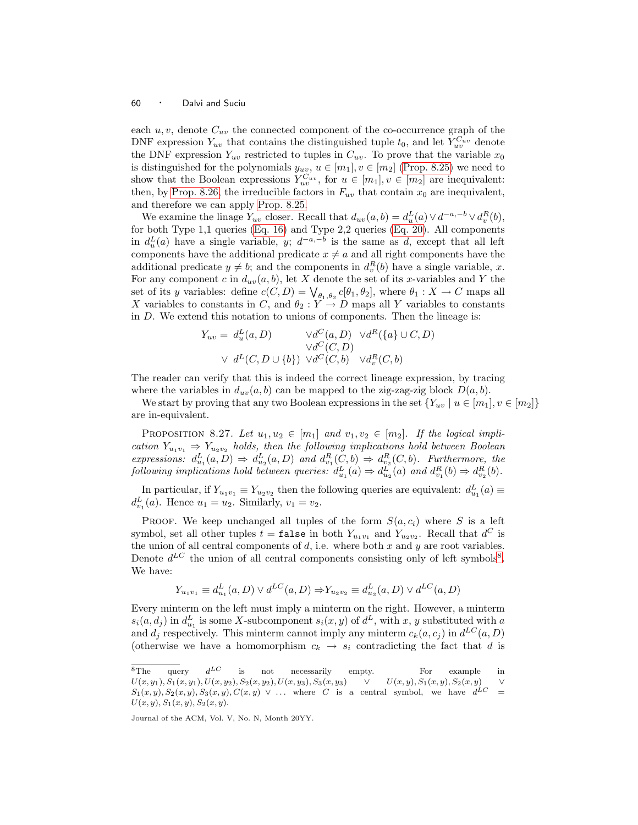each  $u, v$ , denote  $C_{uv}$  the connected component of the co-occurrence graph of the DNF expression  $Y_{uv}$  that contains the distinguished tuple  $t_0$ , and let  $Y_{uv}^{C_{uv}}$  denote the DNF expression  $Y_{uv}$  restricted to tuples in  $C_{uv}$ . To prove that the variable  $x_0$ is distinguished for the polynomials  $y_{uv}$ ,  $u \in [m_1], v \in [m_2]$  [\(Prop. 8.25\)](#page-56-0) we need to show that the Boolean expressions  $Y_{uv}^{C_{uv}}$ , for  $u \in [m_1], v \in [m_2]$  are inequivalent: then, by [Prop. 8.26,](#page-58-0) the irreducible factors in  $F_{uv}$  that contain  $x_0$  are inequivalent, and therefore we can apply [Prop. 8.25.](#page-56-0)

We examine the linage  $Y_{uv}$  closer. Recall that  $d_{uv}(a, b) = d_u^L(a) \vee d^{-a, -b} \vee d_v^R(b)$ , for both Type 1,1 queries [\(Eq. 16\)](#page-50-1) and Type 2,2 queries [\(Eq. 20\)](#page-51-2). All components in  $d_u^L(a)$  have a single variable, y;  $d^{-a,-b}$  is the same as d, except that all left components have the additional predicate  $x \neq a$  and all right components have the additional predicate  $y \neq b$ ; and the components in  $d_v^R(b)$  have a single variable, x. For any component c in  $d_{uv}(a,b)$ , let X denote the set of its x-variables and Y the set of its y variables: define  $c(C, D) = \bigvee_{\theta_1, \theta_2} c(\theta_1, \theta_2]$ , where  $\theta_1 : X \to C$  maps all X variables to constants in C, and  $\theta_2 : Y \to D$  maps all Y variables to constants in D. We extend this notation to unions of components. Then the lineage is:

$$
Y_{uv} = d_u^L(a, D) \qquad \forall d^C(a, D) \quad \forall d^R(\{a\} \cup C, D)
$$
  
 
$$
\forall d^C(C, D) \qquad \forall d^C(C, b) \quad \forall d_v^R(C, b)
$$

The reader can verify that this is indeed the correct lineage expression, by tracing where the variables in  $d_{uv}(a,b)$  can be mapped to the zig-zag-zig block  $D(a,b)$ .

<span id="page-59-1"></span>We start by proving that any two Boolean expressions in the set  ${Y_{uv} | u \in [m_1], v \in [m_2]}$ are in-equivalent.

PROPOSITION 8.27. Let  $u_1, u_2 \in [m_1]$  and  $v_1, v_2 \in [m_2]$ . If the logical implication  $Y_{u_1v_1} \Rightarrow Y_{u_2v_2}$  holds, then the following implications hold between Boolean expressions:  $d_{u_1}^L(a, D) \Rightarrow d_{u_2}^L(a, D)$  and  $d_{v_1}^R(C, b) \Rightarrow d_{v_2}^R(C, b)$ . Furthermore, the following implications hold between queries:  $d_{u_1}^L(a) \Rightarrow d_{u_2}^L(a)$  and  $d_{v_1}^R(b) \Rightarrow d_{v_2}^R(b)$ .

In particular, if  $Y_{u_1v_1} \equiv Y_{u_2v_2}$  then the following queries are equivalent:  $d_{u_1}^L(a) \equiv$  $d_{v_1}^L(a)$ . Hence  $u_1 = u_2$ . Similarly,  $v_1 = v_2$ .

PROOF. We keep unchanged all tuples of the form  $S(a, c_i)$  where S is a left symbol, set all other tuples  $t = \texttt{false}$  in both  $Y_{u_1v_1}$  and  $Y_{u_2v_2}$ . Recall that  $d^C$  is the union of all central components of  $d$ , i.e. where both  $x$  and  $y$  are root variables. Denote  $d^{LC}$  the union of all central components consisting only of left symbols<sup>[8](#page-59-0)</sup>. We have:

$$
Y_{u_1v_1} \equiv d_{u_1}^L(a, D) \lor d^{LC}(a, D) \Rightarrow Y_{u_2v_2} \equiv d_{u_2}^L(a, D) \lor d^{LC}(a, D)
$$

Every minterm on the left must imply a minterm on the right. However, a minterm  $s_i(a, d_j)$  in  $d_{u_1}^L$  is some X-subcomponent  $s_i(x, y)$  of  $d^L$ , with x, y substituted with a and  $d_j$  respectively. This minterm cannot imply any minterm  $c_k(a, c_j)$  in  $d^{LC}(a, D)$ (otherwise we have a homomorphism  $c_k \rightarrow s_i$  contradicting the fact that d is

<span id="page-59-0"></span> ${}^{8}$ The query  $d^{LC}$ is not necessarily empty. For example in  $U(x, y_1), S_1(x, y_1), U(x, y_2), S_2(x, y_2), U(x, y_3), S_3(x, y_3) \quad \vee \quad U(x, y), S_1(x, y), S_2(x, y)$  $S_1(x,y), S_2(x,y), S_3(x,y), C(x,y) \vee ...$  where C is a central symbol, we have  $d^{LC} =$  $U(x, y), S_1(x, y), S_2(x, y).$ 

Journal of the ACM, Vol. V, No. N, Month 20YY.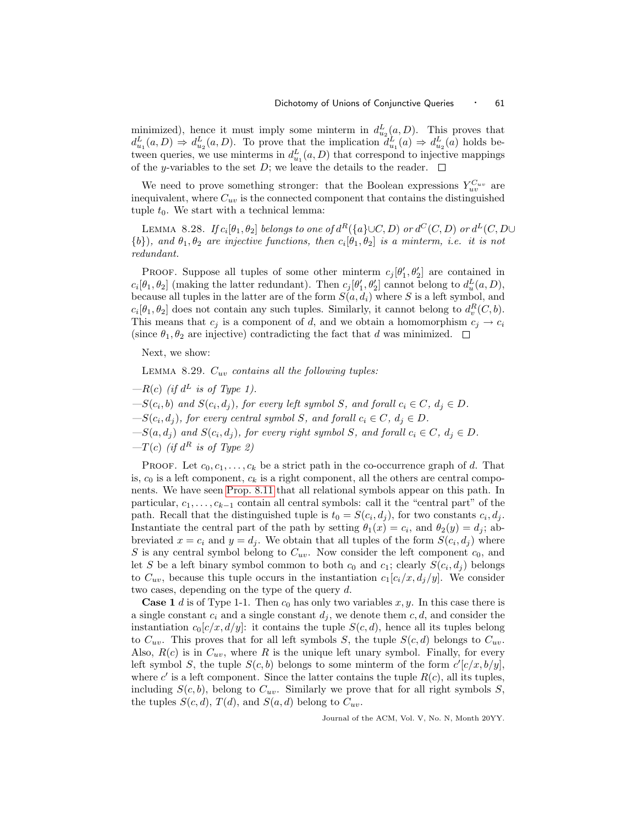minimized), hence it must imply some minterm in  $d_{u_2}^L(a, D)$ . This proves that  $d_{u_1}^L(a,D) \Rightarrow d_{u_2}^L(a,D)$ . To prove that the implication  $d_{u_1}^L(a) \Rightarrow d_{u_2}^L(a)$  holds between queries, we use minterms in  $d_{u_1}^L(a, D)$  that correspond to injective mappings of the y-variables to the set D; we leave the details to the reader.  $\Box$ 

We need to prove something stronger: that the Boolean expressions  $Y_{uv}^{C_{uv}}$  are inequivalent, where  $C_{uv}$  is the connected component that contains the distinguished tuple  $t_0$ . We start with a technical lemma:

<span id="page-60-0"></span>LEMMA 8.28. If  $c_i[\theta_1,\theta_2]$  belongs to one of  $d^R(\{a\} \cup C,D)$  or  $d^C(C,D)$  or  $d^L(C,D\cup D)$  $\{b\}$ ), and  $\theta_1, \theta_2$  are injective functions, then  $c_i[\theta_1, \theta_2]$  is a minterm, i.e. it is not redundant.

PROOF. Suppose all tuples of some other minterm  $c_j[\theta'_1, \theta'_2]$  are contained in  $c_i[\theta_1, \theta_2]$  (making the latter redundant). Then  $c_j[\theta'_1, \theta'_2]$  cannot belong to  $d_u^L(a, D)$ , because all tuples in the latter are of the form  $S(a, d_i)$  where S is a left symbol, and  $c_i[\theta_1, \theta_2]$  does not contain any such tuples. Similarly, it cannot belong to  $d_v^R(C, b)$ . This means that  $c_j$  is a component of d, and we obtain a homomorphism  $c_j \rightarrow c_i$ (since  $\theta_1, \theta_2$  are injective) contradicting the fact that d was minimized.  $\Box$ 

Next, we show:

LEMMA 8.29.  $C_{uv}$  contains all the following tuples:

- $-R(c)$  (if  $d^L$  is of Type 1).
- $-S(c_i, b)$  and  $S(c_i, d_j)$ , for every left symbol S, and forall  $c_i \in C$ ,  $d_j \in D$ .
- $-S(c_i, d_j)$ , for every central symbol S, and forall  $c_i \in C$ ,  $d_j \in D$ .
- $-S(a,d_j)$  and  $S(c_i,d_j)$ , for every right symbol S, and forall  $c_i \in C$ ,  $d_j \in D$ .
- $-T(c)$  (if  $d^R$  is of Type 2)

PROOF. Let  $c_0, c_1, \ldots, c_k$  be a strict path in the co-occurrence graph of d. That is,  $c_0$  is a left component,  $c_k$  is a right component, all the others are central components. We have seen [Prop. 8.11](#page-44-1) that all relational symbols appear on this path. In particular,  $c_1, \ldots, c_{k-1}$  contain all central symbols: call it the "central part" of the path. Recall that the distinguished tuple is  $t_0 = S(c_i, d_j)$ , for two constants  $c_i, d_j$ . Instantiate the central part of the path by setting  $\theta_1(x) = c_i$ , and  $\theta_2(y) = d_j$ ; abbreviated  $x = c_i$  and  $y = d_j$ . We obtain that all tuples of the form  $S(c_i, d_j)$  where S is any central symbol belong to  $C_{uv}$ . Now consider the left component  $c_0$ , and let S be a left binary symbol common to both  $c_0$  and  $c_1$ ; clearly  $S(c_i, d_j)$  belongs to  $C_{uv}$ , because this tuple occurs in the instantiation  $c_1[c_i/x, d_j/y]$ . We consider two cases, depending on the type of the query d.

**Case 1** d is of Type 1-1. Then  $c_0$  has only two variables x, y. In this case there is a single constant  $c_i$  and a single constant  $d_i$ , we denote them c, d, and consider the instantiation  $c_0[c/x,d/y]$ : it contains the tuple  $S(c,d)$ , hence all its tuples belong to  $C_{uv}$ . This proves that for all left symbols S, the tuple  $S(c,d)$  belongs to  $C_{uv}$ . Also,  $R(c)$  is in  $C_{uv}$ , where R is the unique left unary symbol. Finally, for every left symbol S, the tuple  $S(c, b)$  belongs to some minterm of the form  $c'[c/x, b/y]$ , where  $c'$  is a left component. Since the latter contains the tuple  $R(c)$ , all its tuples, including  $S(c, b)$ , belong to  $C_{uv}$ . Similarly we prove that for all right symbols S, the tuples  $S(c,d)$ ,  $T(d)$ , and  $S(a,d)$  belong to  $C_{uv}$ .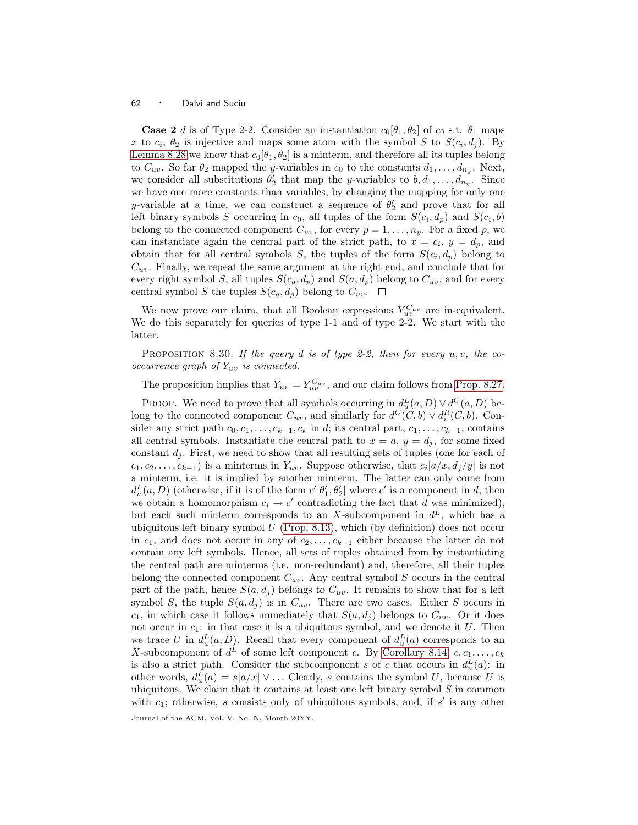**Case 2** d is of Type 2-2. Consider an instantiation  $c_0$ [ $\theta_1$ ,  $\theta_2$ ] of  $c_0$  s.t.  $\theta_1$  maps x to  $c_i$ ,  $\theta_2$  is injective and maps some atom with the symbol S to  $S(c_i, d_j)$ . By [Lemma 8.28](#page-60-0) we know that  $c_0[\theta_1,\theta_2]$  is a minterm, and therefore all its tuples belong to  $C_{uv}$ . So far  $\theta_2$  mapped the *y*-variables in  $c_0$  to the constants  $d_1, \ldots, d_{n_y}$ . Next, we consider all substitutions  $\theta'_2$  that map the y-variables to  $b, d_1, \ldots, d_{n_y}$ . Since we have one more constants than variables, by changing the mapping for only one y-variable at a time, we can construct a sequence of  $\theta_2'$  and prove that for all left binary symbols S occurring in  $c_0$ , all tuples of the form  $S(c_i, d_p)$  and  $S(c_i, b)$ belong to the connected component  $C_{uv}$ , for every  $p = 1, \ldots, n_y$ . For a fixed p, we can instantiate again the central part of the strict path, to  $x = c_i$ ,  $y = d_p$ , and obtain that for all central symbols S, the tuples of the form  $S(c_i, d_p)$  belong to  $C_{uv}$ . Finally, we repeat the same argument at the right end, and conclude that for every right symbol S, all tuples  $S(c_q, d_p)$  and  $S(a, d_p)$  belong to  $C_{uv}$ , and for every central symbol S the tuples  $S(c_q, d_p)$  belong to  $C_{uv}$ .  $\Box$ 

We now prove our claim, that all Boolean expressions  $Y_{uv}^{C_{uv}}$  are in-equivalent. We do this separately for queries of type 1-1 and of type 2-2. We start with the latter.

PROPOSITION 8.30. If the query d is of type 2-2, then for every  $u, v$ , the cooccurrence graph of  $Y_{uv}$  is connected.

The proposition implies that  $Y_{uv} = Y_{uv}^{C_{uv}}$ , and our claim follows from [Prop. 8.27.](#page-59-1)

PROOF. We need to prove that all symbols occurring in  $d_u^L(a, D) \vee d^C(a, D)$  belong to the connected component  $C_{uv}$ , and similarly for  $d^C(C, b) \vee d_v^R(C, b)$ . Consider any strict path  $c_0, c_1, \ldots, c_{k-1}, c_k$  in d; its central part,  $c_1, \ldots, c_{k-1}$ , contains all central symbols. Instantiate the central path to  $x = a$ ,  $y = d_j$ , for some fixed constant  $d_i$ . First, we need to show that all resulting sets of tuples (one for each of  $c_1, c_2, \ldots, c_{k-1}$ ) is a minterms in  $Y_{uv}$ . Suppose otherwise, that  $c_i[a/x, d_j/y]$  is not a minterm, i.e. it is implied by another minterm. The latter can only come from  $d_u^L(a, D)$  (otherwise, if it is of the form  $c'[\theta'_1, \theta'_2]$  where  $c'$  is a component in d, then we obtain a homomorphism  $c_i \to c'$  contradicting the fact that d was minimized), but each such minterm corresponds to an X-subcomponent in  $d^L$ , which has a ubiquitous left binary symbol  $U$  [\(Prop. 8.13\)](#page-46-0), which (by definition) does not occur in  $c_1$ , and does not occur in any of  $c_2,\ldots,c_{k-1}$  either because the latter do not contain any left symbols. Hence, all sets of tuples obtained from by instantiating the central path are minterms (i.e. non-redundant) and, therefore, all their tuples belong the connected component  $C_{uv}$ . Any central symbol S occurs in the central part of the path, hence  $S(a, d_i)$  belongs to  $C_{uv}$ . It remains to show that for a left symbol S, the tuple  $S(a, d_i)$  is in  $C_{uv}$ . There are two cases. Either S occurs in  $c_1$ , in which case it follows immediately that  $S(a, d_i)$  belongs to  $C_{uv}$ . Or it does not occur in  $c_1$ : in that case it is a ubiquitous symbol, and we denote it U. Then we trace U in  $d_u^L(a, D)$ . Recall that every component of  $d_u^L(a)$  corresponds to an X-subcomponent of  $d^L$  of some left component c. By [Corollary 8.14,](#page-46-1)  $c, c_1, \ldots, c_k$ is also a strict path. Consider the subcomponent s of c that occurs in  $d_u^L(a)$ : in other words,  $d_u^L(a) = s[a/x] \vee \ldots$  Clearly, s contains the symbol U, because U is ubiquitous. We claim that it contains at least one left binary symbol  $S$  in common with  $c_1$ ; otherwise, s consists only of ubiquitous symbols, and, if s' is any other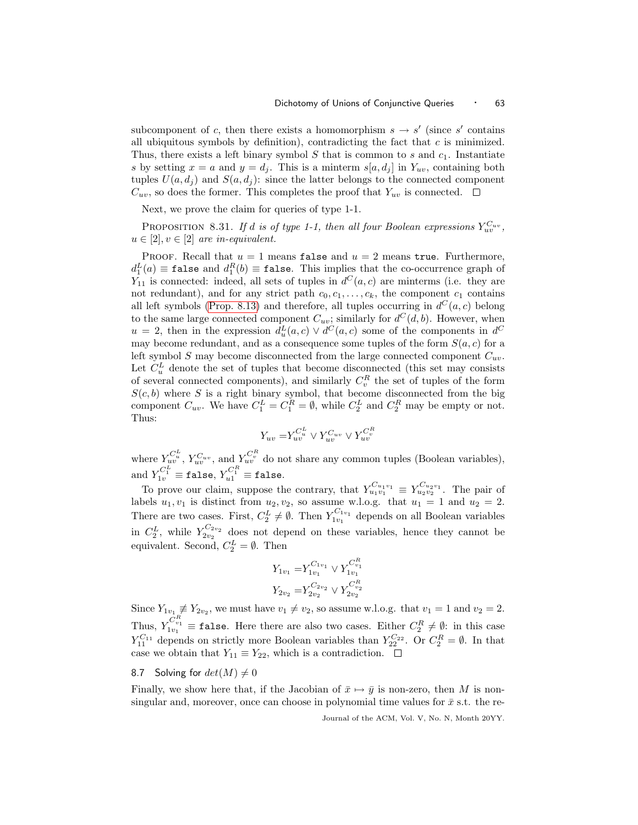subcomponent of c, then there exists a homomorphism  $s \to s'$  (since s' contains all ubiquitous symbols by definition), contradicting the fact that  $c$  is minimized. Thus, there exists a left binary symbol  $S$  that is common to  $s$  and  $c_1$ . Instantiate s by setting  $x = a$  and  $y = d_i$ . This is a minterm  $s[a, d_i]$  in  $Y_{uv}$ , containing both tuples  $U(a, d_j)$  and  $S(a, d_j)$ : since the latter belongs to the connected component  $C_{uv}$ , so does the former. This completes the proof that  $Y_{uv}$  is connected.  $\square$ 

Next, we prove the claim for queries of type 1-1.

PROPOSITION 8.31. If d is of type 1-1, then all four Boolean expressions  $Y_{uv}^{C_{uv}},$  $u \in [2], v \in [2]$  are in-equivalent.

PROOF. Recall that  $u = 1$  means false and  $u = 2$  means true. Furthermore,  $d_1^L(a) \equiv \mathtt{false}$  and  $d_1^R(b) \equiv \mathtt{false}$ . This implies that the co-occurrence graph of  $Y_{11}$  is connected: indeed, all sets of tuples in  $d^C(a, c)$  are minterms (i.e. they are not redundant), and for any strict path  $c_0, c_1, \ldots, c_k$ , the component  $c_1$  contains all left symbols [\(Prop. 8.13\)](#page-46-0) and therefore, all tuples occurring in  $d^C(a, c)$  belong to the same large connected component  $C_{uv}$ ; similarly for  $d^C(d, b)$ . However, when  $u = 2$ , then in the expression  $d_u^L(a, c) \vee d^C(a, c)$  some of the components in  $d^C$ may become redundant, and as a consequence some tuples of the form  $S(a, c)$  for a left symbol S may become disconnected from the large connected component  $C_{uv}$ . Let  $C_u^L$  denote the set of tuples that become disconnected (this set may consists of several connected components), and similarly  $C_v^R$  the set of tuples of the form  $S(c, b)$  where S is a right binary symbol, that become disconnected from the big component  $C_{uv}$ . We have  $C_1^L = C_1^R = \emptyset$ , while  $C_2^L$  and  $C_2^R$  may be empty or not. Thus:

$$
Y_{uv} = \! Y^{C^L_u}_{{uv}} \vee Y^{C_{uv}}_{{uv}} \vee Y^{C^R_v}_{{uv}}
$$

where  $Y_{uv}^{C_u^L}$ ,  $Y_{uv}^{C_u^L}$ , and  $Y_{uv}^{C_v^R}$  do not share any common tuples (Boolean variables), and  $Y_{1v}^{C_1^L} \equiv \mathtt{false},\, Y_{u1}^{C_1^R} \equiv \mathtt{false}.$ 

To prove our claim, suppose the contrary, that  $Y_{u_1v_1}^{C_{u_1v_1}} \equiv Y_{u_2v_2}^{C_{u_2v_1}}$ . The pair of labels  $u_1, v_1$  is distinct from  $u_2, v_2$ , so assume w.l.o.g. that  $u_1 = 1$  and  $u_2 = 2$ . There are two cases. First,  $C_2^L \neq \emptyset$ . Then  $Y_{1v_1}^{C_{1v_1}}$  depends on all Boolean variables in  $C_2^L$ , while  $Y_{2v_2}^{C_{2v_2}}$  does not depend on these variables, hence they cannot be equivalent. Second,  $C_2^L = \emptyset$ . Then

$$
Y_{1v_1} = Y_{1v_1}^{C_{1v_1}} \vee Y_{1v_1}^{C_{v_1}^R}
$$
  

$$
Y_{2v_2} = Y_{2v_2}^{C_{2v_2}} \vee Y_{2v_2}^{C_{v_2}^R}
$$

Since  $Y_{1v_1} \neq Y_{2v_2}$ , we must have  $v_1 \neq v_2$ , so assume w.l.o.g. that  $v_1 = 1$  and  $v_2 = 2$ . Thus,  $Y_{1v_1}^{C_{v_1}^R} \equiv \texttt{false}$ . Here there are also two cases. Either  $C_2^R \neq \emptyset$ : in this case  $Y_{11}^{C_{11}}$  depends on strictly more Boolean variables than  $Y_{22}^{C_{22}}$ . Or  $C_2^R = \emptyset$ . In that case we obtain that  $Y_{11} \equiv Y_{22}$ , which is a contradiction.  $\Box$ 

# <span id="page-62-0"></span>8.7 Solving for  $det(M) \neq 0$

Finally, we show here that, if the Jacobian of  $\bar{x} \mapsto \bar{y}$  is non-zero, then M is nonsingular and, moreover, once can choose in polynomial time values for  $\bar{x}$  s.t. the re-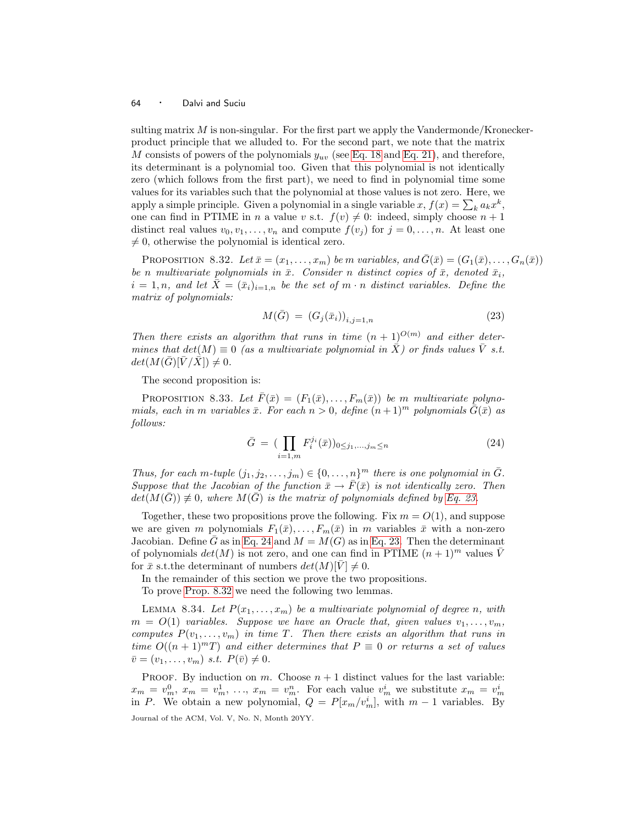sulting matrix  $M$  is non-singular. For the first part we apply the Vandermonde/Kroneckerproduct principle that we alluded to. For the second part, we note that the matrix M consists of powers of the polynomials  $y_{uv}$  (see [Eq. 18](#page-51-0) and [Eq. 21\)](#page-54-2), and therefore, its determinant is a polynomial too. Given that this polynomial is not identically zero (which follows from the first part), we need to find in polynomial time some values for its variables such that the polynomial at those values is not zero. Here, we apply a simple principle. Given a polynomial in a single variable  $x, f(x) = \sum_{k} a_k x^k$ , one can find in PTIME in n a value v s.t.  $f(v) \neq 0$ : indeed, simply choose  $n + 1$ distinct real values  $v_0, v_1, \ldots, v_n$  and compute  $f(v_i)$  for  $j = 0, \ldots, n$ . At least one  $\neq 0$ , otherwise the polynomial is identical zero.

<span id="page-63-2"></span>PROPOSITION 8.32. Let  $\bar{x} = (x_1, \ldots, x_m)$  be m variables, and  $\bar{G}(\bar{x}) = (G_1(\bar{x}), \ldots, G_n(\bar{x}))$ be n multivariate polynomials in  $\bar{x}$ . Consider n distinct copies of  $\bar{x}$ , denoted  $\bar{x}_i$ ,  $i = 1, n$ , and let  $\overline{X} = (\overline{x}_i)_{i=1,n}$  be the set of m  $\cdot$  n distinct variables. Define the matrix of polynomials:

$$
M(\bar{G}) = (G_j(\bar{x}_i))_{i,j=1,n} \tag{23}
$$

<span id="page-63-0"></span>Then there exists an algorithm that runs in time  $(n + 1)^{O(m)}$  and either determines that  $det(M) \equiv 0$  (as a multivariate polynomial in  $\overline{X}$ ) or finds values  $\overline{V}$  s.t.  $det(M(\bar{G})[\bar{V}/\bar{X}]) \neq 0.$ 

The second proposition is:

<span id="page-63-4"></span>PROPOSITION 8.33. Let  $\bar{F}(\bar{x}) = (F_1(\bar{x}), \ldots, F_m(\bar{x}))$  be m multivariate polynomials, each in m variables  $\bar{x}$ . For each  $n > 0$ , define  $(n+1)^m$  polynomials  $G(\bar{x})$  as follows:

$$
\bar{G} = \left( \prod_{i=1,m} F_i^{j_i}(\bar{x}) \right)_{0 \le j_1, \dots, j_m \le n} \tag{24}
$$

<span id="page-63-1"></span>Thus, for each m-tuple  $(j_1, j_2, \ldots, j_m) \in \{0, \ldots, n\}^m$  there is one polynomial in  $\overline{G}$ . Suppose that the Jacobian of the function  $\bar{x} \to \bar{F}(\bar{x})$  is not identically zero. Then  $det(M(\overline{G})) \not\equiv 0$ , where  $M(\overline{G})$  is the matrix of polynomials defined by [Eq. 23.](#page-63-0)

Together, these two propositions prove the following. Fix  $m = O(1)$ , and suppose we are given m polynomials  $F_1(\bar{x}),..., F_m(\bar{x})$  in m variables  $\bar{x}$  with a non-zero Jacobian. Define  $\bar{G}$  as in [Eq. 24](#page-63-1) and  $M = M(G)$  as in [Eq. 23.](#page-63-0) Then the determinant of polynomials  $det(M)$  is not zero, and one can find in PTIME  $(n + 1)^m$  values V for  $\bar{x}$  s.t.the determinant of numbers  $det(M)[V] \neq 0$ .

In the remainder of this section we prove the two propositions.

To prove [Prop. 8.32](#page-63-2) we need the following two lemmas.

<span id="page-63-3"></span>LEMMA 8.34. Let  $P(x_1, \ldots, x_m)$  be a multivariate polynomial of degree n, with  $m = O(1)$  variables. Suppose we have an Oracle that, given values  $v_1, \ldots, v_m$ , computes  $P(v_1,\ldots,v_m)$  in time T. Then there exists an algorithm that runs in time  $O((n + 1)^m)$  and either determines that  $P \equiv 0$  or returns a set of values  $\overline{v} = (v_1, \ldots, v_m) \text{ s.t. } P(\overline{v}) \neq 0.$ 

PROOF. By induction on  $m$ . Choose  $n + 1$  distinct values for the last variable:  $x_m = v_m^0, x_m = v_m^1, \ldots, x_m = v_m^n$ . For each value  $v_m^i$  we substitute  $x_m = v_m^i$ in P. We obtain a new polynomial,  $Q = P[x_m/v_m^i]$ , with  $m-1$  variables. By Journal of the ACM, Vol. V, No. N, Month 20YY.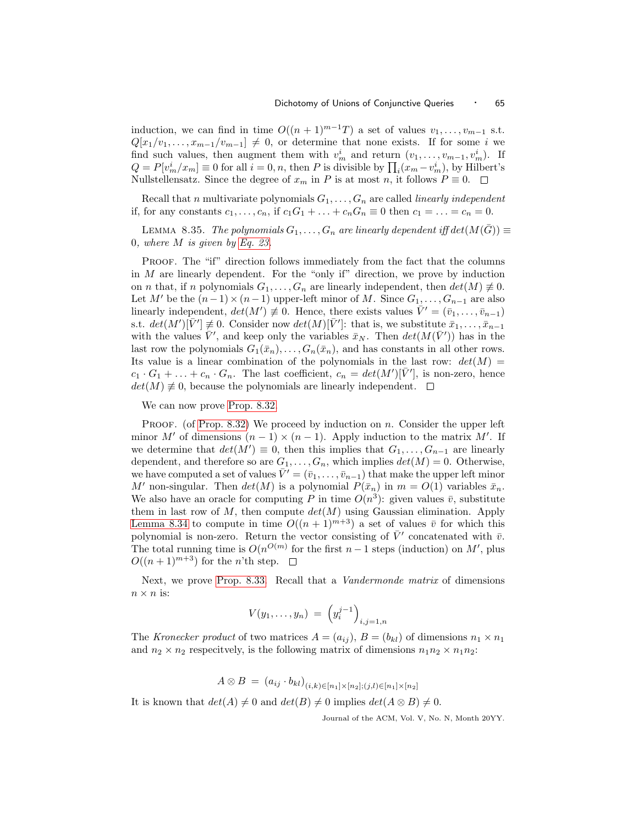induction, we can find in time  $O((n + 1)^{m-1}T)$  a set of values  $v_1, \ldots, v_{m-1}$  s.t.  $Q[x_1/v_1,\ldots,x_{m-1}/v_{m-1}] \neq 0$ , or determine that none exists. If for some i we find such values, then augment them with  $v_m^i$  and return  $(v_1, \ldots, v_{m-1}, v_m^i)$ . If  $Q = P[v_m^i / x_m] \equiv 0$  for all  $i = 0, n$ , then P is divisible by  $\prod_i (x_m - v_m^i)$ , by Hilbert's Nullstellensatz. Since the degree of  $x_m$  in P is at most n, it follows  $P \equiv 0$ .  $\Box$ 

Recall that n multivariate polynomials  $G_1, \ldots, G_n$  are called *linearly independent* if, for any constants  $c_1,\ldots,c_n$ , if  $c_1G_1+\ldots+c_nG_n\equiv 0$  then  $c_1=\ldots=c_n=0$ .

LEMMA 8.35. The polynomials  $G_1, \ldots, G_n$  are linearly dependent iff  $det(M(\bar{G})) \equiv$ 0, where M is given by [Eq. 23.](#page-63-0)

PROOF. The "if" direction follows immediately from the fact that the columns in  $M$  are linearly dependent. For the "only if" direction, we prove by induction on *n* that, if *n* polynomials  $G_1, \ldots, G_n$  are linearly independent, then  $det(M) \neq 0$ . Let M' be the  $(n-1)\times(n-1)$  upper-left minor of M. Since  $G_1,\ldots,G_{n-1}$  are also linearly independent,  $det(M') \neq 0$ . Hence, there exists values  $\bar{V}' = (\bar{v}_1, \ldots, \bar{v}_{n-1})$ s.t.  $det(M')[\bar{V}'] \neq 0$ . Consider now  $det(M)[\bar{V}']$ : that is, we substitute  $\bar{x}_1, \ldots, \bar{x}_{n-1}$ with the values  $\bar{V}'$ , and keep only the variables  $\bar{x}_N$ . Then  $det(M(\bar{V}'))$  has in the last row the polynomials  $G_1(\bar{x}_n), \ldots, G_n(\bar{x}_n)$ , and has constants in all other rows. Its value is a linear combination of the polynomials in the last row:  $det(M)$  $c_1 \cdot G_1 + \ldots + c_n \cdot G_n$ . The last coefficient,  $c_n = det(M')[\bar{V}']$ , is non-zero, hence  $det(M) \neq 0$ , because the polynomials are linearly independent.  $\square$ 

We can now prove [Prop. 8.32.](#page-63-2)

PROOF. (of [Prop. 8.32\)](#page-63-2) We proceed by induction on  $n$ . Consider the upper left minor M' of dimensions  $(n-1) \times (n-1)$ . Apply induction to the matrix M'. If we determine that  $det(M') \equiv 0$ , then this implies that  $G_1, \ldots, G_{n-1}$  are linearly dependent, and therefore so are  $G_1, \ldots, G_n$ , which implies  $det(M) = 0$ . Otherwise, we have computed a set of values  $\bar{V}' = (\bar{v}_1, \ldots, \bar{v}_{n-1})$  that make the upper left minor M' non-singular. Then  $det(M)$  is a polynomial  $P(\bar{x}_n)$  in  $m = O(1)$  variables  $\bar{x}_n$ . We also have an oracle for computing P in time  $O(n^3)$ : given values  $\bar{v}$ , substitute them in last row of M, then compute  $det(M)$  using Gaussian elimination. Apply [Lemma 8.34](#page-63-3) to compute in time  $O((n+1)^{m+3})$  a set of values  $\bar{v}$  for which this polynomial is non-zero. Return the vector consisting of  $\bar{V}'$  concatenated with  $\bar{v}$ . The total running time is  $O(n^{O(m)}$  for the first  $n-1$  steps (induction) on M', plus  $O((n+1)^{m+3})$  for the *n*'th step.  $\Box$ 

Next, we prove [Prop. 8.33.](#page-63-4) Recall that a Vandermonde matrix of dimensions  $n \times n$  is:

$$
V(y_1,\ldots,y_n) = \left(y_i^{j-1}\right)_{i,j=1,n}
$$

The Kronecker product of two matrices  $A = (a_{ij}), B = (b_{kl})$  of dimensions  $n_1 \times n_1$ and  $n_2 \times n_2$  respecitvely, is the following matrix of dimensions  $n_1 n_2 \times n_1 n_2$ :

$$
A \otimes B = (a_{ij} \cdot b_{kl})_{(i,k) \in [n_1] \times [n_2]; (j,l) \in [n_1] \times [n_2]}
$$

It is known that  $det(A) \neq 0$  and  $det(B) \neq 0$  implies  $det(A \otimes B) \neq 0$ .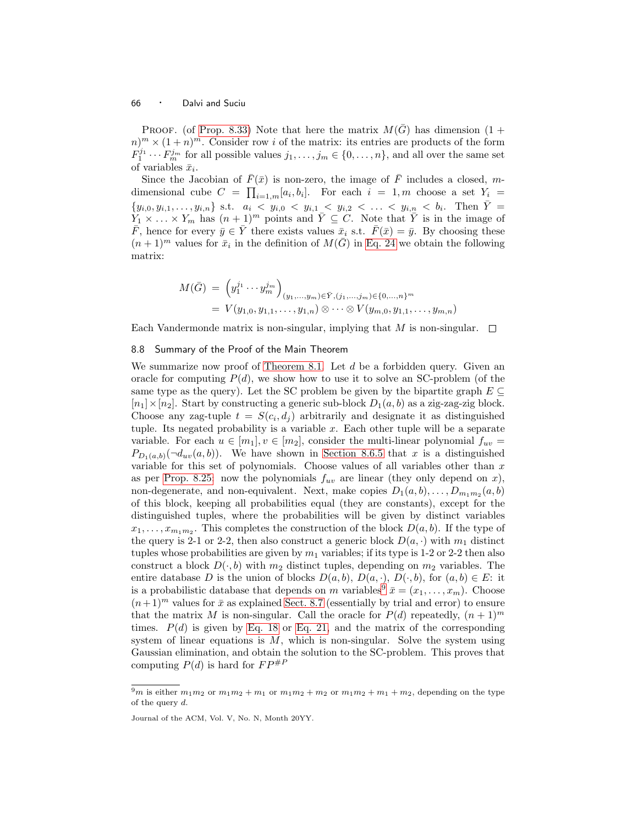PROOF. (of [Prop. 8.33\)](#page-63-4) Note that here the matrix  $M(\bar{G})$  has dimension (1 +  $(n)^m \times (1+n)^m$ . Consider row i of the matrix: its entries are products of the form  $F_1^{j_1} \cdots F_m^{j_m}$  for all possible values  $j_1, \ldots, j_m \in \{0, \ldots, n\}$ , and all over the same set of variables  $\bar{x}_i$ .

Since the Jacobian of  $\bar{F}(\bar{x})$  is non-zero, the image of  $\bar{F}$  includes a closed, mdimensional cube  $C = \prod_{i=1,m} [a_i, b_i]$ . For each  $i = 1, m$  choose a set  $Y_i =$  $\{y_{i,0}, y_{i,1}, \ldots, y_{i,n}\}\$  s.t.  $a_i < y_{i,0} < y_{i,1} < y_{i,2} < \ldots < y_{i,n} < b_i$ . Then  $\overline{Y} =$  $Y_1 \times \ldots \times Y_m$  has  $(n+1)^m$  points and  $\overline{Y} \subseteq C$ . Note that  $\overline{Y}$  is in the image of  $\bar{F}$ , hence for every  $\bar{y} \in \bar{Y}$  there exists values  $\bar{x}_i$  s.t.  $\bar{F}(\bar{x}) = \bar{y}$ . By choosing these  $(n+1)^m$  values for  $\bar{x}_i$  in the definition of  $M(\bar{G})$  in [Eq. 24](#page-63-1) we obtain the following matrix:

$$
M(\bar{G}) = (y_1^{j_1} \cdots y_m^{j_m})_{(y_1, \ldots, y_m) \in \bar{Y}, (j_1, \ldots, j_m) \in \{0, \ldots, n\}^m}
$$
  
=  $V(y_{1,0}, y_{1,1}, \ldots, y_{1,n}) \otimes \cdots \otimes V(y_{m,0}, y_{1,1}, \ldots, y_{m,n})$ 

Each Vandermonde matrix is non-singular, implying that M is non-singular.  $\square$ 

# 8.8 Summary of the Proof of the Main Theorem

We summarize now proof of [Theorem 8.1.](#page-38-2) Let  $d$  be a forbidden query. Given an oracle for computing  $P(d)$ , we show how to use it to solve an SC-problem (of the same type as the query). Let the SC problem be given by the bipartite graph  $E \subseteq$  $[n_1] \times [n_2]$ . Start by constructing a generic sub-block  $D_1(a, b)$  as a zig-zag-zig block. Choose any zag-tuple  $t = S(c_i, d_j)$  arbitrarily and designate it as distinguished tuple. Its negated probability is a variable  $x$ . Each other tuple will be a separate variable. For each  $u \in [m_1], v \in [m_2]$ , consider the multi-linear polynomial  $f_{uv}$  $P_{D_1(a,b)}(\neg d_{uv}(a,b))$ . We have shown in [Section 8.6.5](#page-58-1) that x is a distinguished variable for this set of polynomials. Choose values of all variables other than  $x$ as per [Prop. 8.25:](#page-56-0) now the polynomials  $f_{uv}$  are linear (they only depend on x), non-degenerate, and non-equivalent. Next, make copies  $D_1(a, b), \ldots, D_{m_1 m_2}(a, b)$ of this block, keeping all probabilities equal (they are constants), except for the distinguished tuples, where the probabilities will be given by distinct variables  $x_1, \ldots, x_{m_1 m_2}$ . This completes the construction of the block  $D(a, b)$ . If the type of the query is 2-1 or 2-2, then also construct a generic block  $D(a, \cdot)$  with  $m_1$  distinct tuples whose probabilities are given by  $m_1$  variables; if its type is 1-2 or 2-2 then also construct a block  $D(\cdot,b)$  with  $m_2$  distinct tuples, depending on  $m_2$  variables. The entire database D is the union of blocks  $D(a, b)$ ,  $D(a, \cdot)$ ,  $D(\cdot, b)$ , for  $(a, b) \in E$ : it is a probabilistic database that depends on m variables<sup>[9](#page-65-0)</sup>  $\bar{x} = (x_1, \ldots, x_m)$ . Choose  $(n+1)^m$  values for  $\bar{x}$  as explained [Sect. 8.7](#page-62-0) (essentially by trial and error) to ensure that the matrix M is non-singular. Call the oracle for  $P(d)$  repeatedly,  $(n+1)^m$ times.  $P(d)$  is given by [Eq. 18](#page-51-0) or [Eq. 21,](#page-54-2) and the matrix of the corresponding system of linear equations is  $M$ , which is non-singular. Solve the system using Gaussian elimination, and obtain the solution to the SC-problem. This proves that computing  $P(d)$  is hard for  $FP^{\#P}$ 

<span id="page-65-0"></span><sup>&</sup>lt;sup>9</sup>m is either  $m_1m_2$  or  $m_1m_2 + m_1$  or  $m_1m_2 + m_2$  or  $m_1m_2 + m_1 + m_2$ , depending on the type of the query  $d$ .

Journal of the ACM, Vol. V, No. N, Month 20YY.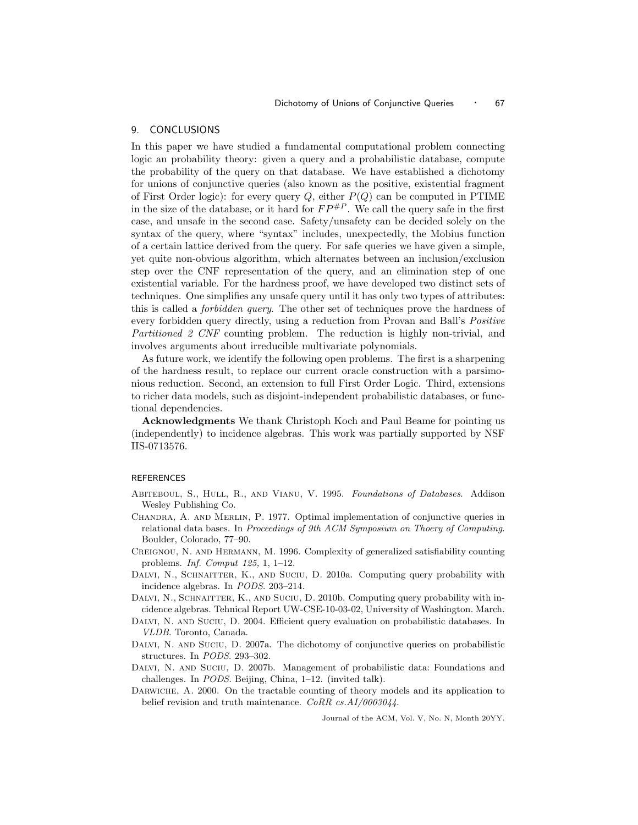# 9. CONCLUSIONS

In this paper we have studied a fundamental computational problem connecting logic an probability theory: given a query and a probabilistic database, compute the probability of the query on that database. We have established a dichotomy for unions of conjunctive queries (also known as the positive, existential fragment of First Order logic): for every query  $Q$ , either  $P(Q)$  can be computed in PTIME in the size of the database, or it hard for  $FP^{#P}$ . We call the query safe in the first case, and unsafe in the second case. Safety/unsafety can be decided solely on the syntax of the query, where "syntax" includes, unexpectedly, the Mobius function of a certain lattice derived from the query. For safe queries we have given a simple, yet quite non-obvious algorithm, which alternates between an inclusion/exclusion step over the CNF representation of the query, and an elimination step of one existential variable. For the hardness proof, we have developed two distinct sets of techniques. One simplifies any unsafe query until it has only two types of attributes: this is called a forbidden query. The other set of techniques prove the hardness of every forbidden query directly, using a reduction from Provan and Ball's *Positive* Partitioned 2 CNF counting problem. The reduction is highly non-trivial, and involves arguments about irreducible multivariate polynomials.

As future work, we identify the following open problems. The first is a sharpening of the hardness result, to replace our current oracle construction with a parsimonious reduction. Second, an extension to full First Order Logic. Third, extensions to richer data models, such as disjoint-independent probabilistic databases, or functional dependencies.

Acknowledgments We thank Christoph Koch and Paul Beame for pointing us (independently) to incidence algebras. This work was partially supported by NSF IIS-0713576.

#### REFERENCES

- <span id="page-66-4"></span>Abiteboul, S., Hull, R., and Vianu, V. 1995. *Foundations of Databases*. Addison Wesley Publishing Co.
- <span id="page-66-7"></span>CHANDRA, A. AND MERLIN, P. 1977. Optimal implementation of conjunctive queries in relational data bases. In *Proceedings of 9th ACM Symposium on Thoery of Computing*. Boulder, Colorado, 77–90.
- <span id="page-66-2"></span>Creignou, N. and Hermann, M. 1996. Complexity of generalized satisfiability counting problems. *Inf. Comput 125,* 1, 1–12.
- <span id="page-66-5"></span>DALVI, N., SCHNAITTER, K., AND SUCIU, D. 2010a. Computing query probability with incidence algebras. In *PODS*. 203–214.
- <span id="page-66-8"></span>DALVI, N., SCHNAITTER, K., AND SUCIU, D. 2010b. Computing query probability with incidence algebras. Tehnical Report UW-CSE-10-03-02, University of Washington. March.
- <span id="page-66-0"></span>DALVI, N. AND SUCIU, D. 2004. Efficient query evaluation on probabilistic databases. In *VLDB*. Toronto, Canada.
- <span id="page-66-6"></span>DALVI, N. AND SUCIU, D. 2007a. The dichotomy of conjunctive queries on probabilistic structures. In *PODS*. 293–302.
- <span id="page-66-1"></span>DALVI, N. AND SUCIU, D. 2007b. Management of probabilistic data: Foundations and challenges. In *PODS*. Beijing, China, 1–12. (invited talk).
- <span id="page-66-3"></span>DARWICHE, A. 2000. On the tractable counting of theory models and its application to belief revision and truth maintenance. *CoRR cs.AI/0003044*.